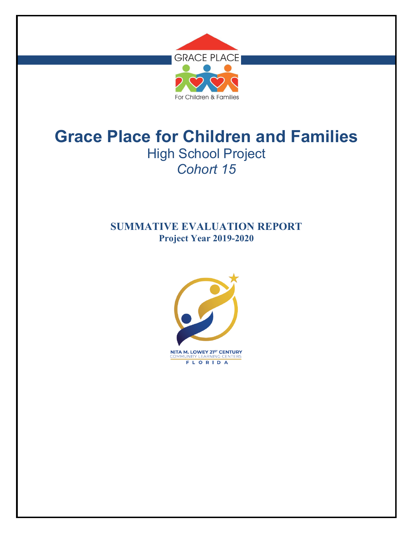

## **SUMMATIVE EVALUATION REPORT Project Year 2019-2020**

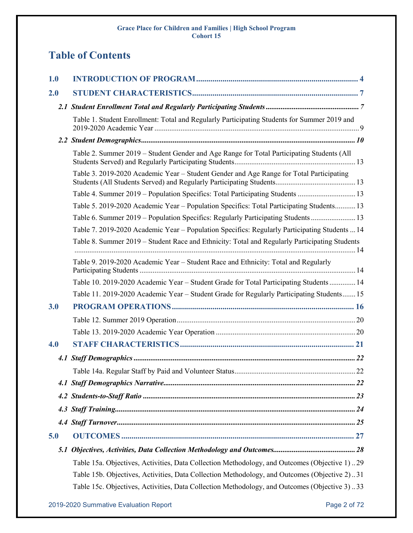# **Table of Contents**

| 1.0 |                                                                                               |
|-----|-----------------------------------------------------------------------------------------------|
| 2.0 |                                                                                               |
|     |                                                                                               |
|     | Table 1. Student Enrollment: Total and Regularly Participating Students for Summer 2019 and   |
|     |                                                                                               |
|     | Table 2. Summer 2019 – Student Gender and Age Range for Total Participating Students (All     |
|     | Table 3. 2019-2020 Academic Year – Student Gender and Age Range for Total Participating       |
|     | Table 4. Summer 2019 - Population Specifics: Total Participating Students  13                 |
|     | Table 5. 2019-2020 Academic Year - Population Specifics: Total Participating Students 13      |
|     | Table 6. Summer 2019 – Population Specifics: Regularly Participating Students 13              |
|     | Table 7. 2019-2020 Academic Year - Population Specifics: Regularly Participating Students  14 |
|     | Table 8. Summer 2019 – Student Race and Ethnicity: Total and Regularly Participating Students |
|     | Table 9. 2019-2020 Academic Year – Student Race and Ethnicity: Total and Regularly            |
|     | Table 10. 2019-2020 Academic Year - Student Grade for Total Participating Students  14        |
|     | Table 11. 2019-2020 Academic Year – Student Grade for Regularly Participating Students 15     |
| 3.0 |                                                                                               |
|     |                                                                                               |
|     |                                                                                               |
| 4.0 |                                                                                               |
|     |                                                                                               |
|     |                                                                                               |
|     |                                                                                               |
|     |                                                                                               |
|     |                                                                                               |
|     |                                                                                               |
| 5.0 |                                                                                               |
|     |                                                                                               |
|     | Table 15a. Objectives, Activities, Data Collection Methodology, and Outcomes (Objective 1)29  |
|     | Table 15b. Objectives, Activities, Data Collection Methodology, and Outcomes (Objective 2)31  |
|     | Table 15c. Objectives, Activities, Data Collection Methodology, and Outcomes (Objective 3)33  |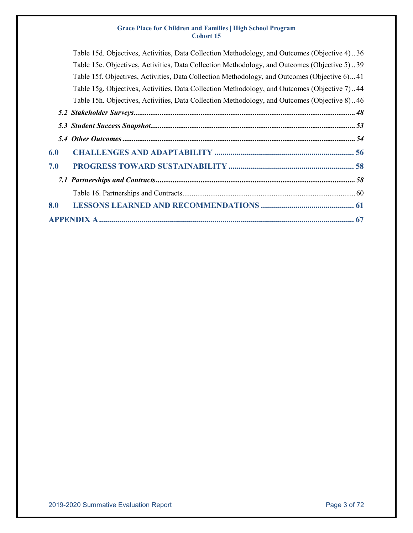|     | Table 15d. Objectives, Activities, Data Collection Methodology, and Outcomes (Objective 4)36 |
|-----|----------------------------------------------------------------------------------------------|
|     | Table 15e. Objectives, Activities, Data Collection Methodology, and Outcomes (Objective 5)39 |
|     | Table 15f. Objectives, Activities, Data Collection Methodology, and Outcomes (Objective 6)41 |
|     | Table 15g. Objectives, Activities, Data Collection Methodology, and Outcomes (Objective 7)44 |
|     | Table 15h. Objectives, Activities, Data Collection Methodology, and Outcomes (Objective 8)46 |
|     |                                                                                              |
|     |                                                                                              |
|     |                                                                                              |
| 6.0 |                                                                                              |
| 7.0 |                                                                                              |
|     |                                                                                              |
|     |                                                                                              |
| 8.0 |                                                                                              |
|     |                                                                                              |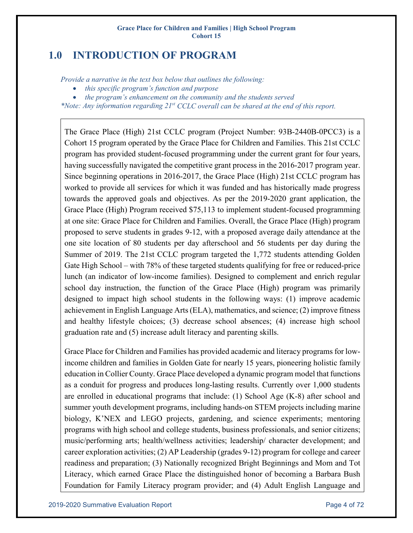## <span id="page-3-0"></span>**1.0 INTRODUCTION OF PROGRAM**

*Provide a narrative in the text box below that outlines the following:*

- *this specific program's function and purpose*
- *the program's enhancement on the community and the students served*

*\*Note: Any information regarding 21st CCLC overall can be shared at the end of this report.*

The Grace Place (High) 21st CCLC program (Project Number: 93B-2440B-0PCC3) is a Cohort 15 program operated by the Grace Place for Children and Families. This 21st CCLC program has provided student-focused programming under the current grant for four years, having successfully navigated the competitive grant process in the 2016-2017 program year. Since beginning operations in 2016-2017, the Grace Place (High) 21st CCLC program has worked to provide all services for which it was funded and has historically made progress towards the approved goals and objectives. As per the 2019-2020 grant application, the Grace Place (High) Program received \$75,113 to implement student-focused programming at one site: Grace Place for Children and Families. Overall, the Grace Place (High) program proposed to serve students in grades 9-12, with a proposed average daily attendance at the one site location of 80 students per day afterschool and 56 students per day during the Summer of 2019. The 21st CCLC program targeted the 1,772 students attending Golden Gate High School – with 78% of these targeted students qualifying for free or reduced-price lunch (an indicator of low-income families). Designed to complement and enrich regular school day instruction, the function of the Grace Place (High) program was primarily designed to impact high school students in the following ways: (1) improve academic achievement in English Language Arts (ELA), mathematics, and science; (2) improve fitness and healthy lifestyle choices; (3) decrease school absences; (4) increase high school graduation rate and (5) increase adult literacy and parenting skills.

Grace Place for Children and Families has provided academic and literacy programs for lowincome children and families in Golden Gate for nearly 15 years, pioneering holistic family education in Collier County. Grace Place developed a dynamic program model that functions as a conduit for progress and produces long-lasting results. Currently over 1,000 students are enrolled in educational programs that include: (1) School Age (K-8) after school and summer youth development programs, including hands-on STEM projects including marine biology, K'NEX and LEGO projects, gardening, and science experiments; mentoring programs with high school and college students, business professionals, and senior citizens; music/performing arts; health/wellness activities; leadership/ character development; and career exploration activities; (2) AP Leadership (grades 9-12) program for college and career readiness and preparation; (3) Nationally recognized Bright Beginnings and Mom and Tot Literacy, which earned Grace Place the distinguished honor of becoming a Barbara Bush Foundation for Family Literacy program provider; and (4) Adult English Language and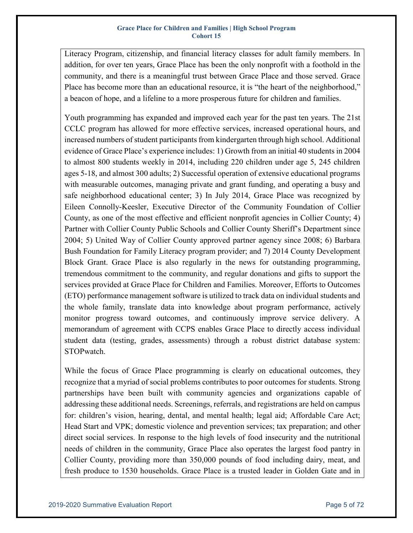Literacy Program, citizenship, and financial literacy classes for adult family members. In addition, for over ten years, Grace Place has been the only nonprofit with a foothold in the community, and there is a meaningful trust between Grace Place and those served. Grace Place has become more than an educational resource, it is "the heart of the neighborhood," a beacon of hope, and a lifeline to a more prosperous future for children and families.

Youth programming has expanded and improved each year for the past ten years. The 21st CCLC program has allowed for more effective services, increased operational hours, and increased numbers of student participants from kindergarten through high school. Additional evidence of Grace Place's experience includes: 1) Growth from an initial 40 students in 2004 to almost 800 students weekly in 2014, including 220 children under age 5, 245 children ages 5-18, and almost 300 adults; 2) Successful operation of extensive educational programs with measurable outcomes, managing private and grant funding, and operating a busy and safe neighborhood educational center; 3) In July 2014, Grace Place was recognized by Eileen Connolly-Keesler, Executive Director of the Community Foundation of Collier County, as one of the most effective and efficient nonprofit agencies in Collier County; 4) Partner with Collier County Public Schools and Collier County Sheriff's Department since 2004; 5) United Way of Collier County approved partner agency since 2008; 6) Barbara Bush Foundation for Family Literacy program provider; and 7) 2014 County Development Block Grant. Grace Place is also regularly in the news for outstanding programming, tremendous commitment to the community, and regular donations and gifts to support the services provided at Grace Place for Children and Families. Moreover, Efforts to Outcomes (ETO) performance management software is utilized to track data on individual students and the whole family, translate data into knowledge about program performance, actively monitor progress toward outcomes, and continuously improve service delivery. A memorandum of agreement with CCPS enables Grace Place to directly access individual student data (testing, grades, assessments) through a robust district database system: STOPwatch.

While the focus of Grace Place programming is clearly on educational outcomes, they recognize that a myriad of social problems contributes to poor outcomes for students. Strong partnerships have been built with community agencies and organizations capable of addressing these additional needs. Screenings, referrals, and registrations are held on campus for: children's vision, hearing, dental, and mental health; legal aid; Affordable Care Act; Head Start and VPK; domestic violence and prevention services; tax preparation; and other direct social services. In response to the high levels of food insecurity and the nutritional needs of children in the community, Grace Place also operates the largest food pantry in Collier County, providing more than 350,000 pounds of food including dairy, meat, and fresh produce to 1530 households. Grace Place is a trusted leader in Golden Gate and in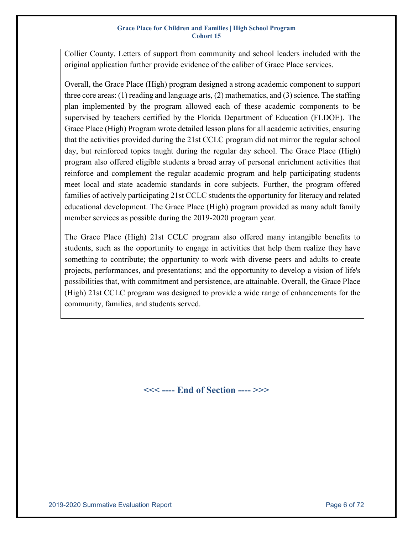Collier County. Letters of support from community and school leaders included with the original application further provide evidence of the caliber of Grace Place services.

Overall, the Grace Place (High) program designed a strong academic component to support three core areas: (1) reading and language arts, (2) mathematics, and (3) science. The staffing plan implemented by the program allowed each of these academic components to be supervised by teachers certified by the Florida Department of Education (FLDOE). The Grace Place (High) Program wrote detailed lesson plans for all academic activities, ensuring that the activities provided during the 21st CCLC program did not mirror the regular school day, but reinforced topics taught during the regular day school. The Grace Place (High) program also offered eligible students a broad array of personal enrichment activities that reinforce and complement the regular academic program and help participating students meet local and state academic standards in core subjects. Further, the program offered families of actively participating 21st CCLC students the opportunity for literacy and related educational development. The Grace Place (High) program provided as many adult family member services as possible during the 2019-2020 program year.

The Grace Place (High) 21st CCLC program also offered many intangible benefits to students, such as the opportunity to engage in activities that help them realize they have something to contribute; the opportunity to work with diverse peers and adults to create projects, performances, and presentations; and the opportunity to develop a vision of life's possibilities that, with commitment and persistence, are attainable. Overall, the Grace Place (High) 21st CCLC program was designed to provide a wide range of enhancements for the community, families, and students served.

**<<< ---- End of Section ---- >>>**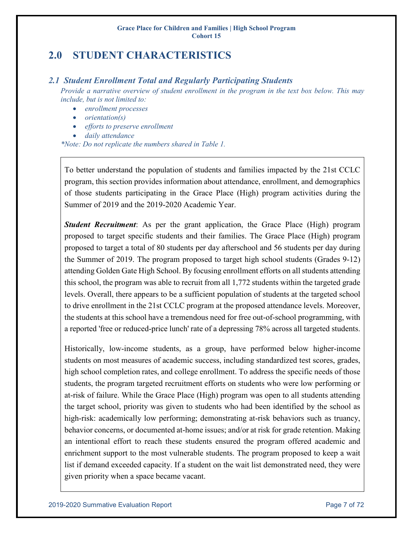## <span id="page-6-0"></span>**2.0 STUDENT CHARACTERISTICS**

### <span id="page-6-1"></span>*2.1 Student Enrollment Total and Regularly Participating Students*

*Provide a narrative overview of student enrollment in the program in the text box below. This may include, but is not limited to:*

- *enrollment processes*
- *orientation(s)*
- *efforts to preserve enrollment*
- *daily attendance*

*\*Note: Do not replicate the numbers shared in Table 1.*

To better understand the population of students and families impacted by the 21st CCLC program, this section provides information about attendance, enrollment, and demographics of those students participating in the Grace Place (High) program activities during the Summer of 2019 and the 2019-2020 Academic Year.

*Student Recruitment*: As per the grant application, the Grace Place (High) program proposed to target specific students and their families. The Grace Place (High) program proposed to target a total of 80 students per day afterschool and 56 students per day during the Summer of 2019. The program proposed to target high school students (Grades 9-12) attending Golden Gate High School. By focusing enrollment efforts on all students attending this school, the program was able to recruit from all 1,772 students within the targeted grade levels. Overall, there appears to be a sufficient population of students at the targeted school to drive enrollment in the 21st CCLC program at the proposed attendance levels. Moreover, the students at this school have a tremendous need for free out-of-school programming, with a reported 'free or reduced-price lunch' rate of a depressing 78% across all targeted students.

Historically, low-income students, as a group, have performed below higher-income students on most measures of academic success, including standardized test scores, grades, high school completion rates, and college enrollment. To address the specific needs of those students, the program targeted recruitment efforts on students who were low performing or at-risk of failure. While the Grace Place (High) program was open to all students attending the target school, priority was given to students who had been identified by the school as high-risk: academically low performing; demonstrating at-risk behaviors such as truancy, behavior concerns, or documented at-home issues; and/or at risk for grade retention. Making an intentional effort to reach these students ensured the program offered academic and enrichment support to the most vulnerable students. The program proposed to keep a wait list if demand exceeded capacity. If a student on the wait list demonstrated need, they were given priority when a space became vacant.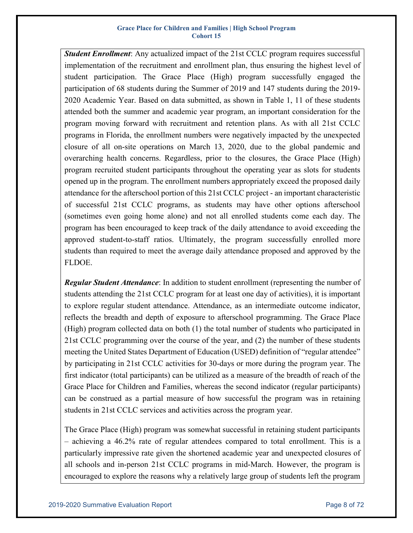*Student Enrollment*: Any actualized impact of the 21st CCLC program requires successful implementation of the recruitment and enrollment plan, thus ensuring the highest level of student participation. The Grace Place (High) program successfully engaged the participation of 68 students during the Summer of 2019 and 147 students during the 2019- 2020 Academic Year. Based on data submitted, as shown in Table 1, 11 of these students attended both the summer and academic year program, an important consideration for the program moving forward with recruitment and retention plans. As with all 21st CCLC programs in Florida, the enrollment numbers were negatively impacted by the unexpected closure of all on-site operations on March 13, 2020, due to the global pandemic and overarching health concerns. Regardless, prior to the closures, the Grace Place (High) program recruited student participants throughout the operating year as slots for students opened up in the program. The enrollment numbers appropriately exceed the proposed daily attendance for the afterschool portion of this 21st CCLC project - an important characteristic of successful 21st CCLC programs, as students may have other options afterschool (sometimes even going home alone) and not all enrolled students come each day. The program has been encouraged to keep track of the daily attendance to avoid exceeding the approved student-to-staff ratios. Ultimately, the program successfully enrolled more students than required to meet the average daily attendance proposed and approved by the FLDOE.

*Regular Student Attendance*: In addition to student enrollment (representing the number of students attending the 21st CCLC program for at least one day of activities), it is important to explore regular student attendance. Attendance, as an intermediate outcome indicator, reflects the breadth and depth of exposure to afterschool programming. The Grace Place (High) program collected data on both (1) the total number of students who participated in 21st CCLC programming over the course of the year, and (2) the number of these students meeting the United States Department of Education (USED) definition of "regular attendee" by participating in 21st CCLC activities for 30-days or more during the program year. The first indicator (total participants) can be utilized as a measure of the breadth of reach of the Grace Place for Children and Families, whereas the second indicator (regular participants) can be construed as a partial measure of how successful the program was in retaining students in 21st CCLC services and activities across the program year.

The Grace Place (High) program was somewhat successful in retaining student participants – achieving a 46.2% rate of regular attendees compared to total enrollment. This is a particularly impressive rate given the shortened academic year and unexpected closures of all schools and in-person 21st CCLC programs in mid-March. However, the program is encouraged to explore the reasons why a relatively large group of students left the program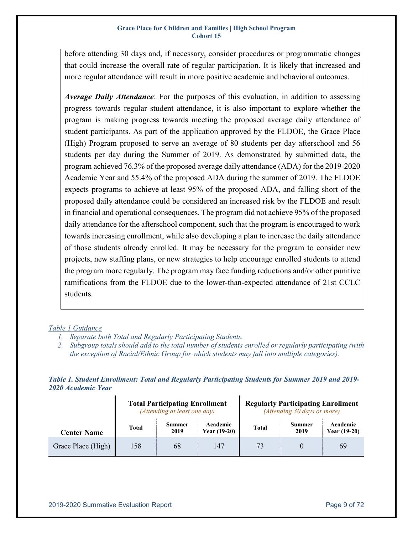before attending 30 days and, if necessary, consider procedures or programmatic changes that could increase the overall rate of regular participation. It is likely that increased and more regular attendance will result in more positive academic and behavioral outcomes.

*Average Daily Attendance*: For the purposes of this evaluation, in addition to assessing progress towards regular student attendance, it is also important to explore whether the program is making progress towards meeting the proposed average daily attendance of student participants. As part of the application approved by the FLDOE, the Grace Place (High) Program proposed to serve an average of 80 students per day afterschool and 56 students per day during the Summer of 2019. As demonstrated by submitted data, the program achieved 76.3% of the proposed average daily attendance (ADA) for the 2019-2020 Academic Year and 55.4% of the proposed ADA during the summer of 2019. The FLDOE expects programs to achieve at least 95% of the proposed ADA, and falling short of the proposed daily attendance could be considered an increased risk by the FLDOE and result in financial and operational consequences. The program did not achieve 95% of the proposed daily attendance for the afterschool component, such that the program is encouraged to work towards increasing enrollment, while also developing a plan to increase the daily attendance of those students already enrolled. It may be necessary for the program to consider new projects, new staffing plans, or new strategies to help encourage enrolled students to attend the program more regularly. The program may face funding reductions and/or other punitive ramifications from the FLDOE due to the lower-than-expected attendance of 21st CCLC students.

### *Table 1 Guidance*

- *1. Separate both Total and Regularly Participating Students.*
- *2. Subgroup totals should add to the total number of students enrolled or regularly participating (with the exception of Racial/Ethnic Group for which students may fall into multiple categories).*

<span id="page-8-0"></span>*Table 1. Student Enrollment: Total and Regularly Participating Students for Summer 2019 and 2019- 2020 Academic Year*

|                           |       | <b>Total Participating Enrollment</b><br>(Attending at least one day) |                            | <b>Regularly Participating Enrollment</b><br>(Attending 30 days or more) |                       |                            |  |  |  |  |  |
|---------------------------|-------|-----------------------------------------------------------------------|----------------------------|--------------------------------------------------------------------------|-----------------------|----------------------------|--|--|--|--|--|
| <b>Center Name</b>        | Total | <b>Summer</b><br>2019                                                 | Academic<br>Year $(19-20)$ | <b>Total</b>                                                             | <b>Summer</b><br>2019 | Academic<br>Year $(19-20)$ |  |  |  |  |  |
| 158<br>Grace Place (High) |       | 68                                                                    | 147                        | 73                                                                       |                       | 69                         |  |  |  |  |  |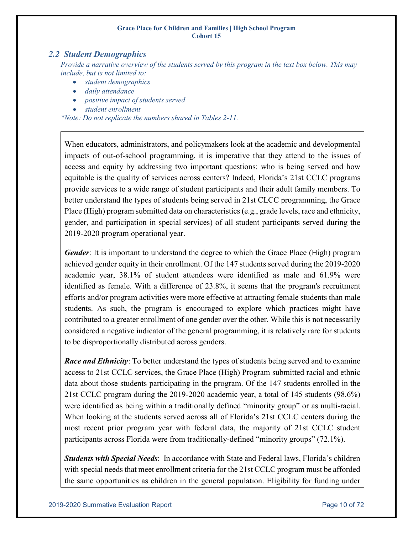### <span id="page-9-0"></span>*2.2 Student Demographics*

*Provide a narrative overview of the students served by this program in the text box below. This may include, but is not limited to:*

- *student demographics*
- *daily attendance*
- *positive impact of students served*
- *student enrollment*

*\*Note: Do not replicate the numbers shared in Tables 2-11.*

When educators, administrators, and policymakers look at the academic and developmental impacts of out-of-school programming, it is imperative that they attend to the issues of access and equity by addressing two important questions: who is being served and how equitable is the quality of services across centers? Indeed, Florida's 21st CCLC programs provide services to a wide range of student participants and their adult family members. To better understand the types of students being served in 21st CLCC programming, the Grace Place (High) program submitted data on characteristics (e.g., grade levels, race and ethnicity, gender, and participation in special services) of all student participants served during the 2019-2020 program operational year.

*Gender*: It is important to understand the degree to which the Grace Place (High) program achieved gender equity in their enrollment. Of the 147 students served during the 2019-2020 academic year, 38.1% of student attendees were identified as male and 61.9% were identified as female. With a difference of 23.8%, it seems that the program's recruitment efforts and/or program activities were more effective at attracting female students than male students. As such, the program is encouraged to explore which practices might have contributed to a greater enrollment of one gender over the other. While this is not necessarily considered a negative indicator of the general programming, it is relatively rare for students to be disproportionally distributed across genders.

*Race and Ethnicity*: To better understand the types of students being served and to examine access to 21st CCLC services, the Grace Place (High) Program submitted racial and ethnic data about those students participating in the program. Of the 147 students enrolled in the 21st CCLC program during the 2019-2020 academic year, a total of 145 students (98.6%) were identified as being within a traditionally defined "minority group" or as multi-racial. When looking at the students served across all of Florida's 21st CCLC centers during the most recent prior program year with federal data, the majority of 21st CCLC student participants across Florida were from traditionally-defined "minority groups" (72.1%).

*Students with Special Needs*: In accordance with State and Federal laws, Florida's children with special needs that meet enrollment criteria for the 21st CCLC program must be afforded the same opportunities as children in the general population. Eligibility for funding under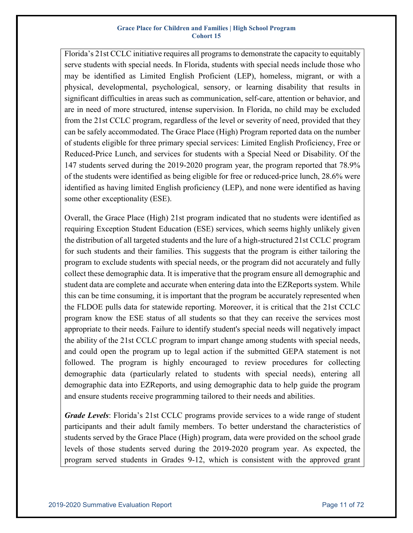Florida's 21st CCLC initiative requires all programs to demonstrate the capacity to equitably serve students with special needs. In Florida, students with special needs include those who may be identified as Limited English Proficient (LEP), homeless, migrant, or with a physical, developmental, psychological, sensory, or learning disability that results in significant difficulties in areas such as communication, self-care, attention or behavior, and are in need of more structured, intense supervision. In Florida, no child may be excluded from the 21st CCLC program, regardless of the level or severity of need, provided that they can be safely accommodated. The Grace Place (High) Program reported data on the number of students eligible for three primary special services: Limited English Proficiency, Free or Reduced-Price Lunch, and services for students with a Special Need or Disability. Of the 147 students served during the 2019-2020 program year, the program reported that 78.9% of the students were identified as being eligible for free or reduced-price lunch, 28.6% were identified as having limited English proficiency (LEP), and none were identified as having some other exceptionality (ESE).

Overall, the Grace Place (High) 21st program indicated that no students were identified as requiring Exception Student Education (ESE) services, which seems highly unlikely given the distribution of all targeted students and the lure of a high-structured 21st CCLC program for such students and their families. This suggests that the program is either tailoring the program to exclude students with special needs, or the program did not accurately and fully collect these demographic data. It is imperative that the program ensure all demographic and student data are complete and accurate when entering data into the EZReports system. While this can be time consuming, it is important that the program be accurately represented when the FLDOE pulls data for statewide reporting. Moreover, it is critical that the 21st CCLC program know the ESE status of all students so that they can receive the services most appropriate to their needs. Failure to identify student's special needs will negatively impact the ability of the 21st CCLC program to impart change among students with special needs, and could open the program up to legal action if the submitted GEPA statement is not followed. The program is highly encouraged to review procedures for collecting demographic data (particularly related to students with special needs), entering all demographic data into EZReports, and using demographic data to help guide the program and ensure students receive programming tailored to their needs and abilities.

*Grade Levels*: Florida's 21st CCLC programs provide services to a wide range of student participants and their adult family members. To better understand the characteristics of students served by the Grace Place (High) program, data were provided on the school grade levels of those students served during the 2019-2020 program year. As expected, the program served students in Grades 9-12, which is consistent with the approved grant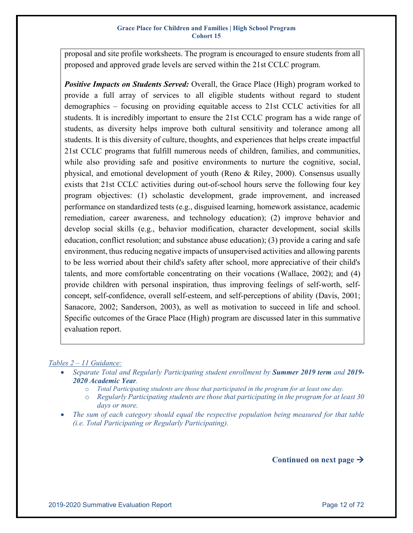proposal and site profile worksheets. The program is encouraged to ensure students from all proposed and approved grade levels are served within the 21st CCLC program.

*Positive Impacts on Students Served:* Overall, the Grace Place (High) program worked to provide a full array of services to all eligible students without regard to student demographics – focusing on providing equitable access to 21st CCLC activities for all students. It is incredibly important to ensure the 21st CCLC program has a wide range of students, as diversity helps improve both cultural sensitivity and tolerance among all students. It is this diversity of culture, thoughts, and experiences that helps create impactful 21st CCLC programs that fulfill numerous needs of children, families, and communities, while also providing safe and positive environments to nurture the cognitive, social, physical, and emotional development of youth (Reno & Riley, 2000). Consensus usually exists that 21st CCLC activities during out-of-school hours serve the following four key program objectives: (1) scholastic development, grade improvement, and increased performance on standardized tests (e.g., disguised learning, homework assistance, academic remediation, career awareness, and technology education); (2) improve behavior and develop social skills (e.g., behavior modification, character development, social skills education, conflict resolution; and substance abuse education); (3) provide a caring and safe environment, thus reducing negative impacts of unsupervised activities and allowing parents to be less worried about their child's safety after school, more appreciative of their child's talents, and more comfortable concentrating on their vocations (Wallace, 2002); and (4) provide children with personal inspiration, thus improving feelings of self-worth, selfconcept, self-confidence, overall self-esteem, and self-perceptions of ability (Davis, 2001; Sanacore, 2002; Sanderson, 2003), as well as motivation to succeed in life and school. Specific outcomes of the Grace Place (High) program are discussed later in this summative evaluation report.

### *Tables 2 – 11 Guidance:*

- *Separate Total and Regularly Participating student enrollment by Summer 2019 term and 2019- 2020 Academic Year.*
	- o *Total Participating students are those that participated in the program for at least one day.*
	- o *Regularly Participating students are those that participating in the program for at least 30 days or more.*
- *The sum of each category should equal the respective population being measured for that table (i.e. Total Participating or Regularly Participating).*

Continued on next page  $\rightarrow$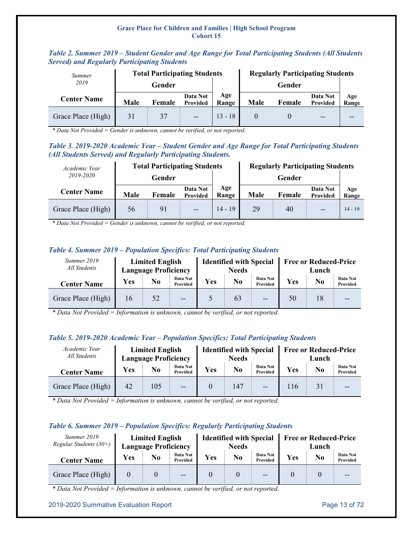| Summer             |             | <b>Total Participating Students</b> |                             |              | <b>Regularly Participating Students</b> |        |                      |              |  |  |  |
|--------------------|-------------|-------------------------------------|-----------------------------|--------------|-----------------------------------------|--------|----------------------|--------------|--|--|--|
| 2019               |             | Gender                              |                             |              |                                         | Gender |                      |              |  |  |  |
| <b>Center Name</b> | <b>Male</b> | Female                              | Data Not<br><b>Provided</b> | Age<br>Range | Male                                    | Female | Data Not<br>Provided | Age<br>Range |  |  |  |
| Grace Place (High) | 31          | 37                                  | $-$                         | $13 - 18$    |                                         |        | $-$                  | --           |  |  |  |

### <span id="page-12-0"></span>*Table 2. Summer 2019 – Student Gender and Age Range for Total Participating Students (All Students Served) and Regularly Participating Students*

*\* Data Not Provided = Gender is unknown, cannot be verified, or not reported.*

### <span id="page-12-1"></span>*Table 3. 2019-2020 Academic Year – Student Gender and Age Range for Total Participating Students (All Students Served) and Regularly Participating Students.*

| Academic Year      |      | <b>Total Participating Students</b> |                      |              | <b>Regularly Participating Students</b> |                                |     |           |  |  |  |
|--------------------|------|-------------------------------------|----------------------|--------------|-----------------------------------------|--------------------------------|-----|-----------|--|--|--|
| 2019-2020          |      | Gender                              |                      |              |                                         | Gender                         |     |           |  |  |  |
| <b>Center Name</b> | Male | Female                              | Data Not<br>Provided | Age<br>Range | Male                                    | Data Not<br>Female<br>Provided |     |           |  |  |  |
| Grace Place (High) | 56   | 91                                  | $\overline{a}$       | $14 - 19$    | 29                                      | 40                             | $-$ | $14 - 19$ |  |  |  |

*\* Data Not Provided = Gender is unknown, cannot be verified, or not reported.*

### <span id="page-12-2"></span>*Table 4. Summer 2019 – Population Specifics: Total Participating Students*

| Summer 2019<br>All Students |            | <b>Limited English</b><br><b>Language Proficiency</b> |                             |     | <b>Identified with Special</b><br><b>Needs</b> |                      | <b>Free or Reduced-Price</b><br>Lunch |                |                      |  |  |
|-----------------------------|------------|-------------------------------------------------------|-----------------------------|-----|------------------------------------------------|----------------------|---------------------------------------|----------------|----------------------|--|--|
| <b>Center Name</b>          | <b>Yes</b> | No                                                    | Data Not<br><b>Provided</b> | Yes | No                                             | Data Not<br>Provided | Yes                                   | N <sub>0</sub> | Data Not<br>Provided |  |  |
| Grace Place (High)          | 16         | 52                                                    | $\overline{a}$              |     | 63                                             | $-$                  | 50                                    | 18             | $- -$                |  |  |

*\* Data Not Provided = Information is unknown, cannot be verified, or not reported.*

### <span id="page-12-3"></span>*Table 5. 2019-2020 Academic Year – Population Specifics: Total Participating Students*

| Academic Year<br>All Students |           | <b>Limited English</b><br><b>Language Proficiency</b> |                      |     | <b>Identified with Special</b><br><b>Needs</b> |       | <b>Free or Reduced-Price</b><br>Lunch |                |                      |  |  |
|-------------------------------|-----------|-------------------------------------------------------|----------------------|-----|------------------------------------------------|-------|---------------------------------------|----------------|----------------------|--|--|
| <b>Center Name</b>            | Yes<br>No |                                                       | Data Not<br>Provided | Yes | Data Not<br>No.<br>Provided                    |       | Yes                                   | N <sub>0</sub> | Data Not<br>Provided |  |  |
| Grace Place (High)            | 42        | 105                                                   | --                   |     | 147                                            | $- -$ | 116                                   | 31             |                      |  |  |

*\* Data Not Provided = Information is unknown, cannot be verified, or not reported.*

### <span id="page-12-4"></span>*Table 6. Summer 2019 – Population Specifics: Regularly Participating Students*

| Summer 2019<br>Regular Students $(30+)$ |            | <b>Limited English</b><br><b>Language Proficiency</b> |                      |     | <b>Identified with Special</b><br><b>Needs</b> |                      | <b>Free or Reduced-Price</b><br>Lunch |    |                      |  |
|-----------------------------------------|------------|-------------------------------------------------------|----------------------|-----|------------------------------------------------|----------------------|---------------------------------------|----|----------------------|--|
| <b>Center Name</b>                      | <b>Yes</b> | No                                                    | Data Not<br>Provided | Yes | No                                             | Data Not<br>Provided | Yes                                   | No | Data Not<br>Provided |  |
| Grace Place (High)                      |            |                                                       | $-$                  |     |                                                | --                   |                                       |    |                      |  |

*\* Data Not Provided = Information is unknown, cannot be verified, or not reported.*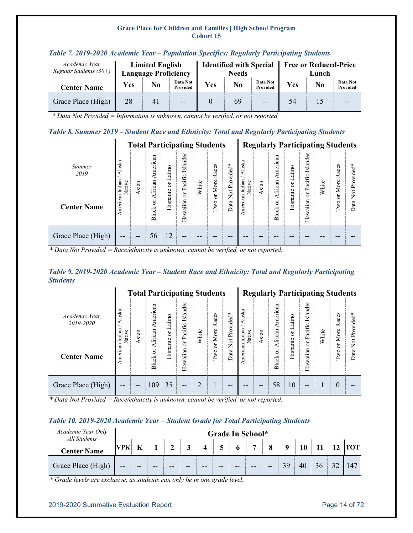| Academic Year<br>Regular Students $(30+)$ | <b>Limited English</b><br><b>Language Proficiency</b> |    |                      |     |    |                      | <b>Free or Reduced-Price</b><br>Lunch |    |                      |  |  |
|-------------------------------------------|-------------------------------------------------------|----|----------------------|-----|----|----------------------|---------------------------------------|----|----------------------|--|--|
| <b>Center Name</b>                        | <b>Yes</b>                                            | No | Data Not<br>Provided | Yes | No | Data Not<br>Provided | Yes                                   | No | Data Not<br>Provided |  |  |
| Grace Place (High)                        | 28                                                    | 41 | $- -$                |     | 69 | $- -$                | 54                                    |    | $- -$                |  |  |

### <span id="page-13-0"></span>*Table 7. 2019-2020 Academic Year – Population Specifics: Regularly Participating Students*

*\* Data Not Provided = Information is unknown, cannot be verified, or not reported.*

### <span id="page-13-1"></span>*Table 8. Summer 2019 – Student Race and Ethnicity: Total and Regularly Participating Students*

| <b>Total Participating Students</b> |                            |       |                    |                 |                        |       |                   |                                 |                            | <b>Regularly Participating Students</b> |                                              |           |                        |       |               |                       |  |
|-------------------------------------|----------------------------|-------|--------------------|-----------------|------------------------|-------|-------------------|---------------------------------|----------------------------|-----------------------------------------|----------------------------------------------|-----------|------------------------|-------|---------------|-----------------------|--|
| Summer<br>2019                      | Alaska<br>Indian<br>Native | Asian | merican<br>African | atino<br>凵<br>ă | Islander<br>or Pacific | White | Races<br>More     | Provided*                       | Alaska<br>Indian<br>Native | sian                                    | American<br>African                          | or Latino | Islander<br>or Pacific | White | Races<br>More | Provided*             |  |
| <b>Center Name</b>                  | American                   |       | ð<br>Black         | Hispanic        | Hawaiian               |       | ä<br>$_{\rm Two}$ | $\overline{\mathbf{z}}$<br>Data | American                   |                                         | $\overleftarrow{\mathrm{o}}$<br><b>Black</b> | Hispanic  | Hawaiian               |       | ä<br>Two      | $\frac{5}{2}$<br>Data |  |
| Grace Place (High)                  | --                         | --    | 56                 | 12              | --                     | --    |                   |                                 |                            |                                         |                                              |           |                        |       |               |                       |  |

*\* Data Not Provided = Race/ethnicity is unknown, cannot be verified, or not reported.*

### <span id="page-13-2"></span>*Table 9. 2019-2020 Academic Year – Student Race and Ethnicity: Total and Regularly Participating Students*

|                            |                            | <b>Total Participating Students</b> |                          |             |                        |                |                       |                              |                            |      | <b>Regularly Participating Students</b> |           |                        |       |               |               |  |
|----------------------------|----------------------------|-------------------------------------|--------------------------|-------------|------------------------|----------------|-----------------------|------------------------------|----------------------------|------|-----------------------------------------|-----------|------------------------|-------|---------------|---------------|--|
| Academic Year<br>2019-2020 | Alaska<br>Indian<br>Native | sian                                | American<br>an<br>Africa | Latino<br>ă | Islander<br>or Pacific | White          | s<br>Races<br>More    | Provided*                    | Alaska<br>Indian<br>Native | sian | American<br>African                     | or Latino | Islander<br>or Pacific | White | Races<br>More | Not Provided* |  |
| <b>Center Name</b>         | American                   |                                     | ð<br><b>Black</b>        | Hispanic    | Hawaiian               |                | ä<br>$_{\rm wo}$<br>É | $\overrightarrow{X}$<br>Data | American                   |      | $\overleftarrow{\mathrm{o}}$<br>Black   | Hispanic  | Hawaiian               |       | ă<br>ğΟ<br>⊢  | Data          |  |
| Grace Place (High)         | --                         | --                                  | 109                      | 35          | --                     | $\overline{2}$ |                       | --                           |                            | --   | 58                                      | 10        | $- -$                  |       | $\theta$      |               |  |

*\* Data Not Provided = Race/ethnicity is unknown, cannot be verified, or not reported.*

### <span id="page-13-3"></span>*Table 10. 2019-2020 Academic Year – Student Grade for Total Participating Students*

| Academic Year Only<br>All Students | Grade In School* |    |  |                    |   |                         |                |       |       |              |             |    |           |    |            |
|------------------------------------|------------------|----|--|--------------------|---|-------------------------|----------------|-------|-------|--------------|-------------|----|-----------|----|------------|
| <b>Center Name</b>                 | <b>VPK</b>       | K  |  | $\mathbf{\hat{z}}$ | 3 | $\overline{\mathbf{4}}$ | $\overline{5}$ |       |       | $\mathbf{o}$ | $\mathbf 0$ |    | <b>11</b> | 12 | <b>TOT</b> |
| Grace Place (High)                 | $- -$            | -- |  |                    |   |                         |                | $- -$ | $- -$ | $- -$        | 39          | 40 | 36        |    | 147        |

*\* Grade levels are exclusive, as students can only be in one grade level.*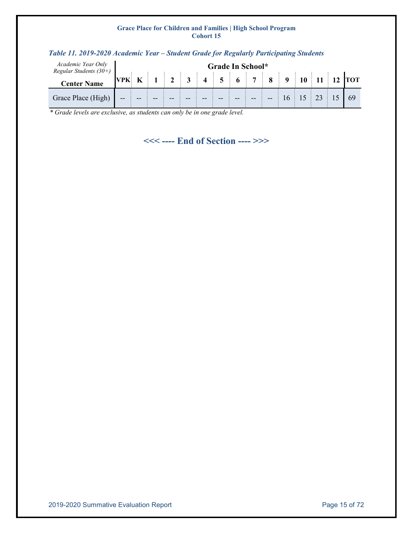| Academic Year Only<br>Regular Students $(30+)$ |       |  |   |                         |                 |                | Grade In School* |   |  |  |            |
|------------------------------------------------|-------|--|---|-------------------------|-----------------|----------------|------------------|---|--|--|------------|
| <b>Center Name</b>                             | VPK   |  | 3 | $\overline{\mathbf{4}}$ | $5\phantom{.0}$ | 6 <sup>1</sup> | $\overline{7}$   | 8 |  |  | <b>TOT</b> |
| Grace Place (High)                             | $- -$ |  |   |                         |                 |                |                  |   |  |  |            |

### <span id="page-14-0"></span>*Table 11. 2019-2020 Academic Year – Student Grade for Regularly Participating Students*

*\* Grade levels are exclusive, as students can only be in one grade level.*

**<<< ---- End of Section ---- >>>**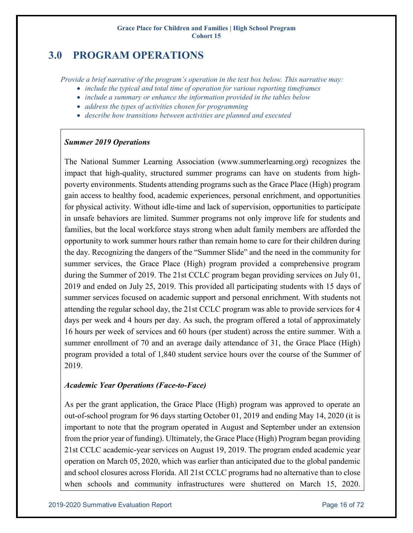## <span id="page-15-0"></span>**3.0 PROGRAM OPERATIONS**

*Provide a brief narrative of the program's operation in the text box below. This narrative may:* 

- *include the typical and total time of operation for various reporting timeframes*
- *include a summary or enhance the information provided in the tables below*
- *address the types of activities chosen for programming*
- *describe how transitions between activities are planned and executed*

### *Summer 2019 Operations*

The National Summer Learning Association (www.summerlearning.org) recognizes the impact that high-quality, structured summer programs can have on students from highpoverty environments. Students attending programs such as the Grace Place (High) program gain access to healthy food, academic experiences, personal enrichment, and opportunities for physical activity. Without idle-time and lack of supervision, opportunities to participate in unsafe behaviors are limited. Summer programs not only improve life for students and families, but the local workforce stays strong when adult family members are afforded the opportunity to work summer hours rather than remain home to care for their children during the day. Recognizing the dangers of the "Summer Slide" and the need in the community for summer services, the Grace Place (High) program provided a comprehensive program during the Summer of 2019. The 21st CCLC program began providing services on July 01, 2019 and ended on July 25, 2019. This provided all participating students with 15 days of summer services focused on academic support and personal enrichment. With students not attending the regular school day, the 21st CCLC program was able to provide services for 4 days per week and 4 hours per day. As such, the program offered a total of approximately 16 hours per week of services and 60 hours (per student) across the entire summer. With a summer enrollment of 70 and an average daily attendance of 31, the Grace Place (High) program provided a total of 1,840 student service hours over the course of the Summer of 2019.

### *Academic Year Operations (Face-to-Face)*

As per the grant application, the Grace Place (High) program was approved to operate an out-of-school program for 96 days starting October 01, 2019 and ending May 14, 2020 (it is important to note that the program operated in August and September under an extension from the prior year of funding). Ultimately, the Grace Place (High) Program began providing 21st CCLC academic-year services on August 19, 2019. The program ended academic year operation on March 05, 2020, which was earlier than anticipated due to the global pandemic and school closures across Florida. All 21st CCLC programs had no alternative than to close when schools and community infrastructures were shuttered on March 15, 2020.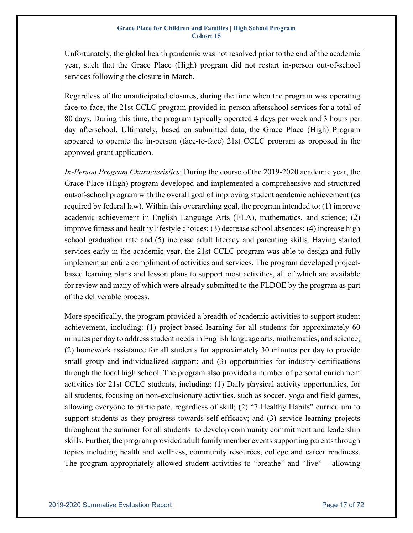Unfortunately, the global health pandemic was not resolved prior to the end of the academic year, such that the Grace Place (High) program did not restart in-person out-of-school services following the closure in March.

Regardless of the unanticipated closures, during the time when the program was operating face-to-face, the 21st CCLC program provided in-person afterschool services for a total of 80 days. During this time, the program typically operated 4 days per week and 3 hours per day afterschool. Ultimately, based on submitted data, the Grace Place (High) Program appeared to operate the in-person (face-to-face) 21st CCLC program as proposed in the approved grant application.

*In-Person Program Characteristics*: During the course of the 2019-2020 academic year, the Grace Place (High) program developed and implemented a comprehensive and structured out-of-school program with the overall goal of improving student academic achievement (as required by federal law). Within this overarching goal, the program intended to: (1) improve academic achievement in English Language Arts (ELA), mathematics, and science; (2) improve fitness and healthy lifestyle choices; (3) decrease school absences; (4) increase high school graduation rate and (5) increase adult literacy and parenting skills. Having started services early in the academic year, the 21st CCLC program was able to design and fully implement an entire compliment of activities and services. The program developed projectbased learning plans and lesson plans to support most activities, all of which are available for review and many of which were already submitted to the FLDOE by the program as part of the deliverable process.

More specifically, the program provided a breadth of academic activities to support student achievement, including: (1) project-based learning for all students for approximately 60 minutes per day to address student needs in English language arts, mathematics, and science; (2) homework assistance for all students for approximately 30 minutes per day to provide small group and individualized support; and (3) opportunities for industry certifications through the local high school. The program also provided a number of personal enrichment activities for 21st CCLC students, including: (1) Daily physical activity opportunities, for all students, focusing on non-exclusionary activities, such as soccer, yoga and field games, allowing everyone to participate, regardless of skill; (2) "7 Healthy Habits" curriculum to support students as they progress towards self-efficacy; and (3) service learning projects throughout the summer for all students to develop community commitment and leadership skills. Further, the program provided adult family member events supporting parents through topics including health and wellness, community resources, college and career readiness. The program appropriately allowed student activities to "breathe" and "live" – allowing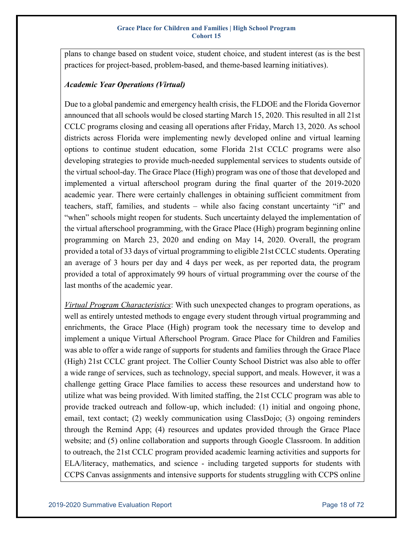plans to change based on student voice, student choice, and student interest (as is the best practices for project-based, problem-based, and theme-based learning initiatives).

### *Academic Year Operations (Virtual)*

Due to a global pandemic and emergency health crisis, the FLDOE and the Florida Governor announced that all schools would be closed starting March 15, 2020. This resulted in all 21st CCLC programs closing and ceasing all operations after Friday, March 13, 2020. As school districts across Florida were implementing newly developed online and virtual learning options to continue student education, some Florida 21st CCLC programs were also developing strategies to provide much-needed supplemental services to students outside of the virtual school-day. The Grace Place (High) program was one of those that developed and implemented a virtual afterschool program during the final quarter of the 2019-2020 academic year. There were certainly challenges in obtaining sufficient commitment from teachers, staff, families, and students – while also facing constant uncertainty "if" and "when" schools might reopen for students. Such uncertainty delayed the implementation of the virtual afterschool programming, with the Grace Place (High) program beginning online programming on March 23, 2020 and ending on May 14, 2020. Overall, the program provided a total of 33 days of virtual programming to eligible 21st CCLC students. Operating an average of 3 hours per day and 4 days per week, as per reported data, the program provided a total of approximately 99 hours of virtual programming over the course of the last months of the academic year.

*Virtual Program Characteristics*: With such unexpected changes to program operations, as well as entirely untested methods to engage every student through virtual programming and enrichments, the Grace Place (High) program took the necessary time to develop and implement a unique Virtual Afterschool Program. Grace Place for Children and Families was able to offer a wide range of supports for students and families through the Grace Place (High) 21st CCLC grant project. The Collier County School District was also able to offer a wide range of services, such as technology, special support, and meals. However, it was a challenge getting Grace Place families to access these resources and understand how to utilize what was being provided. With limited staffing, the 21st CCLC program was able to provide tracked outreach and follow-up, which included: (1) initial and ongoing phone, email, text contact; (2) weekly communication using ClassDojo; (3) ongoing reminders through the Remind App; (4) resources and updates provided through the Grace Place website; and (5) online collaboration and supports through Google Classroom. In addition to outreach, the 21st CCLC program provided academic learning activities and supports for ELA/literacy, mathematics, and science - including targeted supports for students with CCPS Canvas assignments and intensive supports for students struggling with CCPS online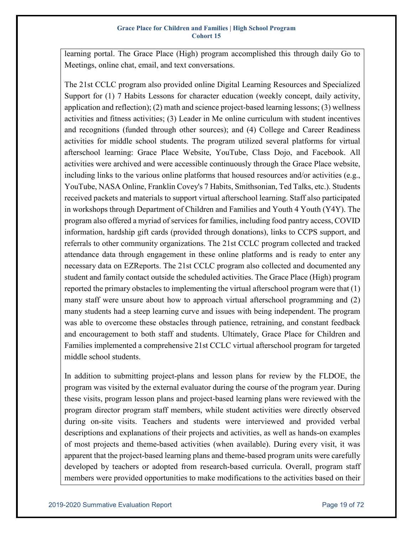learning portal. The Grace Place (High) program accomplished this through daily Go to Meetings, online chat, email, and text conversations.

The 21st CCLC program also provided online Digital Learning Resources and Specialized Support for (1) 7 Habits Lessons for character education (weekly concept, daily activity, application and reflection); (2) math and science project-based learning lessons; (3) wellness activities and fitness activities; (3) Leader in Me online curriculum with student incentives and recognitions (funded through other sources); and (4) College and Career Readiness activities for middle school students. The program utilized several platforms for virtual afterschool learning: Grace Place Website, YouTube, Class Dojo, and Facebook. All activities were archived and were accessible continuously through the Grace Place website, including links to the various online platforms that housed resources and/or activities (e.g., YouTube, NASA Online, Franklin Covey's 7 Habits, Smithsonian, Ted Talks, etc.). Students received packets and materials to support virtual afterschool learning. Staff also participated in workshops through Department of Children and Families and Youth 4 Youth (Y4Y). The program also offered a myriad of services for families, including food pantry access, COVID information, hardship gift cards (provided through donations), links to CCPS support, and referrals to other community organizations. The 21st CCLC program collected and tracked attendance data through engagement in these online platforms and is ready to enter any necessary data on EZReports. The 21st CCLC program also collected and documented any student and family contact outside the scheduled activities. The Grace Place (High) program reported the primary obstacles to implementing the virtual afterschool program were that (1) many staff were unsure about how to approach virtual afterschool programming and (2) many students had a steep learning curve and issues with being independent. The program was able to overcome these obstacles through patience, retraining, and constant feedback and encouragement to both staff and students. Ultimately, Grace Place for Children and Families implemented a comprehensive 21st CCLC virtual afterschool program for targeted middle school students.

In addition to submitting project-plans and lesson plans for review by the FLDOE, the program was visited by the external evaluator during the course of the program year. During these visits, program lesson plans and project-based learning plans were reviewed with the program director program staff members, while student activities were directly observed during on-site visits. Teachers and students were interviewed and provided verbal descriptions and explanations of their projects and activities, as well as hands-on examples of most projects and theme-based activities (when available). During every visit, it was apparent that the project-based learning plans and theme-based program units were carefully developed by teachers or adopted from research-based curricula. Overall, program staff members were provided opportunities to make modifications to the activities based on their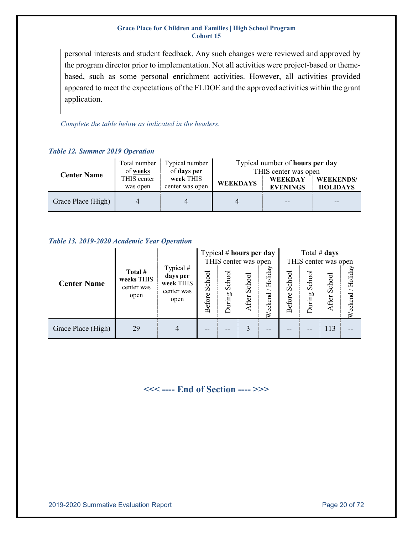personal interests and student feedback. Any such changes were reviewed and approved by the program director prior to implementation. Not all activities were project-based or themebased, such as some personal enrichment activities. However, all activities provided appeared to meet the expectations of the FLDOE and the approved activities within the grant application.

*Complete the table below as indicated in the headers.*

### <span id="page-19-0"></span>*Table 12. Summer 2019 Operation*

| <b>Center Name</b> | Typical number<br>Total number<br>of days per<br>of <u>weeks</u> |                              | Typical number of hours per day<br>THIS center was open |                                   |                                     |  |  |
|--------------------|------------------------------------------------------------------|------------------------------|---------------------------------------------------------|-----------------------------------|-------------------------------------|--|--|
|                    | THIS center<br>was open                                          | week THIS<br>center was open | <b>WEEKDAYS</b>                                         | <b>WEEKDAY</b><br><b>EVENINGS</b> | <b>WEEKENDS/</b><br><b>HOLIDAYS</b> |  |  |
| Grace Place (High) |                                                                  |                              |                                                         |                                   | --                                  |  |  |

### <span id="page-19-1"></span>*Table 13. 2019-2020 Academic Year Operation*

|                    |                                             |                                                          |                         | $Ty$ right $\#$ hours per day<br>THIS center was open |                 |                    |                  | Total # days           | THIS center was open |                     |
|--------------------|---------------------------------------------|----------------------------------------------------------|-------------------------|-------------------------------------------------------|-----------------|--------------------|------------------|------------------------|----------------------|---------------------|
| <b>Center Name</b> | Total #<br>weeks THIS<br>center was<br>open | Typical #<br>days per<br>week THIS<br>center was<br>open | School<br><b>Before</b> | School<br>uring<br>≏                                  | School<br>After | Holiday<br>Weekend | School<br>Before | ರ<br>Sch<br>uring<br>≏ | School<br>After      | /Holiday<br>Weekend |
| Grace Place (High) | 29                                          | 4                                                        |                         |                                                       |                 |                    |                  |                        | 113                  |                     |

### **<<< ---- End of Section ---- >>>**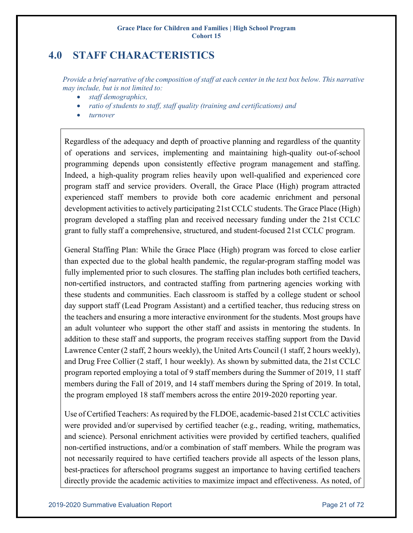## <span id="page-20-0"></span>**4.0 STAFF CHARACTERISTICS**

*Provide a brief narrative of the composition of staff at each center in the text box below. This narrative may include, but is not limited to:* 

- *staff demographics,*
- *ratio of students to staff, staff quality (training and certifications) and*
- *turnover*

Regardless of the adequacy and depth of proactive planning and regardless of the quantity of operations and services, implementing and maintaining high-quality out-of-school programming depends upon consistently effective program management and staffing. Indeed, a high-quality program relies heavily upon well-qualified and experienced core program staff and service providers. Overall, the Grace Place (High) program attracted experienced staff members to provide both core academic enrichment and personal development activities to actively participating 21st CCLC students. The Grace Place (High) program developed a staffing plan and received necessary funding under the 21st CCLC grant to fully staff a comprehensive, structured, and student-focused 21st CCLC program.

General Staffing Plan: While the Grace Place (High) program was forced to close earlier than expected due to the global health pandemic, the regular-program staffing model was fully implemented prior to such closures. The staffing plan includes both certified teachers, non-certified instructors, and contracted staffing from partnering agencies working with these students and communities. Each classroom is staffed by a college student or school day support staff (Lead Program Assistant) and a certified teacher, thus reducing stress on the teachers and ensuring a more interactive environment for the students. Most groups have an adult volunteer who support the other staff and assists in mentoring the students. In addition to these staff and supports, the program receives staffing support from the David Lawrence Center (2 staff, 2 hours weekly), the United Arts Council (1 staff, 2 hours weekly), and Drug Free Collier (2 staff, 1 hour weekly). As shown by submitted data, the 21st CCLC program reported employing a total of 9 staff members during the Summer of 2019, 11 staff members during the Fall of 2019, and 14 staff members during the Spring of 2019. In total, the program employed 18 staff members across the entire 2019-2020 reporting year.

Use of Certified Teachers: As required by the FLDOE, academic-based 21st CCLC activities were provided and/or supervised by certified teacher (e.g., reading, writing, mathematics, and science). Personal enrichment activities were provided by certified teachers, qualified non-certified instructions, and/or a combination of staff members. While the program was not necessarily required to have certified teachers provide all aspects of the lesson plans, best-practices for afterschool programs suggest an importance to having certified teachers directly provide the academic activities to maximize impact and effectiveness. As noted, of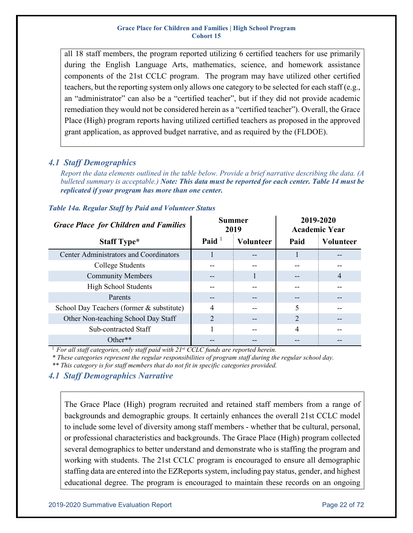all 18 staff members, the program reported utilizing 6 certified teachers for use primarily during the English Language Arts, mathematics, science, and homework assistance components of the 21st CCLC program. The program may have utilized other certified teachers, but the reporting system only allows one category to be selected for each staff (e.g., an "administrator" can also be a "certified teacher", but if they did not provide academic remediation they would not be considered herein as a "certified teacher"). Overall, the Grace Place (High) program reports having utilized certified teachers as proposed in the approved grant application, as approved budget narrative, and as required by the (FLDOE).

### <span id="page-21-0"></span>*4.1 Staff Demographics*

*Report the data elements outlined in the table below. Provide a brief narrative describing the data. (A bulleted summary is acceptable.) Note: This data must be reported for each center. Table 14 must be replicated if your program has more than one center.* 

| <b>Grace Place for Children and Families</b>  |                | <b>Summer</b><br>2019 | 2019-2020      | <b>Academic Year</b> |
|-----------------------------------------------|----------------|-----------------------|----------------|----------------------|
| <b>Staff Type*</b>                            | Paid $1$       | <b>Volunteer</b>      | Paid           | <b>Volunteer</b>     |
| <b>Center Administrators and Coordinators</b> |                |                       |                |                      |
| College Students                              |                |                       |                |                      |
| <b>Community Members</b>                      |                |                       |                | 4                    |
| <b>High School Students</b>                   |                |                       |                |                      |
| Parents                                       |                |                       |                |                      |
| School Day Teachers (former & substitute)     | 4              |                       | 5              |                      |
| Other Non-teaching School Day Staff           | $\overline{2}$ |                       | $\overline{2}$ |                      |
| Sub-contracted Staff                          |                |                       | 4              |                      |
| $Other**$                                     |                |                       |                |                      |

### <span id="page-21-1"></span>*Table 14a. Regular Staff by Paid and Volunteer Status*

<sup>1</sup> For all staff categories, only staff paid with 21<sup>st</sup> CCLC funds are reported herein.

*\* These categories represent the regular responsibilities of program staff during the regular school day.* 

*\*\* This category is for staff members that do not fit in specific categories provided.*

### <span id="page-21-2"></span>*4.1 Staff Demographics Narrative*

The Grace Place (High) program recruited and retained staff members from a range of backgrounds and demographic groups. It certainly enhances the overall 21st CCLC model to include some level of diversity among staff members - whether that be cultural, personal, or professional characteristics and backgrounds. The Grace Place (High) program collected several demographics to better understand and demonstrate who is staffing the program and working with students. The 21st CCLC program is encouraged to ensure all demographic staffing data are entered into the EZReports system, including pay status, gender, and highest educational degree. The program is encouraged to maintain these records on an ongoing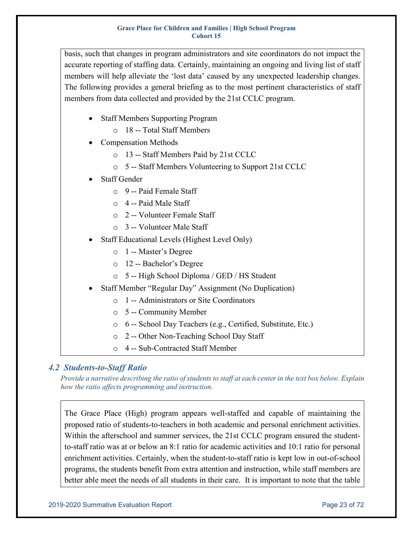basis, such that changes in program administrators and site coordinators do not impact the accurate reporting of staffing data. Certainly, maintaining an ongoing and living list of staff members will help alleviate the 'lost data' caused by any unexpected leadership changes. The following provides a general briefing as to the most pertinent characteristics of staff members from data collected and provided by the 21st CCLC program.

- Staff Members Supporting Program
	- o 18 -- Total Staff Members
- Compensation Methods
	- o 13 -- Staff Members Paid by 21st CCLC
	- o 5 -- Staff Members Volunteering to Support 21st CCLC
- Staff Gender
	- $\circ$  9 -- Paid Female Staff
	- o 4 -- Paid Male Staff
	- o 2 -- Volunteer Female Staff
	- o 3 -- Volunteer Male Staff
- Staff Educational Levels (Highest Level Only)
	- o 1 -- Master's Degree
	- o 12 -- Bachelor's Degree
	- o 5 -- High School Diploma / GED / HS Student
- Staff Member "Regular Day" Assignment (No Duplication)
	- o 1 -- Administrators or Site Coordinators
	- o 5 -- Community Member
	- o 6 -- School Day Teachers (e.g., Certified, Substitute, Etc.)
	- o 2 -- Other Non-Teaching School Day Staff
	- o 4 -- Sub-Contracted Staff Member

### <span id="page-22-0"></span>*4.2 Students-to-Staff Ratio*

*Provide a narrative describing the ratio of students to staff at each center in the text box below. Explain how the ratio affects programming and instruction.*

The Grace Place (High) program appears well-staffed and capable of maintaining the proposed ratio of students-to-teachers in both academic and personal enrichment activities. Within the afterschool and summer services, the 21st CCLC program ensured the studentto-staff ratio was at or below an 8:1 ratio for academic activities and 10:1 ratio for personal enrichment activities. Certainly, when the student-to-staff ratio is kept low in out-of-school programs, the students benefit from extra attention and instruction, while staff members are better able meet the needs of all students in their care. It is important to note that the table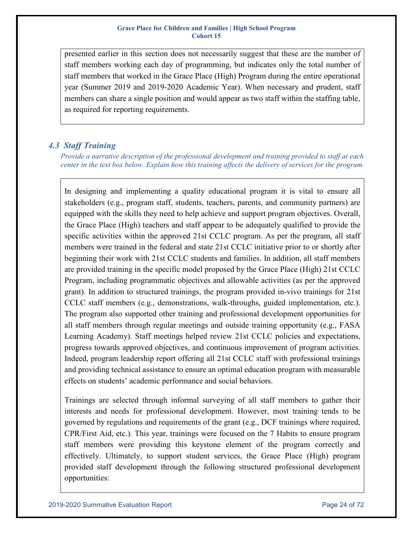presented earlier in this section does not necessarily suggest that these are the number of staff members working each day of programming, but indicates only the total number of staff members that worked in the Grace Place (High) Program during the entire operational year (Summer 2019 and 2019-2020 Academic Year). When necessary and prudent, staff members can share a single position and would appear as two staff within the staffing table, as required for reporting requirements.

### <span id="page-23-0"></span>*4.3 Staff Training*

*Provide a narrative description of the professional development and training provided to staff at each center in the text box below. Explain how this training affects the delivery of services for the program.*

In designing and implementing a quality educational program it is vital to ensure all stakeholders (e.g., program staff, students, teachers, parents, and community partners) are equipped with the skills they need to help achieve and support program objectives. Overall, the Grace Place (High) teachers and staff appear to be adequately qualified to provide the specific activities within the approved 21st CCLC program. As per the program, all staff members were trained in the federal and state 21st CCLC initiative prior to or shortly after beginning their work with 21st CCLC students and families. In addition, all staff members are provided training in the specific model proposed by the Grace Place (High) 21st CCLC Program, including programmatic objectives and allowable activities (as per the approved grant). In addition to structured trainings, the program provided in-vivo trainings for 21st CCLC staff members (e.g., demonstrations, walk-throughs, guided implementation, etc.). The program also supported other training and professional development opportunities for all staff members through regular meetings and outside training opportunity (e.g., FASA Learning Academy). Staff meetings helped review 21st CCLC policies and expectations, progress towards approved objectives, and continuous improvement of program activities. Indeed, program leadership report offering all 21st CCLC staff with professional trainings and providing technical assistance to ensure an optimal education program with measurable effects on students' academic performance and social behaviors.

Trainings are selected through informal surveying of all staff members to gather their interests and needs for professional development. However, most training tends to be governed by regulations and requirements of the grant (e.g., DCF trainings where required, CPR/First Aid, etc.). This year, trainings were focused on the 7 Habits to ensure program staff members were providing this keystone element of the program correctly and effectively. Ultimately, to support student services, the Grace Place (High) program provided staff development through the following structured professional development opportunities: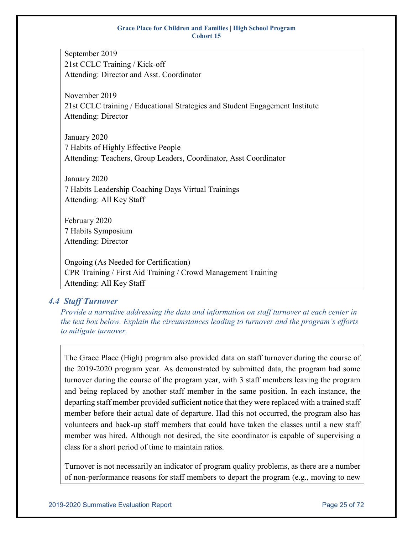September 2019 21st CCLC Training / Kick-off Attending: Director and Asst. Coordinator

November 2019 21st CCLC training / Educational Strategies and Student Engagement Institute Attending: Director

January 2020 7 Habits of Highly Effective People Attending: Teachers, Group Leaders, Coordinator, Asst Coordinator

January 2020 7 Habits Leadership Coaching Days Virtual Trainings Attending: All Key Staff

February 2020 7 Habits Symposium Attending: Director

Ongoing (As Needed for Certification) CPR Training / First Aid Training / Crowd Management Training Attending: All Key Staff

### <span id="page-24-0"></span>*4.4 Staff Turnover*

*Provide a narrative addressing the data and information on staff turnover at each center in the text box below. Explain the circumstances leading to turnover and the program's efforts to mitigate turnover.*

The Grace Place (High) program also provided data on staff turnover during the course of the 2019-2020 program year. As demonstrated by submitted data, the program had some turnover during the course of the program year, with 3 staff members leaving the program and being replaced by another staff member in the same position. In each instance, the departing staff member provided sufficient notice that they were replaced with a trained staff member before their actual date of departure. Had this not occurred, the program also has volunteers and back-up staff members that could have taken the classes until a new staff member was hired. Although not desired, the site coordinator is capable of supervising a class for a short period of time to maintain ratios.

Turnover is not necessarily an indicator of program quality problems, as there are a number of non-performance reasons for staff members to depart the program (e.g., moving to new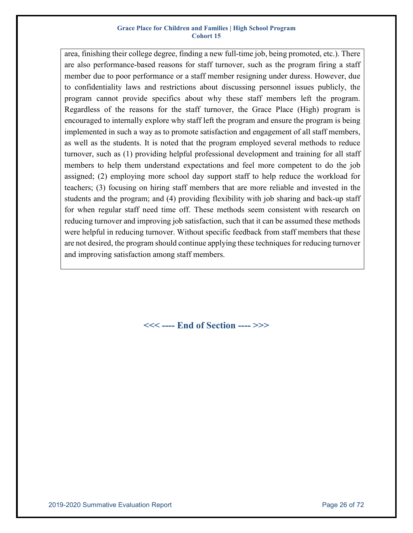area, finishing their college degree, finding a new full-time job, being promoted, etc.). There are also performance-based reasons for staff turnover, such as the program firing a staff member due to poor performance or a staff member resigning under duress. However, due to confidentiality laws and restrictions about discussing personnel issues publicly, the program cannot provide specifics about why these staff members left the program. Regardless of the reasons for the staff turnover, the Grace Place (High) program is encouraged to internally explore why staff left the program and ensure the program is being implemented in such a way as to promote satisfaction and engagement of all staff members, as well as the students. It is noted that the program employed several methods to reduce turnover, such as (1) providing helpful professional development and training for all staff members to help them understand expectations and feel more competent to do the job assigned; (2) employing more school day support staff to help reduce the workload for teachers; (3) focusing on hiring staff members that are more reliable and invested in the students and the program; and (4) providing flexibility with job sharing and back-up staff for when regular staff need time off. These methods seem consistent with research on reducing turnover and improving job satisfaction, such that it can be assumed these methods were helpful in reducing turnover. Without specific feedback from staff members that these are not desired, the program should continue applying these techniques for reducing turnover and improving satisfaction among staff members.

**<<< ---- End of Section ---- >>>**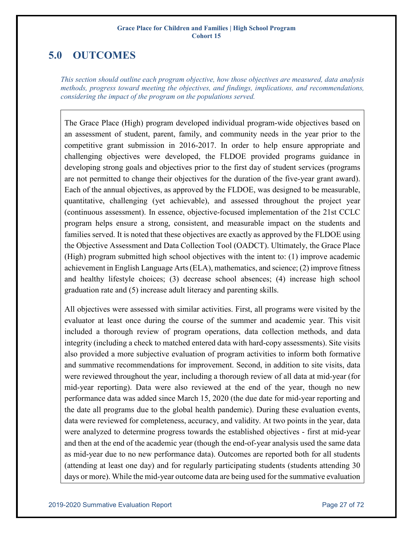## <span id="page-26-0"></span>**5.0 OUTCOMES**

*This section should outline each program objective, how those objectives are measured, data analysis methods, progress toward meeting the objectives, and findings, implications, and recommendations, considering the impact of the program on the populations served.*

The Grace Place (High) program developed individual program-wide objectives based on an assessment of student, parent, family, and community needs in the year prior to the competitive grant submission in 2016-2017. In order to help ensure appropriate and challenging objectives were developed, the FLDOE provided programs guidance in developing strong goals and objectives prior to the first day of student services (programs are not permitted to change their objectives for the duration of the five-year grant award). Each of the annual objectives, as approved by the FLDOE, was designed to be measurable, quantitative, challenging (yet achievable), and assessed throughout the project year (continuous assessment). In essence, objective-focused implementation of the 21st CCLC program helps ensure a strong, consistent, and measurable impact on the students and families served. It is noted that these objectives are exactly as approved by the FLDOE using the Objective Assessment and Data Collection Tool (OADCT). Ultimately, the Grace Place (High) program submitted high school objectives with the intent to: (1) improve academic achievement in English Language Arts (ELA), mathematics, and science; (2) improve fitness and healthy lifestyle choices; (3) decrease school absences; (4) increase high school graduation rate and (5) increase adult literacy and parenting skills.

All objectives were assessed with similar activities. First, all programs were visited by the evaluator at least once during the course of the summer and academic year. This visit included a thorough review of program operations, data collection methods, and data integrity (including a check to matched entered data with hard-copy assessments). Site visits also provided a more subjective evaluation of program activities to inform both formative and summative recommendations for improvement. Second, in addition to site visits, data were reviewed throughout the year, including a thorough review of all data at mid-year (for mid-year reporting). Data were also reviewed at the end of the year, though no new performance data was added since March 15, 2020 (the due date for mid-year reporting and the date all programs due to the global health pandemic). During these evaluation events, data were reviewed for completeness, accuracy, and validity. At two points in the year, data were analyzed to determine progress towards the established objectives - first at mid-year and then at the end of the academic year (though the end-of-year analysis used the same data as mid-year due to no new performance data). Outcomes are reported both for all students (attending at least one day) and for regularly participating students (students attending 30 days or more). While the mid-year outcome data are being used for the summative evaluation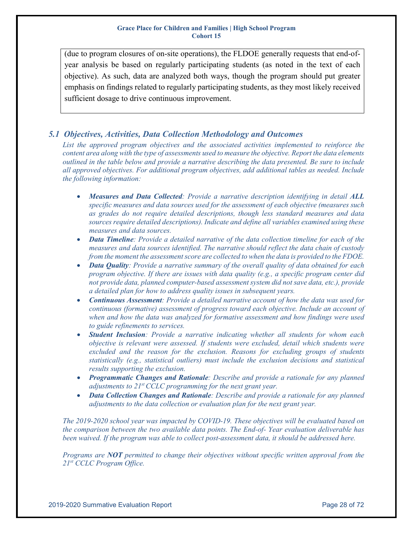(due to program closures of on-site operations), the FLDOE generally requests that end-ofyear analysis be based on regularly participating students (as noted in the text of each objective). As such, data are analyzed both ways, though the program should put greater emphasis on findings related to regularly participating students, as they most likely received sufficient dosage to drive continuous improvement.

### <span id="page-27-0"></span>*5.1 Objectives, Activities, Data Collection Methodology and Outcomes*

*List the approved program objectives and the associated activities implemented to reinforce the content area along with the type of assessments used to measure the objective. Report the data elements outlined in the table below and provide a narrative describing the data presented. Be sure to include all approved objectives. For additional program objectives, add additional tables as needed. Include the following information:*

- *Measures and Data Collected: Provide a narrative description identifying in detail ALL specific measures and data sources used for the assessment of each objective (measures such as grades do not require detailed descriptions, though less standard measures and data sources require detailed descriptions). Indicate and define all variables examined using these measures and data sources.*
- *Data Timeline: Provide a detailed narrative of the data collection timeline for each of the measures and data sources identified. The narrative should reflect the data chain of custody from the moment the assessment score are collected to when the data is provided to the FDOE.*
- *Data Quality: Provide a narrative summary of the overall quality of data obtained for each program objective. If there are issues with data quality (e.g., a specific program center did not provide data, planned computer‐based assessment system did not save data, etc.), provide a detailed plan for how to address quality issues in subsequent years.*
- *Continuous Assessment: Provide a detailed narrative account of how the data was used for continuous (formative) assessment of progress toward each objective. Include an account of when and how the data was analyzed for formative assessment and how findings were used to guide refinements to services.*
- *Student Inclusion: Provide a narrative indicating whether all students for whom each objective is relevant were assessed. If students were excluded, detail which students were excluded and the reason for the exclusion. Reasons for excluding groups of students statistically (e.g., statistical outliers) must include the exclusion decisions and statistical results supporting the exclusion.*
- *Programmatic Changes and Rationale: Describe and provide a rationale for any planned adjustments to 21<sup>st</sup> CCLC programming for the next grant year.*
- *Data Collection Changes and Rationale: Describe and provide a rationale for any planned adjustments to the data collection or evaluation plan for the next grant year.*

*The 2019-2020 school year was impacted by COVID-19. These objectives will be evaluated based on the comparison between the two available data points. The End-of- Year evaluation deliverable has been waived. If the program was able to collect post-assessment data, it should be addressed here.*

*Programs are NOT permitted to change their objectives without specific written approval from the 21st CCLC Program Office.*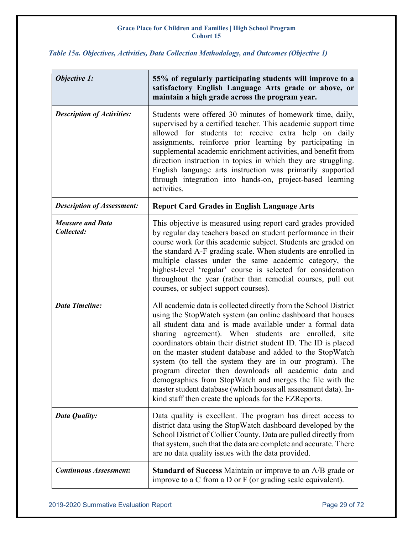### <span id="page-28-0"></span>*Table 15a. Objectives, Activities, Data Collection Methodology, and Outcomes (Objective 1)*

 $\mathbf{r}$ 

| <b>Objective 1:</b>                   | 55% of regularly participating students will improve to a<br>satisfactory English Language Arts grade or above, or<br>maintain a high grade across the program year.                                                                                                                                                                                                                                                                                                                                                                                                                                                                                                                               |
|---------------------------------------|----------------------------------------------------------------------------------------------------------------------------------------------------------------------------------------------------------------------------------------------------------------------------------------------------------------------------------------------------------------------------------------------------------------------------------------------------------------------------------------------------------------------------------------------------------------------------------------------------------------------------------------------------------------------------------------------------|
| <b>Description of Activities:</b>     | Students were offered 30 minutes of homework time, daily,<br>supervised by a certified teacher. This academic support time<br>allowed for students to: receive extra help on daily<br>assignments, reinforce prior learning by participating in<br>supplemental academic enrichment activities, and benefit from<br>direction instruction in topics in which they are struggling.<br>English language arts instruction was primarily supported<br>through integration into hands-on, project-based learning<br>activities.                                                                                                                                                                         |
| <b>Description of Assessment:</b>     | <b>Report Card Grades in English Language Arts</b>                                                                                                                                                                                                                                                                                                                                                                                                                                                                                                                                                                                                                                                 |
| <b>Measure and Data</b><br>Collected: | This objective is measured using report card grades provided<br>by regular day teachers based on student performance in their<br>course work for this academic subject. Students are graded on<br>the standard A-F grading scale. When students are enrolled in<br>multiple classes under the same academic category, the<br>highest-level 'regular' course is selected for consideration<br>throughout the year (rather than remedial courses, pull out<br>courses, or subject support courses).                                                                                                                                                                                                  |
| <b>Data Timeline:</b>                 | All academic data is collected directly from the School District<br>using the StopWatch system (an online dashboard that houses<br>all student data and is made available under a formal data<br>sharing agreement). When students are enrolled, site<br>coordinators obtain their district student ID. The ID is placed<br>on the master student database and added to the StopWatch<br>system (to tell the system they are in our program). The<br>program director then downloads all academic data and<br>demographics from StopWatch and merges the file with the<br>master student database (which houses all assessment data). In-<br>kind staff then create the uploads for the EZReports. |
| Data Quality:                         | Data quality is excellent. The program has direct access to<br>district data using the StopWatch dashboard developed by the<br>School District of Collier County. Data are pulled directly from<br>that system, such that the data are complete and accurate. There<br>are no data quality issues with the data provided.                                                                                                                                                                                                                                                                                                                                                                          |
| <b>Continuous Assessment:</b>         | <b>Standard of Success</b> Maintain or improve to an A/B grade or<br>improve to a C from a D or F (or grading scale equivalent).                                                                                                                                                                                                                                                                                                                                                                                                                                                                                                                                                                   |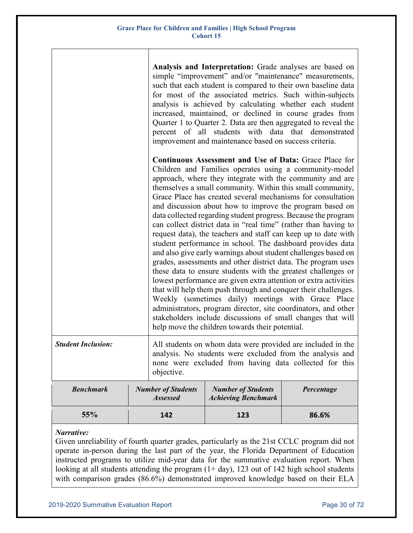|                           |                                                                                                                                                                                                  | Analysis and Interpretation: Grade analyses are based on<br>simple "improvement" and/or "maintenance" measurements,<br>such that each student is compared to their own baseline data<br>for most of the associated metrics. Such within-subjects<br>analysis is achieved by calculating whether each student<br>increased, maintained, or declined in course grades from<br>Quarter 1 to Quarter 2. Data are then aggregated to reveal the<br>percent of all students with data that demonstrated<br>improvement and maintenance based on success criteria.                                                                                                                                                                                                                                                                                                                                                                                                                                                                                                                                                                                                                                                                     |            |  |  |
|---------------------------|--------------------------------------------------------------------------------------------------------------------------------------------------------------------------------------------------|---------------------------------------------------------------------------------------------------------------------------------------------------------------------------------------------------------------------------------------------------------------------------------------------------------------------------------------------------------------------------------------------------------------------------------------------------------------------------------------------------------------------------------------------------------------------------------------------------------------------------------------------------------------------------------------------------------------------------------------------------------------------------------------------------------------------------------------------------------------------------------------------------------------------------------------------------------------------------------------------------------------------------------------------------------------------------------------------------------------------------------------------------------------------------------------------------------------------------------|------------|--|--|
|                           |                                                                                                                                                                                                  | Continuous Assessment and Use of Data: Grace Place for<br>Children and Families operates using a community-model<br>approach, where they integrate with the community and are<br>themselves a small community. Within this small community,<br>Grace Place has created several mechanisms for consultation<br>and discussion about how to improve the program based on<br>data collected regarding student progress. Because the program<br>can collect district data in "real time" (rather than having to<br>request data), the teachers and staff can keep up to date with<br>student performance in school. The dashboard provides data<br>and also give early warnings about student challenges based on<br>grades, assessments and other district data. The program uses<br>these data to ensure students with the greatest challenges or<br>lowest performance are given extra attention or extra activities<br>that will help them push through and conquer their challenges.<br>Weekly (sometimes daily) meetings with Grace Place<br>administrators, program director, site coordinators, and other<br>stakeholders include discussions of small changes that will<br>help move the children towards their potential. |            |  |  |
| <b>Student Inclusion:</b> | All students on whom data were provided are included in the<br>analysis. No students were excluded from the analysis and<br>none were excluded from having data collected for this<br>objective. |                                                                                                                                                                                                                                                                                                                                                                                                                                                                                                                                                                                                                                                                                                                                                                                                                                                                                                                                                                                                                                                                                                                                                                                                                                 |            |  |  |
| <b>Benchmark</b>          | <b>Number of Students</b><br><b>Assessed</b>                                                                                                                                                     | <b>Number of Students</b><br><b>Achieving Benchmark</b>                                                                                                                                                                                                                                                                                                                                                                                                                                                                                                                                                                                                                                                                                                                                                                                                                                                                                                                                                                                                                                                                                                                                                                         | Percentage |  |  |
| 55%                       | 142                                                                                                                                                                                              | 123                                                                                                                                                                                                                                                                                                                                                                                                                                                                                                                                                                                                                                                                                                                                                                                                                                                                                                                                                                                                                                                                                                                                                                                                                             | 86.6%      |  |  |

### *Narrative:*

Given unreliability of fourth quarter grades, particularly as the 21st CCLC program did not operate in-person during the last part of the year, the Florida Department of Education instructed programs to utilize mid-year data for the summative evaluation report. When looking at all students attending the program  $(1+ day)$ , 123 out of 142 high school students with comparison grades (86.6%) demonstrated improved knowledge based on their ELA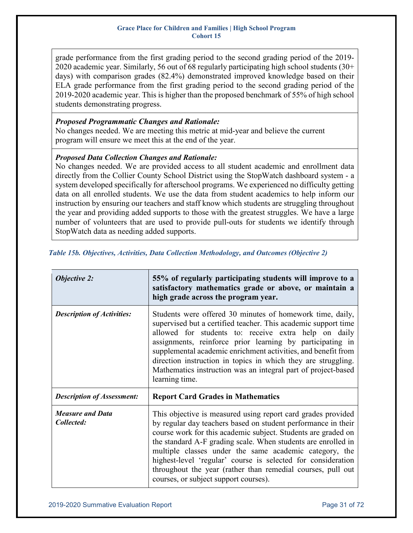grade performance from the first grading period to the second grading period of the 2019- 2020 academic year. Similarly, 56 out of 68 regularly participating high school students (30+ days) with comparison grades (82.4%) demonstrated improved knowledge based on their ELA grade performance from the first grading period to the second grading period of the 2019-2020 academic year. This is higher than the proposed benchmark of 55% of high school students demonstrating progress.

### *Proposed Programmatic Changes and Rationale:*

No changes needed. We are meeting this metric at mid-year and believe the current program will ensure we meet this at the end of the year.

### *Proposed Data Collection Changes and Rationale:*

No changes needed. We are provided access to all student academic and enrollment data directly from the Collier County School District using the StopWatch dashboard system - a system developed specifically for afterschool programs. We experienced no difficulty getting data on all enrolled students. We use the data from student academics to help inform our instruction by ensuring our teachers and staff know which students are struggling throughout the year and providing added supports to those with the greatest struggles. We have a large number of volunteers that are used to provide pull-outs for students we identify through StopWatch data as needing added supports.

| <b>Objective 2:</b>                   | 55% of regularly participating students will improve to a<br>satisfactory mathematics grade or above, or maintain a<br>high grade across the program year.                                                                                                                                                                                                                                                                                                                                        |
|---------------------------------------|---------------------------------------------------------------------------------------------------------------------------------------------------------------------------------------------------------------------------------------------------------------------------------------------------------------------------------------------------------------------------------------------------------------------------------------------------------------------------------------------------|
| <b>Description of Activities:</b>     | Students were offered 30 minutes of homework time, daily,<br>supervised but a certified teacher. This academic support time<br>allowed for students to: receive extra help on daily<br>assignments, reinforce prior learning by participating in<br>supplemental academic enrichment activities, and benefit from<br>direction instruction in topics in which they are struggling.<br>Mathematics instruction was an integral part of project-based<br>learning time.                             |
| <b>Description of Assessment:</b>     | <b>Report Card Grades in Mathematics</b>                                                                                                                                                                                                                                                                                                                                                                                                                                                          |
| <b>Measure and Data</b><br>Collected: | This objective is measured using report card grades provided<br>by regular day teachers based on student performance in their<br>course work for this academic subject. Students are graded on<br>the standard A-F grading scale. When students are enrolled in<br>multiple classes under the same academic category, the<br>highest-level 'regular' course is selected for consideration<br>throughout the year (rather than remedial courses, pull out<br>courses, or subject support courses). |

### <span id="page-30-0"></span>*Table 15b. Objectives, Activities, Data Collection Methodology, and Outcomes (Objective 2)*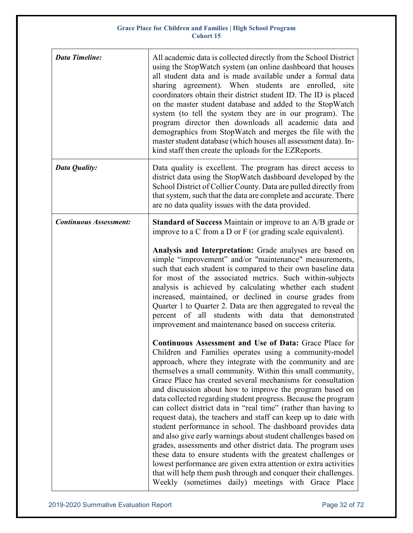| <b>Data Timeline:</b>         | All academic data is collected directly from the School District<br>using the StopWatch system (an online dashboard that houses<br>all student data and is made available under a formal data<br>sharing agreement). When students are enrolled, site<br>coordinators obtain their district student ID. The ID is placed<br>on the master student database and added to the StopWatch<br>system (to tell the system they are in our program). The<br>program director then downloads all academic data and<br>demographics from StopWatch and merges the file with the<br>master student database (which houses all assessment data). In-<br>kind staff then create the uploads for the EZReports.                                                                                                                                                                                                                                                                                                                                          |
|-------------------------------|---------------------------------------------------------------------------------------------------------------------------------------------------------------------------------------------------------------------------------------------------------------------------------------------------------------------------------------------------------------------------------------------------------------------------------------------------------------------------------------------------------------------------------------------------------------------------------------------------------------------------------------------------------------------------------------------------------------------------------------------------------------------------------------------------------------------------------------------------------------------------------------------------------------------------------------------------------------------------------------------------------------------------------------------|
| Data Quality:                 | Data quality is excellent. The program has direct access to<br>district data using the StopWatch dashboard developed by the<br>School District of Collier County. Data are pulled directly from<br>that system, such that the data are complete and accurate. There<br>are no data quality issues with the data provided.                                                                                                                                                                                                                                                                                                                                                                                                                                                                                                                                                                                                                                                                                                                   |
| <b>Continuous Assessment:</b> | <b>Standard of Success</b> Maintain or improve to an A/B grade or<br>improve to a C from a D or F (or grading scale equivalent).                                                                                                                                                                                                                                                                                                                                                                                                                                                                                                                                                                                                                                                                                                                                                                                                                                                                                                            |
|                               | Analysis and Interpretation: Grade analyses are based on<br>simple "improvement" and/or "maintenance" measurements,<br>such that each student is compared to their own baseline data<br>for most of the associated metrics. Such within-subjects<br>analysis is achieved by calculating whether each student<br>increased, maintained, or declined in course grades from<br>Quarter 1 to Quarter 2. Data are then aggregated to reveal the<br>percent of all students with data that demonstrated<br>improvement and maintenance based on success criteria.                                                                                                                                                                                                                                                                                                                                                                                                                                                                                 |
|                               | Continuous Assessment and Use of Data: Grace Place for<br>Children and Families operates using a community-model<br>approach, where they integrate with the community and are<br>themselves a small community. Within this small community,<br>Grace Place has created several mechanisms for consultation<br>and discussion about how to improve the program based on<br>data collected regarding student progress. Because the program<br>can collect district data in "real time" (rather than having to<br>request data), the teachers and staff can keep up to date with<br>student performance in school. The dashboard provides data<br>and also give early warnings about student challenges based on<br>grades, assessments and other district data. The program uses<br>these data to ensure students with the greatest challenges or<br>lowest performance are given extra attention or extra activities<br>that will help them push through and conquer their challenges.<br>Weekly (sometimes daily) meetings with Grace Place |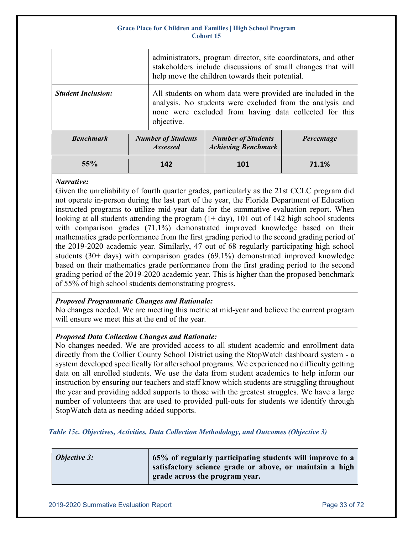|                           |  | administrators, program director, site coordinators, and other<br>stakeholders include discussions of small changes that will<br>help move the children towards their potential.                 |                                                         |            |  |  |
|---------------------------|--|--------------------------------------------------------------------------------------------------------------------------------------------------------------------------------------------------|---------------------------------------------------------|------------|--|--|
| <b>Student Inclusion:</b> |  | All students on whom data were provided are included in the<br>analysis. No students were excluded from the analysis and<br>none were excluded from having data collected for this<br>objective. |                                                         |            |  |  |
| <b>Benchmark</b>          |  | <b>Number of Students</b><br><b>Assessed</b>                                                                                                                                                     | <b>Number of Students</b><br><b>Achieving Benchmark</b> | Percentage |  |  |

**55% 142 101 71.1%**

### *Narrative:*

Given the unreliability of fourth quarter grades, particularly as the 21st CCLC program did not operate in-person during the last part of the year, the Florida Department of Education instructed programs to utilize mid-year data for the summative evaluation report. When looking at all students attending the program  $(1 + day)$ , 101 out of 142 high school students with comparison grades (71.1%) demonstrated improved knowledge based on their mathematics grade performance from the first grading period to the second grading period of the 2019-2020 academic year. Similarly, 47 out of 68 regularly participating high school students (30+ days) with comparison grades (69.1%) demonstrated improved knowledge based on their mathematics grade performance from the first grading period to the second grading period of the 2019-2020 academic year. This is higher than the proposed benchmark of 55% of high school students demonstrating progress.

### *Proposed Programmatic Changes and Rationale:*

No changes needed. We are meeting this metric at mid-year and believe the current program will ensure we meet this at the end of the year.

### *Proposed Data Collection Changes and Rationale:*

No changes needed. We are provided access to all student academic and enrollment data directly from the Collier County School District using the StopWatch dashboard system - a system developed specifically for afterschool programs. We experienced no difficulty getting data on all enrolled students. We use the data from student academics to help inform our instruction by ensuring our teachers and staff know which students are struggling throughout the year and providing added supports to those with the greatest struggles. We have a large number of volunteers that are used to provided pull-outs for students we identify through StopWatch data as needing added supports.

<span id="page-32-0"></span>*Table 15c. Objectives, Activities, Data Collection Methodology, and Outcomes (Objective 3)*

| <b>Objective 3:</b> | 65% of regularly participating students will improve to a |
|---------------------|-----------------------------------------------------------|
|                     | satisfactory science grade or above, or maintain a high   |
|                     | grade across the program year.                            |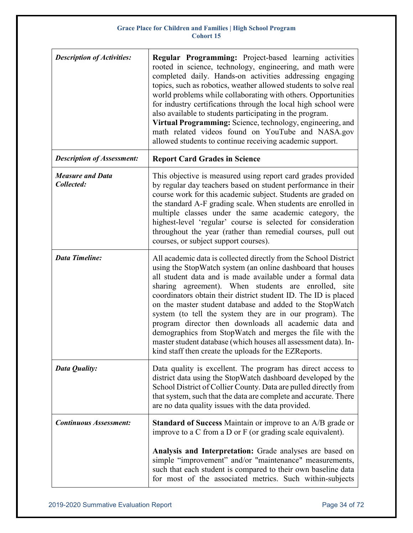| <b>Description of Activities:</b>     | Regular Programming: Project-based learning activities<br>rooted in science, technology, engineering, and math were<br>completed daily. Hands-on activities addressing engaging<br>topics, such as robotics, weather allowed students to solve real<br>world problems while collaborating with others. Opportunities<br>for industry certifications through the local high school were<br>also available to students participating in the program.<br>Virtual Programming: Science, technology, engineering, and<br>math related videos found on YouTube and NASA.gov<br>allowed students to continue receiving academic support.                                                                     |
|---------------------------------------|-------------------------------------------------------------------------------------------------------------------------------------------------------------------------------------------------------------------------------------------------------------------------------------------------------------------------------------------------------------------------------------------------------------------------------------------------------------------------------------------------------------------------------------------------------------------------------------------------------------------------------------------------------------------------------------------------------|
| <b>Description of Assessment:</b>     | <b>Report Card Grades in Science</b>                                                                                                                                                                                                                                                                                                                                                                                                                                                                                                                                                                                                                                                                  |
| <b>Measure and Data</b><br>Collected: | This objective is measured using report card grades provided<br>by regular day teachers based on student performance in their<br>course work for this academic subject. Students are graded on<br>the standard A-F grading scale. When students are enrolled in<br>multiple classes under the same academic category, the<br>highest-level 'regular' course is selected for consideration<br>throughout the year (rather than remedial courses, pull out<br>courses, or subject support courses).                                                                                                                                                                                                     |
| <b>Data Timeline:</b>                 | All academic data is collected directly from the School District<br>using the StopWatch system (an online dashboard that houses<br>all student data and is made available under a formal data<br>sharing agreement). When students are enrolled,<br>site<br>coordinators obtain their district student ID. The ID is placed<br>on the master student database and added to the StopWatch<br>system (to tell the system they are in our program). The<br>program director then downloads all academic data and<br>demographics from StopWatch and merges the file with the<br>master student database (which houses all assessment data). In-<br>kind staff then create the uploads for the EZReports. |
| Data Quality:                         | Data quality is excellent. The program has direct access to<br>district data using the StopWatch dashboard developed by the<br>School District of Collier County. Data are pulled directly from<br>that system, such that the data are complete and accurate. There<br>are no data quality issues with the data provided.                                                                                                                                                                                                                                                                                                                                                                             |
| <b>Continuous Assessment:</b>         | <b>Standard of Success</b> Maintain or improve to an A/B grade or<br>improve to a C from a D or F (or grading scale equivalent).                                                                                                                                                                                                                                                                                                                                                                                                                                                                                                                                                                      |
|                                       | Analysis and Interpretation: Grade analyses are based on<br>simple "improvement" and/or "maintenance" measurements,<br>such that each student is compared to their own baseline data<br>for most of the associated metrics. Such within-subjects                                                                                                                                                                                                                                                                                                                                                                                                                                                      |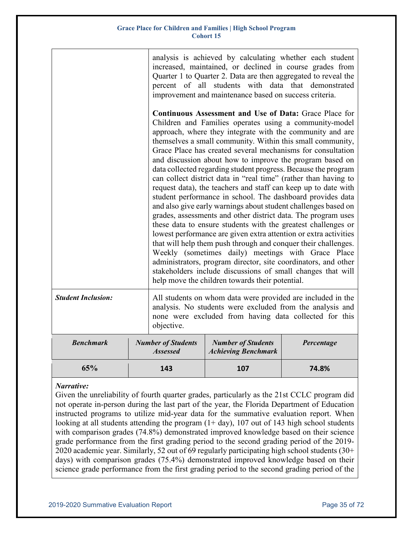|                           |                                                                                                                                                                                                                                                                                                                                                                                                                                                                                                                                                                                                                                                                                                                                                                                                                                                                                                                                                                                                                                                                                                                                                                                                                                        | analysis is achieved by calculating whether each student<br>increased, maintained, or declined in course grades from<br>Quarter 1 to Quarter 2. Data are then aggregated to reveal the<br>percent of all students with data that demonstrated<br>improvement and maintenance based on success criteria. |            |  |  |  |
|---------------------------|----------------------------------------------------------------------------------------------------------------------------------------------------------------------------------------------------------------------------------------------------------------------------------------------------------------------------------------------------------------------------------------------------------------------------------------------------------------------------------------------------------------------------------------------------------------------------------------------------------------------------------------------------------------------------------------------------------------------------------------------------------------------------------------------------------------------------------------------------------------------------------------------------------------------------------------------------------------------------------------------------------------------------------------------------------------------------------------------------------------------------------------------------------------------------------------------------------------------------------------|---------------------------------------------------------------------------------------------------------------------------------------------------------------------------------------------------------------------------------------------------------------------------------------------------------|------------|--|--|--|
|                           | <b>Continuous Assessment and Use of Data: Grace Place for</b><br>Children and Families operates using a community-model<br>approach, where they integrate with the community and are<br>themselves a small community. Within this small community,<br>Grace Place has created several mechanisms for consultation<br>and discussion about how to improve the program based on<br>data collected regarding student progress. Because the program<br>can collect district data in "real time" (rather than having to<br>request data), the teachers and staff can keep up to date with<br>student performance in school. The dashboard provides data<br>and also give early warnings about student challenges based on<br>grades, assessments and other district data. The program uses<br>these data to ensure students with the greatest challenges or<br>lowest performance are given extra attention or extra activities<br>that will help them push through and conquer their challenges.<br>Weekly (sometimes daily) meetings with Grace Place<br>administrators, program director, site coordinators, and other<br>stakeholders include discussions of small changes that will<br>help move the children towards their potential. |                                                                                                                                                                                                                                                                                                         |            |  |  |  |
| <b>Student Inclusion:</b> | objective.                                                                                                                                                                                                                                                                                                                                                                                                                                                                                                                                                                                                                                                                                                                                                                                                                                                                                                                                                                                                                                                                                                                                                                                                                             | All students on whom data were provided are included in the<br>analysis. No students were excluded from the analysis and<br>none were excluded from having data collected for this                                                                                                                      |            |  |  |  |
| <b>Benchmark</b>          | <b>Number of Students</b><br><b>Assessed</b>                                                                                                                                                                                                                                                                                                                                                                                                                                                                                                                                                                                                                                                                                                                                                                                                                                                                                                                                                                                                                                                                                                                                                                                           | <b>Number of Students</b><br><b>Achieving Benchmark</b>                                                                                                                                                                                                                                                 | Percentage |  |  |  |
| 65%                       | 143                                                                                                                                                                                                                                                                                                                                                                                                                                                                                                                                                                                                                                                                                                                                                                                                                                                                                                                                                                                                                                                                                                                                                                                                                                    | 107                                                                                                                                                                                                                                                                                                     | 74.8%      |  |  |  |

### *Narrative:*

Given the unreliability of fourth quarter grades, particularly as the 21st CCLC program did not operate in-person during the last part of the year, the Florida Department of Education instructed programs to utilize mid-year data for the summative evaluation report. When looking at all students attending the program  $(1 + day)$ , 107 out of 143 high school students with comparison grades (74.8%) demonstrated improved knowledge based on their science grade performance from the first grading period to the second grading period of the 2019- 2020 academic year. Similarly, 52 out of 69 regularly participating high school students (30+ days) with comparison grades (75.4%) demonstrated improved knowledge based on their science grade performance from the first grading period to the second grading period of the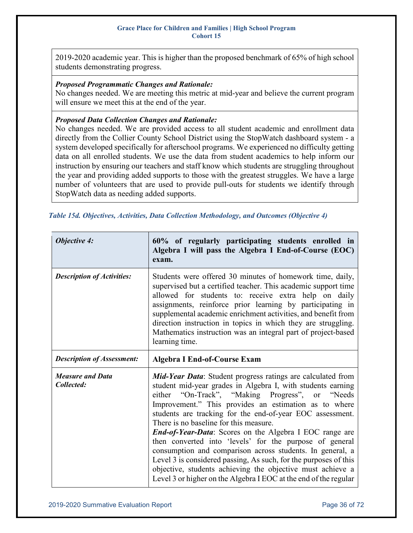2019-2020 academic year. This is higher than the proposed benchmark of 65% of high school students demonstrating progress.

### *Proposed Programmatic Changes and Rationale:*

No changes needed. We are meeting this metric at mid-year and believe the current program will ensure we meet this at the end of the year.

### *Proposed Data Collection Changes and Rationale:*

No changes needed. We are provided access to all student academic and enrollment data directly from the Collier County School District using the StopWatch dashboard system - a system developed specifically for afterschool programs. We experienced no difficulty getting data on all enrolled students. We use the data from student academics to help inform our instruction by ensuring our teachers and staff know which students are struggling throughout the year and providing added supports to those with the greatest struggles. We have a large number of volunteers that are used to provide pull-outs for students we identify through StopWatch data as needing added supports.

| <b>Objective 4:</b>                   | 60% of regularly participating students enrolled in<br>Algebra I will pass the Algebra I End-of-Course (EOC)<br>exam.                                                                                                                                                                                                                                                                                                                                                                                                                                                                                                                                                                                                                                |
|---------------------------------------|------------------------------------------------------------------------------------------------------------------------------------------------------------------------------------------------------------------------------------------------------------------------------------------------------------------------------------------------------------------------------------------------------------------------------------------------------------------------------------------------------------------------------------------------------------------------------------------------------------------------------------------------------------------------------------------------------------------------------------------------------|
| <b>Description of Activities:</b>     | Students were offered 30 minutes of homework time, daily,<br>supervised but a certified teacher. This academic support time<br>allowed for students to: receive extra help on daily<br>assignments, reinforce prior learning by participating in<br>supplemental academic enrichment activities, and benefit from<br>direction instruction in topics in which they are struggling.<br>Mathematics instruction was an integral part of project-based<br>learning time.                                                                                                                                                                                                                                                                                |
| <b>Description of Assessment:</b>     | <b>Algebra I End-of-Course Exam</b>                                                                                                                                                                                                                                                                                                                                                                                                                                                                                                                                                                                                                                                                                                                  |
| <b>Measure and Data</b><br>Collected: | <b>Mid-Year Data:</b> Student progress ratings are calculated from<br>student mid-year grades in Algebra I, with students earning<br>either "On-Track", "Making Progress", or "Needs<br>Improvement." This provides an estimation as to where<br>students are tracking for the end-of-year EOC assessment.<br>There is no baseline for this measure.<br><i>End-of-Year-Data:</i> Scores on the Algebra I EOC range are<br>then converted into 'levels' for the purpose of general<br>consumption and comparison across students. In general, a<br>Level 3 is considered passing, As such, for the purposes of this<br>objective, students achieving the objective must achieve a<br>Level 3 or higher on the Algebra I EOC at the end of the regular |

<span id="page-35-0"></span>*Table 15d. Objectives, Activities, Data Collection Methodology, and Outcomes (Objective 4)*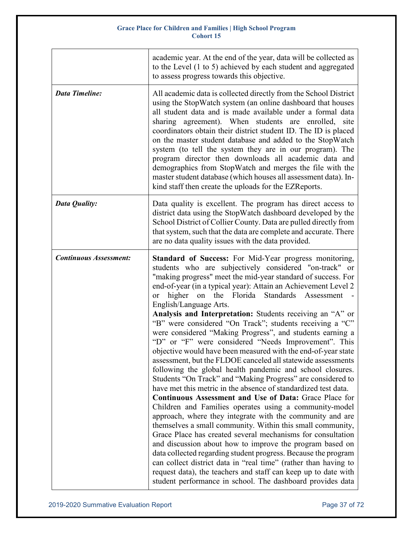|                               | academic year. At the end of the year, data will be collected as<br>to the Level (1 to 5) achieved by each student and aggregated<br>to assess progress towards this objective.                                                                                                                                                                                                                                                                                                                                                                                                                                                                                                                                                                                                                                                                                                                                                                                                                                                                                                                                                                                                                                                                                                                                                                                                                                                                                                                                                                              |
|-------------------------------|--------------------------------------------------------------------------------------------------------------------------------------------------------------------------------------------------------------------------------------------------------------------------------------------------------------------------------------------------------------------------------------------------------------------------------------------------------------------------------------------------------------------------------------------------------------------------------------------------------------------------------------------------------------------------------------------------------------------------------------------------------------------------------------------------------------------------------------------------------------------------------------------------------------------------------------------------------------------------------------------------------------------------------------------------------------------------------------------------------------------------------------------------------------------------------------------------------------------------------------------------------------------------------------------------------------------------------------------------------------------------------------------------------------------------------------------------------------------------------------------------------------------------------------------------------------|
| <b>Data Timeline:</b>         | All academic data is collected directly from the School District<br>using the StopWatch system (an online dashboard that houses<br>all student data and is made available under a formal data<br>sharing agreement). When students are enrolled, site<br>coordinators obtain their district student ID. The ID is placed<br>on the master student database and added to the StopWatch<br>system (to tell the system they are in our program). The<br>program director then downloads all academic data and<br>demographics from StopWatch and merges the file with the<br>master student database (which houses all assessment data). In-<br>kind staff then create the uploads for the EZReports.                                                                                                                                                                                                                                                                                                                                                                                                                                                                                                                                                                                                                                                                                                                                                                                                                                                           |
| Data Quality:                 | Data quality is excellent. The program has direct access to<br>district data using the StopWatch dashboard developed by the<br>School District of Collier County. Data are pulled directly from<br>that system, such that the data are complete and accurate. There<br>are no data quality issues with the data provided.                                                                                                                                                                                                                                                                                                                                                                                                                                                                                                                                                                                                                                                                                                                                                                                                                                                                                                                                                                                                                                                                                                                                                                                                                                    |
| <b>Continuous Assessment:</b> | Standard of Success: For Mid-Year progress monitoring,<br>students who are subjectively considered "on-track" or<br>"making progress" meet the mid-year standard of success. For<br>end-of-year (in a typical year): Attain an Achievement Level 2<br>higher on the Florida Standards Assessment<br>or<br>English/Language Arts.<br>Analysis and Interpretation: Students receiving an "A" or<br>"B" were considered "On Track"; students receiving a "C"<br>were considered "Making Progress", and students earning a<br>"D" or "F" were considered "Needs Improvement". This<br>objective would have been measured with the end-of-year state<br>assessment, but the FLDOE canceled all statewide assessments<br>following the global health pandemic and school closures.<br>Students "On Track" and "Making Progress" are considered to<br>have met this metric in the absence of standardized test data.<br>Continuous Assessment and Use of Data: Grace Place for<br>Children and Families operates using a community-model<br>approach, where they integrate with the community and are<br>themselves a small community. Within this small community,<br>Grace Place has created several mechanisms for consultation<br>and discussion about how to improve the program based on<br>data collected regarding student progress. Because the program<br>can collect district data in "real time" (rather than having to<br>request data), the teachers and staff can keep up to date with<br>student performance in school. The dashboard provides data |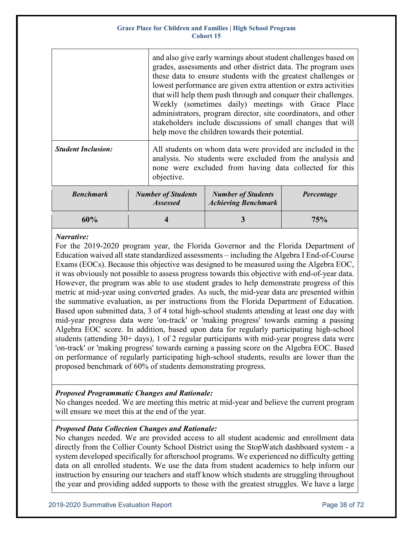|                           |                                              | and also give early warnings about student challenges based on<br>grades, assessments and other district data. The program uses<br>these data to ensure students with the greatest challenges or<br>lowest performance are given extra attention or extra activities<br>that will help them push through and conquer their challenges.<br>Weekly (sometimes daily) meetings with Grace Place<br>administrators, program director, site coordinators, and other<br>stakeholders include discussions of small changes that will<br>help move the children towards their potential. |                                                                                                                                                                                    |            |  |
|---------------------------|----------------------------------------------|----------------------------------------------------------------------------------------------------------------------------------------------------------------------------------------------------------------------------------------------------------------------------------------------------------------------------------------------------------------------------------------------------------------------------------------------------------------------------------------------------------------------------------------------------------------------------------|------------------------------------------------------------------------------------------------------------------------------------------------------------------------------------|------------|--|
| <b>Student Inclusion:</b> | objective.                                   |                                                                                                                                                                                                                                                                                                                                                                                                                                                                                                                                                                                  | All students on whom data were provided are included in the<br>analysis. No students were excluded from the analysis and<br>none were excluded from having data collected for this |            |  |
| <b>Benchmark</b>          | <b>Number of Students</b><br><b>Assessed</b> |                                                                                                                                                                                                                                                                                                                                                                                                                                                                                                                                                                                  | <b>Number of Students</b><br><b>Achieving Benchmark</b>                                                                                                                            | Percentage |  |
| 60%                       |                                              |                                                                                                                                                                                                                                                                                                                                                                                                                                                                                                                                                                                  |                                                                                                                                                                                    | 75%        |  |

### *Narrative:*

For the 2019-2020 program year, the Florida Governor and the Florida Department of Education waived all state standardized assessments – including the Algebra I End-of-Course Exams (EOCs). Because this objective was designed to be measured using the Algebra EOC, it was obviously not possible to assess progress towards this objective with end-of-year data. However, the program was able to use student grades to help demonstrate progress of this metric at mid-year using converted grades. As such, the mid-year data are presented within the summative evaluation, as per instructions from the Florida Department of Education. Based upon submitted data, 3 of 4 total high-school students attending at least one day with mid-year progress data were 'on-track' or 'making progress' towards earning a passing Algebra EOC score. In addition, based upon data for regularly participating high-school students (attending 30+ days), 1 of 2 regular participants with mid-year progress data were 'on-track' or 'making progress' towards earning a passing score on the Algebra EOC. Based on performance of regularly participating high-school students, results are lower than the proposed benchmark of 60% of students demonstrating progress.

# *Proposed Programmatic Changes and Rationale:*

No changes needed. We are meeting this metric at mid-year and believe the current program will ensure we meet this at the end of the year.

# *Proposed Data Collection Changes and Rationale:*

No changes needed. We are provided access to all student academic and enrollment data directly from the Collier County School District using the StopWatch dashboard system - a system developed specifically for afterschool programs. We experienced no difficulty getting data on all enrolled students. We use the data from student academics to help inform our instruction by ensuring our teachers and staff know which students are struggling throughout the year and providing added supports to those with the greatest struggles. We have a large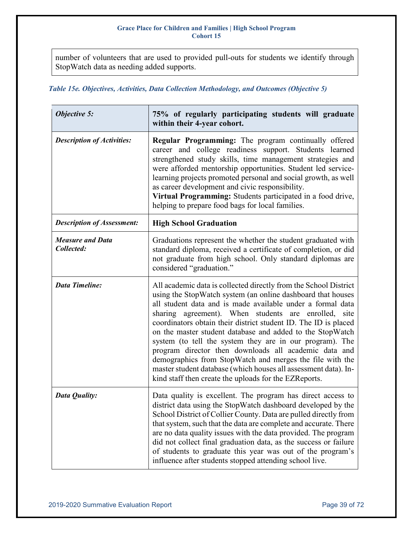number of volunteers that are used to provided pull-outs for students we identify through StopWatch data as needing added supports.

# *Table 15e. Objectives, Activities, Data Collection Methodology, and Outcomes (Objective 5)*

| <b>Objective 5:</b>                   | 75% of regularly participating students will graduate<br>within their 4-year cohort.                                                                                                                                                                                                                                                                                                                                                                                                                                                                                                                                                                                                               |
|---------------------------------------|----------------------------------------------------------------------------------------------------------------------------------------------------------------------------------------------------------------------------------------------------------------------------------------------------------------------------------------------------------------------------------------------------------------------------------------------------------------------------------------------------------------------------------------------------------------------------------------------------------------------------------------------------------------------------------------------------|
| <b>Description of Activities:</b>     | <b>Regular Programming:</b> The program continually offered<br>career and college readiness support. Students learned<br>strengthened study skills, time management strategies and<br>were afforded mentorship opportunities. Student led service-<br>learning projects promoted personal and social growth, as well<br>as career development and civic responsibility.<br>Virtual Programming: Students participated in a food drive,<br>helping to prepare food bags for local families.                                                                                                                                                                                                         |
| <b>Description of Assessment:</b>     | <b>High School Graduation</b>                                                                                                                                                                                                                                                                                                                                                                                                                                                                                                                                                                                                                                                                      |
| <b>Measure and Data</b><br>Collected: | Graduations represent the whether the student graduated with<br>standard diploma, received a certificate of completion, or did<br>not graduate from high school. Only standard diplomas are<br>considered "graduation."                                                                                                                                                                                                                                                                                                                                                                                                                                                                            |
| <b>Data Timeline:</b>                 | All academic data is collected directly from the School District<br>using the StopWatch system (an online dashboard that houses<br>all student data and is made available under a formal data<br>sharing agreement). When students are enrolled, site<br>coordinators obtain their district student ID. The ID is placed<br>on the master student database and added to the StopWatch<br>system (to tell the system they are in our program). The<br>program director then downloads all academic data and<br>demographics from StopWatch and merges the file with the<br>master student database (which houses all assessment data). In-<br>kind staff then create the uploads for the EZReports. |
| Data Quality:                         | Data quality is excellent. The program has direct access to<br>district data using the StopWatch dashboard developed by the<br>School District of Collier County. Data are pulled directly from<br>that system, such that the data are complete and accurate. There<br>are no data quality issues with the data provided. The program<br>did not collect final graduation data, as the success or failure<br>of students to graduate this year was out of the program's<br>influence after students stopped attending school live.                                                                                                                                                                 |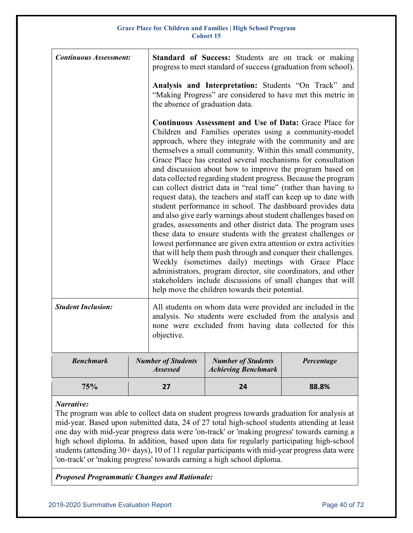| <b>Continuous Assessment:</b> |                                              | <b>Standard of Success:</b> Students are on track or making<br>progress to meet standard of success (graduation from school).                                                                                                                                                                                                                                                                                                                                                                                                                                                                                                                                                                                                                                                                                                                                                                                                                                                                                                                                                                                                                                                                                                          |            |  |  |
|-------------------------------|----------------------------------------------|----------------------------------------------------------------------------------------------------------------------------------------------------------------------------------------------------------------------------------------------------------------------------------------------------------------------------------------------------------------------------------------------------------------------------------------------------------------------------------------------------------------------------------------------------------------------------------------------------------------------------------------------------------------------------------------------------------------------------------------------------------------------------------------------------------------------------------------------------------------------------------------------------------------------------------------------------------------------------------------------------------------------------------------------------------------------------------------------------------------------------------------------------------------------------------------------------------------------------------------|------------|--|--|
|                               |                                              | Analysis and Interpretation: Students "On Track" and<br>"Making Progress" are considered to have met this metric in<br>the absence of graduation data.                                                                                                                                                                                                                                                                                                                                                                                                                                                                                                                                                                                                                                                                                                                                                                                                                                                                                                                                                                                                                                                                                 |            |  |  |
|                               |                                              | <b>Continuous Assessment and Use of Data: Grace Place for</b><br>Children and Families operates using a community-model<br>approach, where they integrate with the community and are<br>themselves a small community. Within this small community,<br>Grace Place has created several mechanisms for consultation<br>and discussion about how to improve the program based on<br>data collected regarding student progress. Because the program<br>can collect district data in "real time" (rather than having to<br>request data), the teachers and staff can keep up to date with<br>student performance in school. The dashboard provides data<br>and also give early warnings about student challenges based on<br>grades, assessments and other district data. The program uses<br>these data to ensure students with the greatest challenges or<br>lowest performance are given extra attention or extra activities<br>that will help them push through and conquer their challenges.<br>Weekly (sometimes daily) meetings with Grace Place<br>administrators, program director, site coordinators, and other<br>stakeholders include discussions of small changes that will<br>help move the children towards their potential. |            |  |  |
| <b>Student Inclusion:</b>     | objective.                                   | All students on whom data were provided are included in the<br>analysis. No students were excluded from the analysis and<br>none were excluded from having data collected for this                                                                                                                                                                                                                                                                                                                                                                                                                                                                                                                                                                                                                                                                                                                                                                                                                                                                                                                                                                                                                                                     |            |  |  |
| <b>Benchmark</b>              | <b>Number of Students</b><br><b>Assessed</b> | <b>Number of Students</b><br><b>Achieving Benchmark</b>                                                                                                                                                                                                                                                                                                                                                                                                                                                                                                                                                                                                                                                                                                                                                                                                                                                                                                                                                                                                                                                                                                                                                                                | Percentage |  |  |
| 75%                           | 27                                           | 24                                                                                                                                                                                                                                                                                                                                                                                                                                                                                                                                                                                                                                                                                                                                                                                                                                                                                                                                                                                                                                                                                                                                                                                                                                     | 88.8%      |  |  |

*Narrative:* 

The program was able to collect data on student progress towards graduation for analysis at mid-year. Based upon submitted data, 24 of 27 total high-school students attending at least one day with mid-year progress data were 'on-track' or 'making progress' towards earning a high school diploma. In addition, based upon data for regularly participating high-school students (attending 30+ days), 10 of 11 regular participants with mid-year progress data were 'on-track' or 'making progress' towards earning a high school diploma.

*Proposed Programmatic Changes and Rationale:*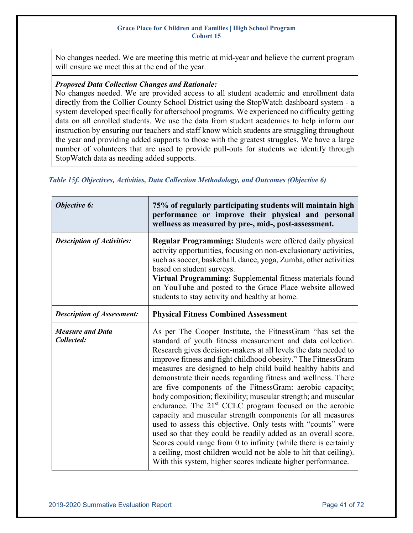No changes needed. We are meeting this metric at mid-year and believe the current program will ensure we meet this at the end of the year.

### *Proposed Data Collection Changes and Rationale:*

No changes needed. We are provided access to all student academic and enrollment data directly from the Collier County School District using the StopWatch dashboard system - a system developed specifically for afterschool programs. We experienced no difficulty getting data on all enrolled students. We use the data from student academics to help inform our instruction by ensuring our teachers and staff know which students are struggling throughout the year and providing added supports to those with the greatest struggles. We have a large number of volunteers that are used to provide pull-outs for students we identify through StopWatch data as needing added supports.

### *Table 15f. Objectives, Activities, Data Collection Methodology, and Outcomes (Objective 6)*

| Objective 6:                          | 75% of regularly participating students will maintain high<br>performance or improve their physical and personal<br>wellness as measured by pre-, mid-, post-assessment.                                                                                                                                                                                                                                                                                                                                                                                                                                                                                                                                                                                                                                                                                                                                                                                                                                  |  |  |  |
|---------------------------------------|-----------------------------------------------------------------------------------------------------------------------------------------------------------------------------------------------------------------------------------------------------------------------------------------------------------------------------------------------------------------------------------------------------------------------------------------------------------------------------------------------------------------------------------------------------------------------------------------------------------------------------------------------------------------------------------------------------------------------------------------------------------------------------------------------------------------------------------------------------------------------------------------------------------------------------------------------------------------------------------------------------------|--|--|--|
| <b>Description of Activities:</b>     | Regular Programming: Students were offered daily physical<br>activity opportunities, focusing on non-exclusionary activities,<br>such as soccer, basketball, dance, yoga, Zumba, other activities<br>based on student surveys.<br>Virtual Programming: Supplemental fitness materials found<br>on YouTube and posted to the Grace Place website allowed<br>students to stay activity and healthy at home.                                                                                                                                                                                                                                                                                                                                                                                                                                                                                                                                                                                                 |  |  |  |
| <b>Description of Assessment:</b>     | <b>Physical Fitness Combined Assessment</b>                                                                                                                                                                                                                                                                                                                                                                                                                                                                                                                                                                                                                                                                                                                                                                                                                                                                                                                                                               |  |  |  |
| <b>Measure and Data</b><br>Collected: | As per The Cooper Institute, the FitnessGram "has set the<br>standard of youth fitness measurement and data collection.<br>Research gives decision-makers at all levels the data needed to<br>improve fitness and fight childhood obesity." The Fitness Gram<br>measures are designed to help child build healthy habits and<br>demonstrate their needs regarding fitness and wellness. There<br>are five components of the FitnessGram: aerobic capacity;<br>body composition; flexibility; muscular strength; and muscular<br>endurance. The 21 <sup>st</sup> CCLC program focused on the aerobic<br>capacity and muscular strength components for all measures<br>used to assess this objective. Only tests with "counts" were<br>used so that they could be readily added as an overall score.<br>Scores could range from 0 to infinity (while there is certainly<br>a ceiling, most children would not be able to hit that ceiling).<br>With this system, higher scores indicate higher performance. |  |  |  |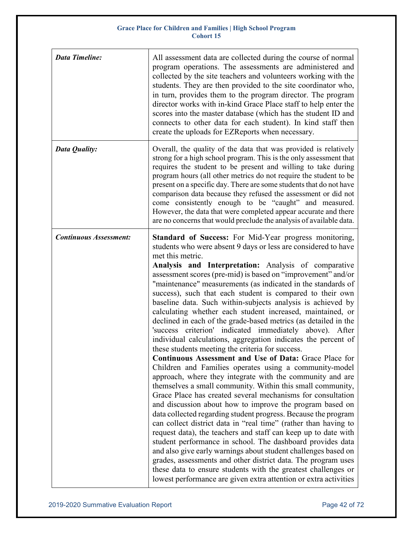| <b>Data Timeline:</b>         | All assessment data are collected during the course of normal<br>program operations. The assessments are administered and<br>collected by the site teachers and volunteers working with the<br>students. They are then provided to the site coordinator who,<br>in turn, provides them to the program director. The program<br>director works with in-kind Grace Place staff to help enter the<br>scores into the master database (which has the student ID and<br>connects to other data for each student). In kind staff then<br>create the uploads for EZReports when necessary.                                                                                                                                                                                                                                                                                                                                                                                                                                                                                                                                                                                                                                                                                                                                                                                                                                                                                                                                                                                                                                                                                                                         |
|-------------------------------|-------------------------------------------------------------------------------------------------------------------------------------------------------------------------------------------------------------------------------------------------------------------------------------------------------------------------------------------------------------------------------------------------------------------------------------------------------------------------------------------------------------------------------------------------------------------------------------------------------------------------------------------------------------------------------------------------------------------------------------------------------------------------------------------------------------------------------------------------------------------------------------------------------------------------------------------------------------------------------------------------------------------------------------------------------------------------------------------------------------------------------------------------------------------------------------------------------------------------------------------------------------------------------------------------------------------------------------------------------------------------------------------------------------------------------------------------------------------------------------------------------------------------------------------------------------------------------------------------------------------------------------------------------------------------------------------------------------|
| Data Quality:                 | Overall, the quality of the data that was provided is relatively<br>strong for a high school program. This is the only assessment that<br>requires the student to be present and willing to take during<br>program hours (all other metrics do not require the student to be<br>present on a specific day. There are some students that do not have<br>comparison data because they refused the assessment or did not<br>come consistently enough to be "caught" and measured.<br>However, the data that were completed appear accurate and there<br>are no concerns that would preclude the analysis of available data.                                                                                                                                                                                                                                                                                                                                                                                                                                                                                                                                                                                                                                                                                                                                                                                                                                                                                                                                                                                                                                                                                    |
| <b>Continuous Assessment:</b> | Standard of Success: For Mid-Year progress monitoring,<br>students who were absent 9 days or less are considered to have<br>met this metric.<br>Analysis and Interpretation: Analysis of comparative<br>assessment scores (pre-mid) is based on "improvement" and/or<br>"maintenance" measurements (as indicated in the standards of<br>success), such that each student is compared to their own<br>baseline data. Such within-subjects analysis is achieved by<br>calculating whether each student increased, maintained, or<br>declined in each of the grade-based metrics (as detailed in the<br>criterion' indicated immediately above). After<br>'success<br>individual calculations, aggregation indicates the percent of<br>these students meeting the criteria for success.<br>Continuous Assessment and Use of Data: Grace Place for<br>Children and Families operates using a community-model<br>approach, where they integrate with the community and are<br>themselves a small community. Within this small community,<br>Grace Place has created several mechanisms for consultation<br>and discussion about how to improve the program based on<br>data collected regarding student progress. Because the program<br>can collect district data in "real time" (rather than having to<br>request data), the teachers and staff can keep up to date with<br>student performance in school. The dashboard provides data<br>and also give early warnings about student challenges based on<br>grades, assessments and other district data. The program uses<br>these data to ensure students with the greatest challenges or<br>lowest performance are given extra attention or extra activities |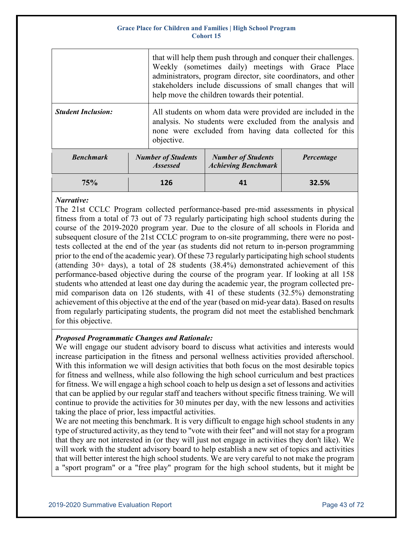|                           |                                              | that will help them push through and conquer their challenges.<br>Weekly (sometimes daily) meetings with Grace Place<br>administrators, program director, site coordinators, and other<br>stakeholders include discussions of small changes that will<br>help move the children towards their potential. |                                                         |            |  |
|---------------------------|----------------------------------------------|----------------------------------------------------------------------------------------------------------------------------------------------------------------------------------------------------------------------------------------------------------------------------------------------------------|---------------------------------------------------------|------------|--|
| <b>Student Inclusion:</b> |                                              | All students on whom data were provided are included in the<br>analysis. No students were excluded from the analysis and<br>none were excluded from having data collected for this<br>objective.                                                                                                         |                                                         |            |  |
| <b>Benchmark</b>          | <b>Number of Students</b><br><b>Assessed</b> |                                                                                                                                                                                                                                                                                                          | <b>Number of Students</b><br><b>Achieving Benchmark</b> | Percentage |  |
| 75%                       | 126                                          |                                                                                                                                                                                                                                                                                                          | 41                                                      | 32.5%      |  |

# *Narrative:*

The 21st CCLC Program collected performance-based pre-mid assessments in physical fitness from a total of 73 out of 73 regularly participating high school students during the course of the 2019-2020 program year. Due to the closure of all schools in Florida and subsequent closure of the 21st CCLC program to on-site programming, there were no posttests collected at the end of the year (as students did not return to in-person programming prior to the end of the academic year). Of these 73 regularly participating high school students (attending  $30+$  days), a total of 28 students  $(38.4%)$  demonstrated achievement of this performance-based objective during the course of the program year. If looking at all 158 students who attended at least one day during the academic year, the program collected premid comparison data on 126 students, with 41 of these students (32.5%) demonstrating achievement of this objective at the end of the year (based on mid-year data). Based on results from regularly participating students, the program did not meet the established benchmark for this objective.

# *Proposed Programmatic Changes and Rationale:*

We will engage our student advisory board to discuss what activities and interests would increase participation in the fitness and personal wellness activities provided afterschool. With this information we will design activities that both focus on the most desirable topics for fitness and wellness, while also following the high school curriculum and best practices for fitness. We will engage a high school coach to help us design a set of lessons and activities that can be applied by our regular staff and teachers without specific fitness training. We will continue to provide the activities for 30 minutes per day, with the new lessons and activities taking the place of prior, less impactful activities.

We are not meeting this benchmark. It is very difficult to engage high school students in any type of structured activity, as they tend to "vote with their feet" and will not stay for a program that they are not interested in (or they will just not engage in activities they don't like). We will work with the student advisory board to help establish a new set of topics and activities that will better interest the high school students. We are very careful to not make the program a "sport program" or a "free play" program for the high school students, but it might be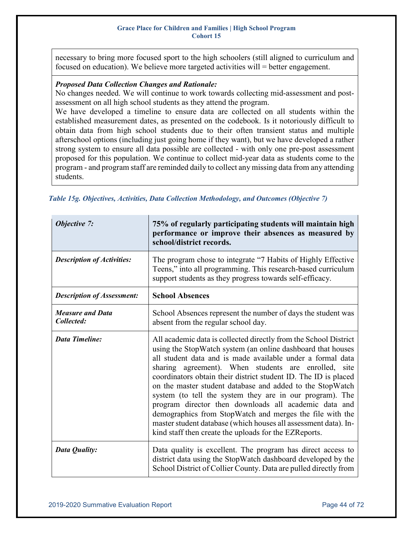necessary to bring more focused sport to the high schoolers (still aligned to curriculum and focused on education). We believe more targeted activities will = better engagement.

#### *Proposed Data Collection Changes and Rationale:*

No changes needed. We will continue to work towards collecting mid-assessment and postassessment on all high school students as they attend the program.

We have developed a timeline to ensure data are collected on all students within the established measurement dates, as presented on the codebook. Is it notoriously difficult to obtain data from high school students due to their often transient status and multiple afterschool options (including just going home if they want), but we have developed a rather strong system to ensure all data possible are collected - with only one pre-post assessment proposed for this population. We continue to collect mid-year data as students come to the program - and program staff are reminded daily to collect any missing data from any attending students.

| <b>Objective 7:</b>                   | 75% of regularly participating students will maintain high<br>performance or improve their absences as measured by<br>school/district records.                                                                                                                                                                                                                                                                                                                                                                                                                                                                                                                                                     |  |  |  |
|---------------------------------------|----------------------------------------------------------------------------------------------------------------------------------------------------------------------------------------------------------------------------------------------------------------------------------------------------------------------------------------------------------------------------------------------------------------------------------------------------------------------------------------------------------------------------------------------------------------------------------------------------------------------------------------------------------------------------------------------------|--|--|--|
| <b>Description of Activities:</b>     | The program chose to integrate "7 Habits of Highly Effective<br>Teens," into all programming. This research-based curriculum<br>support students as they progress towards self-efficacy.                                                                                                                                                                                                                                                                                                                                                                                                                                                                                                           |  |  |  |
| <b>Description of Assessment:</b>     | <b>School Absences</b>                                                                                                                                                                                                                                                                                                                                                                                                                                                                                                                                                                                                                                                                             |  |  |  |
| <b>Measure and Data</b><br>Collected: | School Absences represent the number of days the student was<br>absent from the regular school day.                                                                                                                                                                                                                                                                                                                                                                                                                                                                                                                                                                                                |  |  |  |
| <b>Data Timeline:</b>                 | All academic data is collected directly from the School District<br>using the StopWatch system (an online dashboard that houses<br>all student data and is made available under a formal data<br>sharing agreement). When students are enrolled, site<br>coordinators obtain their district student ID. The ID is placed<br>on the master student database and added to the StopWatch<br>system (to tell the system they are in our program). The<br>program director then downloads all academic data and<br>demographics from StopWatch and merges the file with the<br>master student database (which houses all assessment data). In-<br>kind staff then create the uploads for the EZReports. |  |  |  |
| Data Quality:                         | Data quality is excellent. The program has direct access to<br>district data using the StopWatch dashboard developed by the<br>School District of Collier County. Data are pulled directly from                                                                                                                                                                                                                                                                                                                                                                                                                                                                                                    |  |  |  |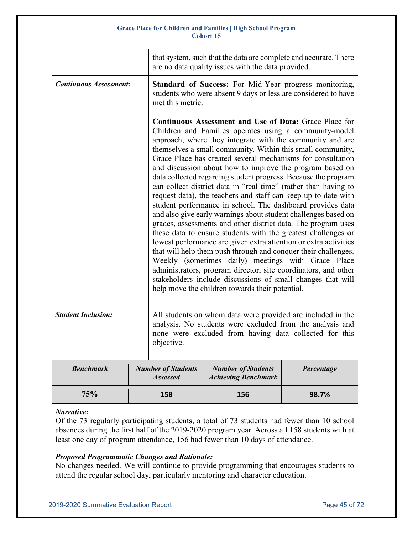|                               |  | that system, such that the data are complete and accurate. There<br>are no data quality issues with the data provided.                                                                                                                                                                                                                                                                                                                                                                                                                                                                                                                                                                                                                                                                                                                                                                                                                                                                                                                                                                                                                                                                                                          |                                                                                                                                                                                    |            |  |
|-------------------------------|--|---------------------------------------------------------------------------------------------------------------------------------------------------------------------------------------------------------------------------------------------------------------------------------------------------------------------------------------------------------------------------------------------------------------------------------------------------------------------------------------------------------------------------------------------------------------------------------------------------------------------------------------------------------------------------------------------------------------------------------------------------------------------------------------------------------------------------------------------------------------------------------------------------------------------------------------------------------------------------------------------------------------------------------------------------------------------------------------------------------------------------------------------------------------------------------------------------------------------------------|------------------------------------------------------------------------------------------------------------------------------------------------------------------------------------|------------|--|
| <b>Continuous Assessment:</b> |  | Standard of Success: For Mid-Year progress monitoring,<br>students who were absent 9 days or less are considered to have<br>met this metric.                                                                                                                                                                                                                                                                                                                                                                                                                                                                                                                                                                                                                                                                                                                                                                                                                                                                                                                                                                                                                                                                                    |                                                                                                                                                                                    |            |  |
|                               |  | Continuous Assessment and Use of Data: Grace Place for<br>Children and Families operates using a community-model<br>approach, where they integrate with the community and are<br>themselves a small community. Within this small community,<br>Grace Place has created several mechanisms for consultation<br>and discussion about how to improve the program based on<br>data collected regarding student progress. Because the program<br>can collect district data in "real time" (rather than having to<br>request data), the teachers and staff can keep up to date with<br>student performance in school. The dashboard provides data<br>and also give early warnings about student challenges based on<br>grades, assessments and other district data. The program uses<br>these data to ensure students with the greatest challenges or<br>lowest performance are given extra attention or extra activities<br>that will help them push through and conquer their challenges.<br>Weekly (sometimes daily) meetings with Grace Place<br>administrators, program director, site coordinators, and other<br>stakeholders include discussions of small changes that will<br>help move the children towards their potential. |                                                                                                                                                                                    |            |  |
| <b>Student Inclusion:</b>     |  | objective.                                                                                                                                                                                                                                                                                                                                                                                                                                                                                                                                                                                                                                                                                                                                                                                                                                                                                                                                                                                                                                                                                                                                                                                                                      | All students on whom data were provided are included in the<br>analysis. No students were excluded from the analysis and<br>none were excluded from having data collected for this |            |  |
| <b>Benchmark</b>              |  | <b>Number of Students</b><br><b>Assessed</b>                                                                                                                                                                                                                                                                                                                                                                                                                                                                                                                                                                                                                                                                                                                                                                                                                                                                                                                                                                                                                                                                                                                                                                                    | <b>Number of Students</b><br><b>Achieving Benchmark</b>                                                                                                                            | Percentage |  |
| 75%                           |  | 158                                                                                                                                                                                                                                                                                                                                                                                                                                                                                                                                                                                                                                                                                                                                                                                                                                                                                                                                                                                                                                                                                                                                                                                                                             | 156                                                                                                                                                                                | 98.7%      |  |

# *Narrative:*

Of the 73 regularly participating students, a total of 73 students had fewer than 10 school absences during the first half of the 2019-2020 program year. Across all 158 students with at least one day of program attendance, 156 had fewer than 10 days of attendance.

#### *Proposed Programmatic Changes and Rationale:*

No changes needed. We will continue to provide programming that encourages students to attend the regular school day, particularly mentoring and character education.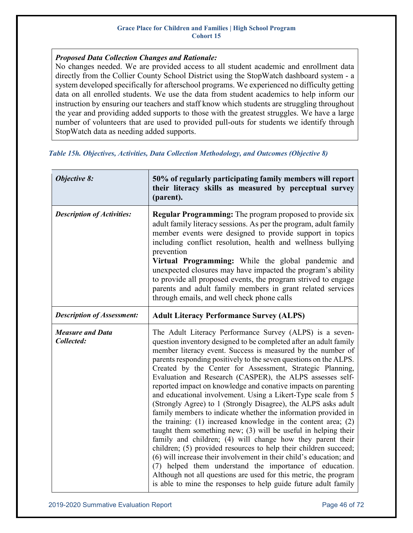# *Proposed Data Collection Changes and Rationale:*

No changes needed. We are provided access to all student academic and enrollment data directly from the Collier County School District using the StopWatch dashboard system - a system developed specifically for afterschool programs. We experienced no difficulty getting data on all enrolled students. We use the data from student academics to help inform our instruction by ensuring our teachers and staff know which students are struggling throughout the year and providing added supports to those with the greatest struggles. We have a large number of volunteers that are used to provided pull-outs for students we identify through StopWatch data as needing added supports.

|  |  |  | Table 15h. Objectives, Activities, Data Collection Methodology, and Outcomes (Objective 8) |  |
|--|--|--|--------------------------------------------------------------------------------------------|--|
|  |  |  |                                                                                            |  |

| <b>Objective 8:</b>                   | 50% of regularly participating family members will report<br>their literacy skills as measured by perceptual survey<br>(parent).                                                                                                                                                                                                                                                                                                                                                                                                                                                                                                                                                                                                                                                                                                                                                                                                                                                                                                                                                                                                                                                                                      |
|---------------------------------------|-----------------------------------------------------------------------------------------------------------------------------------------------------------------------------------------------------------------------------------------------------------------------------------------------------------------------------------------------------------------------------------------------------------------------------------------------------------------------------------------------------------------------------------------------------------------------------------------------------------------------------------------------------------------------------------------------------------------------------------------------------------------------------------------------------------------------------------------------------------------------------------------------------------------------------------------------------------------------------------------------------------------------------------------------------------------------------------------------------------------------------------------------------------------------------------------------------------------------|
| <b>Description of Activities:</b>     | <b>Regular Programming:</b> The program proposed to provide six<br>adult family literacy sessions. As per the program, adult family<br>member events were designed to provide support in topics<br>including conflict resolution, health and wellness bullying<br>prevention<br>Virtual Programming: While the global pandemic and<br>unexpected closures may have impacted the program's ability<br>to provide all proposed events, the program strived to engage<br>parents and adult family members in grant related services<br>through emails, and well check phone calls                                                                                                                                                                                                                                                                                                                                                                                                                                                                                                                                                                                                                                        |
| <b>Description of Assessment:</b>     | <b>Adult Literacy Performance Survey (ALPS)</b>                                                                                                                                                                                                                                                                                                                                                                                                                                                                                                                                                                                                                                                                                                                                                                                                                                                                                                                                                                                                                                                                                                                                                                       |
| <b>Measure and Data</b><br>Collected: | The Adult Literacy Performance Survey (ALPS) is a seven-<br>question inventory designed to be completed after an adult family<br>member literacy event. Success is measured by the number of<br>parents responding positively to the seven questions on the ALPS.<br>Created by the Center for Assessment, Strategic Planning,<br>Evaluation and Research (CASPER), the ALPS assesses self-<br>reported impact on knowledge and conative impacts on parenting<br>and educational involvement. Using a Likert-Type scale from 5<br>(Strongly Agree) to 1 (Strongly Disagree), the ALPS asks adult<br>family members to indicate whether the information provided in<br>the training: $(1)$ increased knowledge in the content area; $(2)$<br>taught them something new; (3) will be useful in helping their<br>family and children; (4) will change how they parent their<br>children; (5) provided resources to help their children succeed;<br>(6) will increase their involvement in their child's education; and<br>(7) helped them understand the importance of education.<br>Although not all questions are used for this metric, the program<br>is able to mine the responses to help guide future adult family |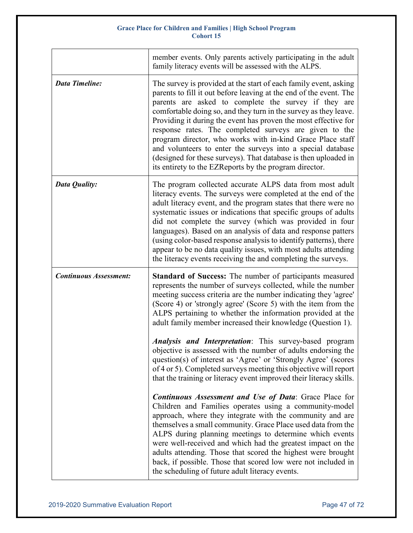|                               | member events. Only parents actively participating in the adult<br>family literacy events will be assessed with the ALPS.                                                                                                                                                                                                                                                                                                                                                                                                                                                                                                                                 |
|-------------------------------|-----------------------------------------------------------------------------------------------------------------------------------------------------------------------------------------------------------------------------------------------------------------------------------------------------------------------------------------------------------------------------------------------------------------------------------------------------------------------------------------------------------------------------------------------------------------------------------------------------------------------------------------------------------|
| <b>Data Timeline:</b>         | The survey is provided at the start of each family event, asking<br>parents to fill it out before leaving at the end of the event. The<br>parents are asked to complete the survey if they are<br>comfortable doing so, and they turn in the survey as they leave.<br>Providing it during the event has proven the most effective for<br>response rates. The completed surveys are given to the<br>program director, who works with in-kind Grace Place staff<br>and volunteers to enter the surveys into a special database<br>(designed for these surveys). That database is then uploaded in<br>its entirety to the EZReports by the program director. |
| <b>Data Quality:</b>          | The program collected accurate ALPS data from most adult<br>literacy events. The surveys were completed at the end of the<br>adult literacy event, and the program states that there were no<br>systematic issues or indications that specific groups of adults<br>did not complete the survey (which was provided in four<br>languages). Based on an analysis of data and response patters<br>(using color-based response analysis to identify patterns), there<br>appear to be no data quality issues, with most adults attending<br>the literacy events receiving the and completing the surveys.                                                      |
| <b>Continuous Assessment:</b> | Standard of Success: The number of participants measured                                                                                                                                                                                                                                                                                                                                                                                                                                                                                                                                                                                                  |
|                               | represents the number of surveys collected, while the number<br>meeting success criteria are the number indicating they 'agree'<br>(Score 4) or 'strongly agree' (Score 5) with the item from the<br>ALPS pertaining to whether the information provided at the<br>adult family member increased their knowledge (Question 1).<br>Analysis and Interpretation: This survey-based program                                                                                                                                                                                                                                                                  |
|                               | objective is assessed with the number of adults endorsing the<br>question(s) of interest as 'Agree' or 'Strongly Agree' (scores<br>of 4 or 5). Completed surveys meeting this objective will report<br>that the training or literacy event improved their literacy skills.                                                                                                                                                                                                                                                                                                                                                                                |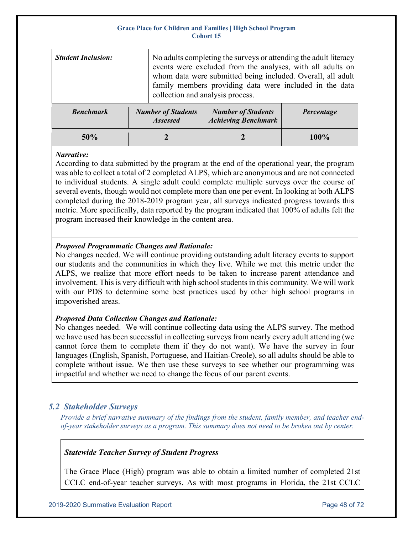| <b>Student Inclusion:</b> | No adults completing the surveys or attending the adult literacy<br>events were excluded from the analyses, with all adults on<br>whom data were submitted being included. Overall, all adult<br>family members providing data were included in the data<br>collection and analysis process. |                                                         |            |
|---------------------------|----------------------------------------------------------------------------------------------------------------------------------------------------------------------------------------------------------------------------------------------------------------------------------------------|---------------------------------------------------------|------------|
| <b>Benchmark</b>          | <b>Number of Students</b><br><b>Assessed</b>                                                                                                                                                                                                                                                 | <b>Number of Students</b><br><b>Achieving Benchmark</b> | Percentage |
|                           |                                                                                                                                                                                                                                                                                              |                                                         |            |

**50% 2 2 100%**

# *Narrative:*

According to data submitted by the program at the end of the operational year, the program was able to collect a total of 2 completed ALPS, which are anonymous and are not connected to individual students. A single adult could complete multiple surveys over the course of several events, though would not complete more than one per event. In looking at both ALPS completed during the 2018-2019 program year, all surveys indicated progress towards this metric. More specifically, data reported by the program indicated that 100% of adults felt the program increased their knowledge in the content area.

# *Proposed Programmatic Changes and Rationale:*

No changes needed. We will continue providing outstanding adult literacy events to support our students and the communities in which they live. While we met this metric under the ALPS, we realize that more effort needs to be taken to increase parent attendance and involvement. This is very difficult with high school students in this community. We will work with our PDS to determine some best practices used by other high school programs in impoverished areas.

# *Proposed Data Collection Changes and Rationale:*

No changes needed. We will continue collecting data using the ALPS survey. The method we have used has been successful in collecting surveys from nearly every adult attending (we cannot force them to complete them if they do not want). We have the survey in four languages (English, Spanish, Portuguese, and Haitian-Creole), so all adults should be able to complete without issue. We then use these surveys to see whether our programming was impactful and whether we need to change the focus of our parent events.

# *5.2 Stakeholder Surveys*

*Provide a brief narrative summary of the findings from the student, family member, and teacher end‐ of‐year stakeholder surveys as a program. This summary does not need to be broken out by center.*

# *Statewide Teacher Survey of Student Progress*

The Grace Place (High) program was able to obtain a limited number of completed 21st CCLC end-of-year teacher surveys. As with most programs in Florida, the 21st CCLC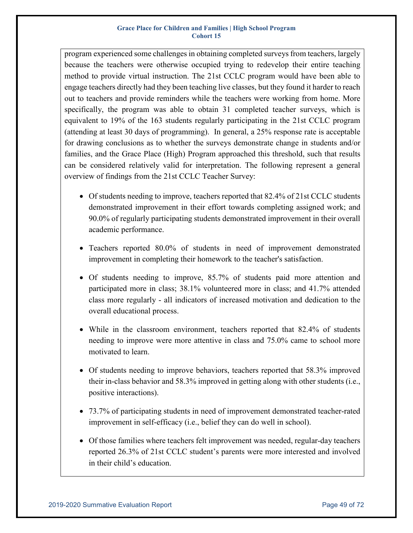program experienced some challenges in obtaining completed surveys from teachers, largely because the teachers were otherwise occupied trying to redevelop their entire teaching method to provide virtual instruction. The 21st CCLC program would have been able to engage teachers directly had they been teaching live classes, but they found it harder to reach out to teachers and provide reminders while the teachers were working from home. More specifically, the program was able to obtain 31 completed teacher surveys, which is equivalent to 19% of the 163 students regularly participating in the 21st CCLC program (attending at least 30 days of programming). In general, a 25% response rate is acceptable for drawing conclusions as to whether the surveys demonstrate change in students and/or families, and the Grace Place (High) Program approached this threshold, such that results can be considered relatively valid for interpretation. The following represent a general overview of findings from the 21st CCLC Teacher Survey:

- Of students needing to improve, teachers reported that 82.4% of 21st CCLC students demonstrated improvement in their effort towards completing assigned work; and 90.0% of regularly participating students demonstrated improvement in their overall academic performance.
- Teachers reported 80.0% of students in need of improvement demonstrated improvement in completing their homework to the teacher's satisfaction.
- Of students needing to improve, 85.7% of students paid more attention and participated more in class; 38.1% volunteered more in class; and 41.7% attended class more regularly - all indicators of increased motivation and dedication to the overall educational process.
- While in the classroom environment, teachers reported that 82.4% of students needing to improve were more attentive in class and 75.0% came to school more motivated to learn.
- Of students needing to improve behaviors, teachers reported that 58.3% improved their in-class behavior and 58.3% improved in getting along with other students (i.e., positive interactions).
- 73.7% of participating students in need of improvement demonstrated teacher-rated improvement in self-efficacy (i.e., belief they can do well in school).
- Of those families where teachers felt improvement was needed, regular-day teachers reported 26.3% of 21st CCLC student's parents were more interested and involved in their child's education.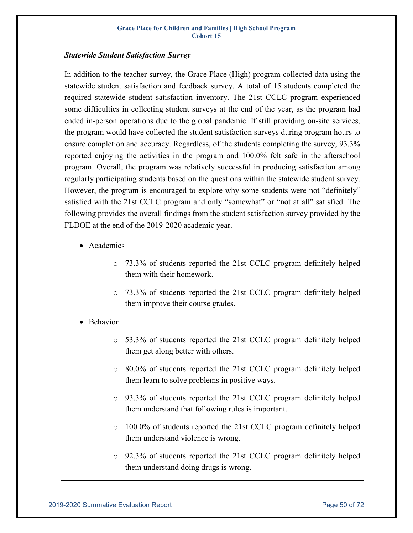# *Statewide Student Satisfaction Survey*

In addition to the teacher survey, the Grace Place (High) program collected data using the statewide student satisfaction and feedback survey. A total of 15 students completed the required statewide student satisfaction inventory. The 21st CCLC program experienced some difficulties in collecting student surveys at the end of the year, as the program had ended in-person operations due to the global pandemic. If still providing on-site services, the program would have collected the student satisfaction surveys during program hours to ensure completion and accuracy. Regardless, of the students completing the survey, 93.3% reported enjoying the activities in the program and 100.0% felt safe in the afterschool program. Overall, the program was relatively successful in producing satisfaction among regularly participating students based on the questions within the statewide student survey. However, the program is encouraged to explore why some students were not "definitely" satisfied with the 21st CCLC program and only "somewhat" or "not at all" satisfied. The following provides the overall findings from the student satisfaction survey provided by the FLDOE at the end of the 2019-2020 academic year.

- Academics
	- o 73.3% of students reported the 21st CCLC program definitely helped them with their homework.
	- o 73.3% of students reported the 21st CCLC program definitely helped them improve their course grades.
- Behavior
	- o 53.3% of students reported the 21st CCLC program definitely helped them get along better with others.
	- o 80.0% of students reported the 21st CCLC program definitely helped them learn to solve problems in positive ways.
	- o 93.3% of students reported the 21st CCLC program definitely helped them understand that following rules is important.
	- o 100.0% of students reported the 21st CCLC program definitely helped them understand violence is wrong.
	- o 92.3% of students reported the 21st CCLC program definitely helped them understand doing drugs is wrong.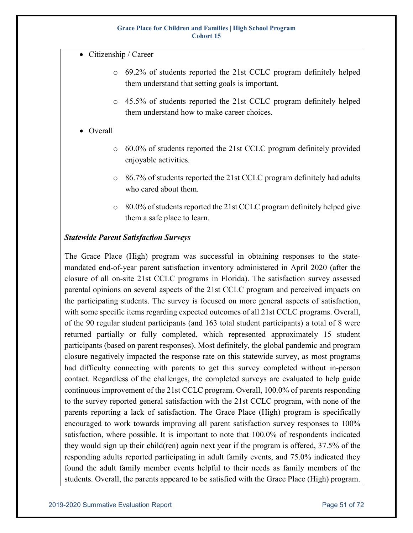- Citizenship / Career
	- o 69.2% of students reported the 21st CCLC program definitely helped them understand that setting goals is important.
	- o 45.5% of students reported the 21st CCLC program definitely helped them understand how to make career choices.
- Overall
	- o 60.0% of students reported the 21st CCLC program definitely provided enjoyable activities.
	- o 86.7% of students reported the 21st CCLC program definitely had adults who cared about them.
	- o 80.0% of students reported the 21st CCLC program definitely helped give them a safe place to learn.

# *Statewide Parent Satisfaction Surveys*

The Grace Place (High) program was successful in obtaining responses to the statemandated end-of-year parent satisfaction inventory administered in April 2020 (after the closure of all on-site 21st CCLC programs in Florida). The satisfaction survey assessed parental opinions on several aspects of the 21st CCLC program and perceived impacts on the participating students. The survey is focused on more general aspects of satisfaction, with some specific items regarding expected outcomes of all 21st CCLC programs. Overall, of the 90 regular student participants (and 163 total student participants) a total of 8 were returned partially or fully completed, which represented approximately 15 student participants (based on parent responses). Most definitely, the global pandemic and program closure negatively impacted the response rate on this statewide survey, as most programs had difficulty connecting with parents to get this survey completed without in-person contact. Regardless of the challenges, the completed surveys are evaluated to help guide continuous improvement of the 21st CCLC program. Overall, 100.0% of parents responding to the survey reported general satisfaction with the 21st CCLC program, with none of the parents reporting a lack of satisfaction. The Grace Place (High) program is specifically encouraged to work towards improving all parent satisfaction survey responses to 100% satisfaction, where possible. It is important to note that 100.0% of respondents indicated they would sign up their child(ren) again next year if the program is offered, 37.5% of the responding adults reported participating in adult family events, and 75.0% indicated they found the adult family member events helpful to their needs as family members of the students. Overall, the parents appeared to be satisfied with the Grace Place (High) program.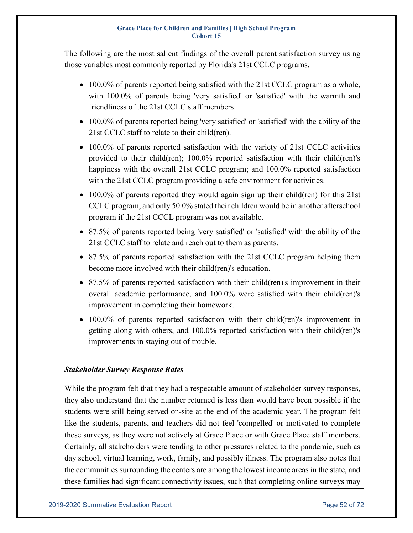The following are the most salient findings of the overall parent satisfaction survey using those variables most commonly reported by Florida's 21st CCLC programs.

- 100.0% of parents reported being satisfied with the 21st CCLC program as a whole, with 100.0% of parents being 'very satisfied' or 'satisfied' with the warmth and friendliness of the 21st CCLC staff members.
- 100.0% of parents reported being 'very satisfied' or 'satisfied' with the ability of the 21st CCLC staff to relate to their child(ren).
- 100.0% of parents reported satisfaction with the variety of 21st CCLC activities provided to their child(ren); 100.0% reported satisfaction with their child(ren)'s happiness with the overall 21st CCLC program; and 100.0% reported satisfaction with the 21st CCLC program providing a safe environment for activities.
- 100.0% of parents reported they would again sign up their child(ren) for this 21st CCLC program, and only 50.0% stated their children would be in another afterschool program if the 21st CCCL program was not available.
- 87.5% of parents reported being 'very satisfied' or 'satisfied' with the ability of the 21st CCLC staff to relate and reach out to them as parents.
- 87.5% of parents reported satisfaction with the 21st CCLC program helping them become more involved with their child(ren)'s education.
- 87.5% of parents reported satisfaction with their child(ren)'s improvement in their overall academic performance, and 100.0% were satisfied with their child(ren)'s improvement in completing their homework.
- 100.0% of parents reported satisfaction with their child(ren)'s improvement in getting along with others, and 100.0% reported satisfaction with their child(ren)'s improvements in staying out of trouble.

# *Stakeholder Survey Response Rates*

While the program felt that they had a respectable amount of stakeholder survey responses, they also understand that the number returned is less than would have been possible if the students were still being served on-site at the end of the academic year. The program felt like the students, parents, and teachers did not feel 'compelled' or motivated to complete these surveys, as they were not actively at Grace Place or with Grace Place staff members. Certainly, all stakeholders were tending to other pressures related to the pandemic, such as day school, virtual learning, work, family, and possibly illness. The program also notes that the communities surrounding the centers are among the lowest income areas in the state, and these families had significant connectivity issues, such that completing online surveys may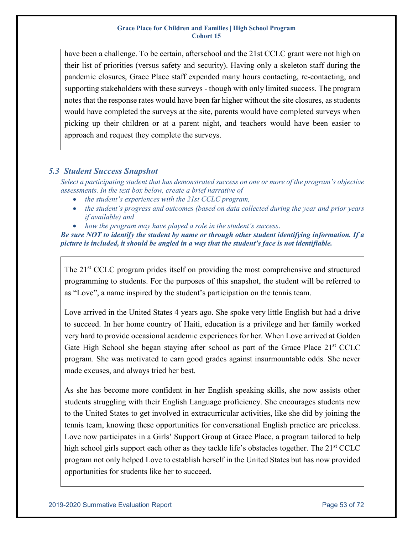have been a challenge. To be certain, afterschool and the 21st CCLC grant were not high on their list of priorities (versus safety and security). Having only a skeleton staff during the pandemic closures, Grace Place staff expended many hours contacting, re-contacting, and supporting stakeholders with these surveys - though with only limited success. The program notes that the response rates would have been far higher without the site closures, as students would have completed the surveys at the site, parents would have completed surveys when picking up their children or at a parent night, and teachers would have been easier to approach and request they complete the surveys.

# *5.3 Student Success Snapshot*

*Select a participating student that has demonstrated success on one or more of the program's objective assessments. In the text box below, create a brief narrative of*

- *the student's experiences with the 21st CCLC program,*
- *the student's progress and outcomes (based on data collected during the year and prior years if available) and*
- *how the program may have played a role in the student's success*.

*Be sure NOT to identify the student by name or through other student identifying information. If a picture is included, it should be angled in a way that the student's face is not identifiable.* 

The 21<sup>st</sup> CCLC program prides itself on providing the most comprehensive and structured programming to students. For the purposes of this snapshot, the student will be referred to as "Love", a name inspired by the student's participation on the tennis team.

Love arrived in the United States 4 years ago. She spoke very little English but had a drive to succeed. In her home country of Haiti, education is a privilege and her family worked very hard to provide occasional academic experiences for her. When Love arrived at Golden Gate High School she began staying after school as part of the Grace Place 21<sup>st</sup> CCLC program. She was motivated to earn good grades against insurmountable odds. She never made excuses, and always tried her best.

As she has become more confident in her English speaking skills, she now assists other students struggling with their English Language proficiency. She encourages students new to the United States to get involved in extracurricular activities, like she did by joining the tennis team, knowing these opportunities for conversational English practice are priceless. Love now participates in a Girls' Support Group at Grace Place, a program tailored to help high school girls support each other as they tackle life's obstacles together. The 21<sup>st</sup> CCLC program not only helped Love to establish herself in the United States but has now provided opportunities for students like her to succeed.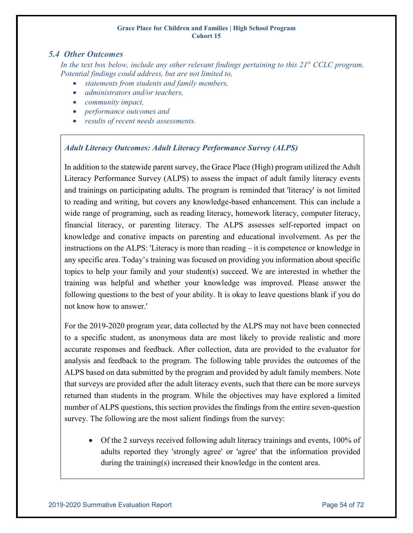# *5.4 Other Outcomes*

In the text box below, include any other relevant findings pertaining to this 21<sup>st</sup> CCLC program. *Potential findings could address, but are not limited to,*

- *statements from students and family members,*
- *administrators and/or teachers,*
- *community impact,*
- *performance outcomes and*
- *results of recent needs assessments.*

# *Adult Literacy Outcomes: Adult Literacy Performance Survey (ALPS)*

In addition to the statewide parent survey, the Grace Place (High) program utilized the Adult Literacy Performance Survey (ALPS) to assess the impact of adult family literacy events and trainings on participating adults. The program is reminded that 'literacy' is not limited to reading and writing, but covers any knowledge-based enhancement. This can include a wide range of programing, such as reading literacy, homework literacy, computer literacy, financial literacy, or parenting literacy. The ALPS assesses self-reported impact on knowledge and conative impacts on parenting and educational involvement. As per the instructions on the ALPS: 'Literacy is more than reading – it is competence or knowledge in any specific area. Today's training was focused on providing you information about specific topics to help your family and your student(s) succeed. We are interested in whether the training was helpful and whether your knowledge was improved. Please answer the following questions to the best of your ability. It is okay to leave questions blank if you do not know how to answer.'

For the 2019-2020 program year, data collected by the ALPS may not have been connected to a specific student, as anonymous data are most likely to provide realistic and more accurate responses and feedback. After collection, data are provided to the evaluator for analysis and feedback to the program. The following table provides the outcomes of the ALPS based on data submitted by the program and provided by adult family members. Note that surveys are provided after the adult literacy events, such that there can be more surveys returned than students in the program. While the objectives may have explored a limited number of ALPS questions, this section provides the findings from the entire seven-question survey. The following are the most salient findings from the survey:

• Of the 2 surveys received following adult literacy trainings and events, 100% of adults reported they 'strongly agree' or 'agree' that the information provided during the training(s) increased their knowledge in the content area.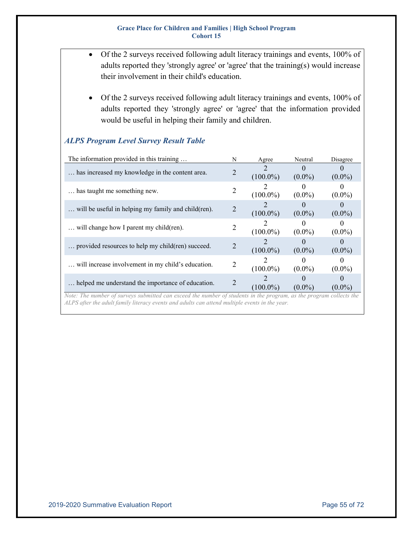- Of the 2 surveys received following adult literacy trainings and events, 100% of adults reported they 'strongly agree' or 'agree' that the training(s) would increase their involvement in their child's education.
	- Of the 2 surveys received following adult literacy trainings and events, 100% of adults reported they 'strongly agree' or 'agree' that the information provided would be useful in helping their family and children.

| The information provided in this training           |   | Agree       | Neutral               | Disagree  |
|-----------------------------------------------------|---|-------------|-----------------------|-----------|
| has increased my knowledge in the content area.     |   | $(100.0\%)$ | $\Omega$<br>$(0.0\%)$ | $(0.0\%)$ |
| has taught me something new.                        | 2 | $(100.0\%)$ | $\theta$<br>$(0.0\%)$ | $(0.0\%)$ |
| will be useful in helping my family and child(ren). |   | $(100.0\%)$ | $(0.0\%)$             | $(0.0\%)$ |
| will change how I parent my child (ren).            |   | $(100.0\%)$ | $(0.0\%)$             | $(0.0\%)$ |
| provided resources to help my child(ren) succeed.   |   | $(100.0\%)$ | $(0.0\%)$             | $(0.0\%)$ |
| will increase involvement in my child's education.  | 2 | $(100.0\%)$ | $(0.0\%)$             | $(0.0\%)$ |
| helped me understand the importance of education.   |   | $(100.0\%)$ | $(0.0\%)$             | $(0.0\%)$ |

# *ALPS Program Level Survey Result Table*

*Note: The number of surveys submitted can exceed the number of students in the program, as the program collects the ALPS after the adult family literacy events and adults can attend multiple events in the year.*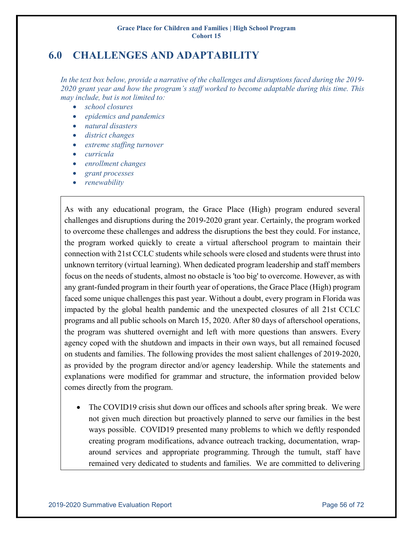# **6.0 CHALLENGES AND ADAPTABILITY**

*In the text box below, provide a narrative of the challenges and disruptions faced during the 2019- 2020 grant year and how the program's staff worked to become adaptable during this time. This may include, but is not limited to:*

- *school closures*
- *epidemics and pandemics*
- *natural disasters*
- *district changes*
- *extreme staffing turnover*
- *curricula*
- *enrollment changes*
- *grant processes*
- *renewability*

As with any educational program, the Grace Place (High) program endured several challenges and disruptions during the 2019-2020 grant year. Certainly, the program worked to overcome these challenges and address the disruptions the best they could. For instance, the program worked quickly to create a virtual afterschool program to maintain their connection with 21st CCLC students while schools were closed and students were thrust into unknown territory (virtual learning). When dedicated program leadership and staff members focus on the needs of students, almost no obstacle is 'too big' to overcome. However, as with any grant-funded program in their fourth year of operations, the Grace Place (High) program faced some unique challenges this past year. Without a doubt, every program in Florida was impacted by the global health pandemic and the unexpected closures of all 21st CCLC programs and all public schools on March 15, 2020. After 80 days of afterschool operations, the program was shuttered overnight and left with more questions than answers. Every agency coped with the shutdown and impacts in their own ways, but all remained focused on students and families. The following provides the most salient challenges of 2019-2020, as provided by the program director and/or agency leadership. While the statements and explanations were modified for grammar and structure, the information provided below comes directly from the program.

The COVID19 crisis shut down our offices and schools after spring break. We were not given much direction but proactively planned to serve our families in the best ways possible. COVID19 presented many problems to which we deftly responded creating program modifications, advance outreach tracking, documentation, wraparound services and appropriate programming. Through the tumult, staff have remained very dedicated to students and families. We are committed to delivering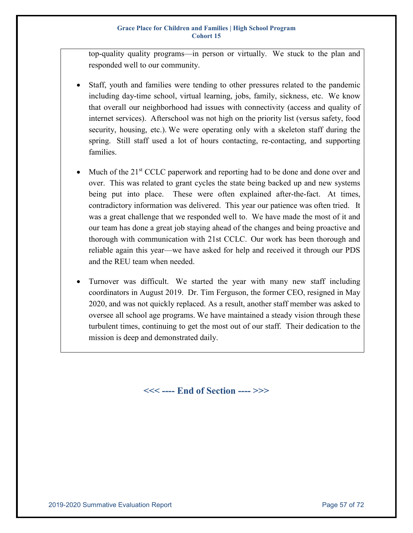top-quality quality programs—in person or virtually. We stuck to the plan and responded well to our community.

- Staff, youth and families were tending to other pressures related to the pandemic including day-time school, virtual learning, jobs, family, sickness, etc. We know that overall our neighborhood had issues with connectivity (access and quality of internet services). Afterschool was not high on the priority list (versus safety, food security, housing, etc.). We were operating only with a skeleton staff during the spring. Still staff used a lot of hours contacting, re-contacting, and supporting families.
- Much of the  $21<sup>st</sup>$  CCLC paperwork and reporting had to be done and done over and over. This was related to grant cycles the state being backed up and new systems being put into place. These were often explained after-the-fact. At times, contradictory information was delivered. This year our patience was often tried. It was a great challenge that we responded well to. We have made the most of it and our team has done a great job staying ahead of the changes and being proactive and thorough with communication with 21st CCLC. Our work has been thorough and reliable again this year—we have asked for help and received it through our PDS and the REU team when needed.
- Turnover was difficult. We started the year with many new staff including coordinators in August 2019. Dr. Tim Ferguson, the former CEO, resigned in May 2020, and was not quickly replaced. As a result, another staff member was asked to oversee all school age programs. We have maintained a steady vision through these turbulent times, continuing to get the most out of our staff. Their dedication to the mission is deep and demonstrated daily.

**<<< ---- End of Section ---- >>>**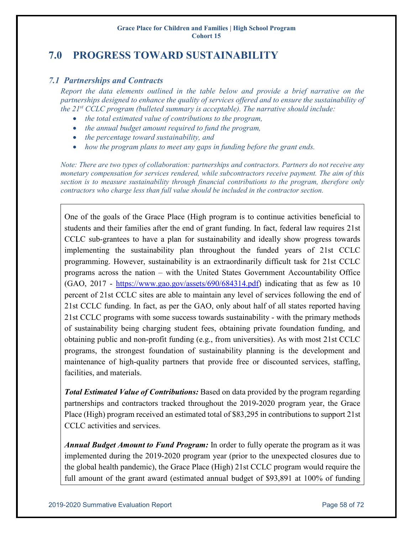# **7.0 PROGRESS TOWARD SUSTAINABILITY**

# *7.1 Partnerships and Contracts*

*Report the data elements outlined in the table below and provide a brief narrative on the partnerships designed to enhance the quality of services offered and to ensure the sustainability of the 21st CCLC program (bulleted summary is acceptable). The narrative should include:*

- *the total estimated value of contributions to the program,*
- *the annual budget amount required to fund the program,*
- *the percentage toward sustainability, and*
- *how the program plans to meet any gaps in funding before the grant ends.*

*Note: There are two types of collaboration: partnerships and contractors. Partners do not receive any monetary compensation for services rendered, while subcontractors receive payment. The aim of this section is to measure sustainability through financial contributions to the program, therefore only contractors who charge less than full value should be included in the contractor section.*

One of the goals of the Grace Place (High program is to continue activities beneficial to students and their families after the end of grant funding. In fact, federal law requires 21st CCLC sub-grantees to have a plan for sustainability and ideally show progress towards implementing the sustainability plan throughout the funded years of 21st CCLC programming. However, sustainability is an extraordinarily difficult task for 21st CCLC programs across the nation – with the United States Government Accountability Office (GAO, 2017 - [https://www.gao.gov/assets/690/684314.pdf\)](https://www.gao.gov/assets/690/684314.pdf) indicating that as few as 10 percent of 21st CCLC sites are able to maintain any level of services following the end of 21st CCLC funding. In fact, as per the GAO, only about half of all states reported having 21st CCLC programs with some success towards sustainability - with the primary methods of sustainability being charging student fees, obtaining private foundation funding, and obtaining public and non-profit funding (e.g., from universities). As with most 21st CCLC programs, the strongest foundation of sustainability planning is the development and maintenance of high-quality partners that provide free or discounted services, staffing, facilities, and materials.

*Total Estimated Value of Contributions:* Based on data provided by the program regarding partnerships and contractors tracked throughout the 2019-2020 program year, the Grace Place (High) program received an estimated total of \$83,295 in contributions to support 21st CCLC activities and services.

*Annual Budget Amount to Fund Program:* In order to fully operate the program as it was implemented during the 2019-2020 program year (prior to the unexpected closures due to the global health pandemic), the Grace Place (High) 21st CCLC program would require the full amount of the grant award (estimated annual budget of \$93,891 at 100% of funding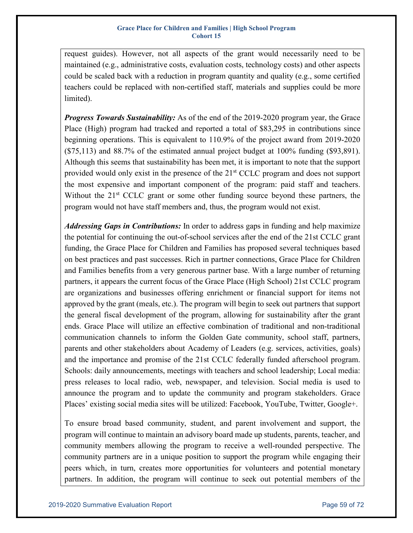request guides). However, not all aspects of the grant would necessarily need to be maintained (e.g., administrative costs, evaluation costs, technology costs) and other aspects could be scaled back with a reduction in program quantity and quality (e.g., some certified teachers could be replaced with non-certified staff, materials and supplies could be more limited).

*Progress Towards Sustainability:* As of the end of the 2019-2020 program year, the Grace Place (High) program had tracked and reported a total of \$83,295 in contributions since beginning operations. This is equivalent to 110.9% of the project award from 2019-2020 (\$75,113) and 88.7% of the estimated annual project budget at 100% funding (\$93,891). Although this seems that sustainability has been met, it is important to note that the support provided would only exist in the presence of the 21<sup>st</sup> CCLC program and does not support the most expensive and important component of the program: paid staff and teachers. Without the  $21<sup>st</sup>$  CCLC grant or some other funding source beyond these partners, the program would not have staff members and, thus, the program would not exist.

*Addressing Gaps in Contributions:* In order to address gaps in funding and help maximize the potential for continuing the out-of-school services after the end of the 21st CCLC grant funding, the Grace Place for Children and Families has proposed several techniques based on best practices and past successes. Rich in partner connections, Grace Place for Children and Families benefits from a very generous partner base. With a large number of returning partners, it appears the current focus of the Grace Place (High School) 21st CCLC program are organizations and businesses offering enrichment or financial support for items not approved by the grant (meals, etc.). The program will begin to seek out partners that support the general fiscal development of the program, allowing for sustainability after the grant ends. Grace Place will utilize an effective combination of traditional and non-traditional communication channels to inform the Golden Gate community, school staff, partners, parents and other stakeholders about Academy of Leaders (e.g. services, activities, goals) and the importance and promise of the 21st CCLC federally funded afterschool program. Schools: daily announcements, meetings with teachers and school leadership; Local media: press releases to local radio, web, newspaper, and television. Social media is used to announce the program and to update the community and program stakeholders. Grace Places' existing social media sites will be utilized: Facebook, YouTube, Twitter, Google+.

To ensure broad based community, student, and parent involvement and support, the program will continue to maintain an advisory board made up students, parents, teacher, and community members allowing the program to receive a well-rounded perspective. The community partners are in a unique position to support the program while engaging their peers which, in turn, creates more opportunities for volunteers and potential monetary partners. In addition, the program will continue to seek out potential members of the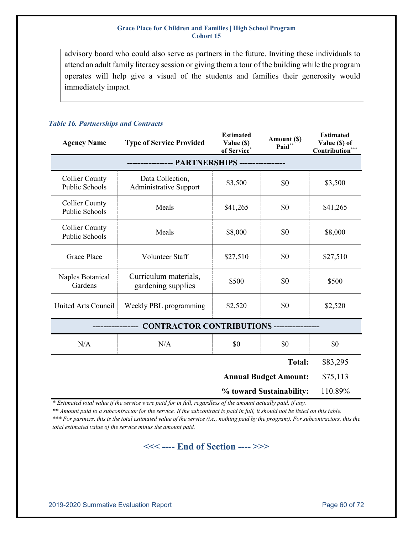advisory board who could also serve as partners in the future. Inviting these individuals to attend an adult family literacy session or giving them a tour of the building while the program operates will help give a visual of the students and families their generosity would immediately impact.

### *Table 16. Partnerships and Contracts*

| <b>Agency Name</b>                             | <b>Type of Service Provided</b>                   | <b>Estimated</b><br>Value (\$)<br>of Service* | Amount (\$)<br>Paid**        | <b>Estimated</b><br>Value (\$) of<br>Contribution*** |  |  |  |
|------------------------------------------------|---------------------------------------------------|-----------------------------------------------|------------------------------|------------------------------------------------------|--|--|--|
|                                                |                                                   |                                               |                              |                                                      |  |  |  |
| <b>Collier County</b><br><b>Public Schools</b> | Data Collection,<br><b>Administrative Support</b> | \$3,500                                       | \$0                          | \$3,500                                              |  |  |  |
| <b>Collier County</b><br><b>Public Schools</b> | Meals                                             | \$41,265                                      | \$0                          | \$41,265                                             |  |  |  |
| <b>Collier County</b><br>Public Schools        | Meals                                             | \$8,000                                       | \$0                          | \$8,000                                              |  |  |  |
| <b>Grace Place</b>                             | Volunteer Staff                                   | \$27,510                                      | \$0                          | \$27,510                                             |  |  |  |
| Naples Botanical<br>Gardens                    | Curriculum materials,<br>gardening supplies       | \$500                                         | \$0                          | \$500                                                |  |  |  |
| <b>United Arts Council</b>                     | Weekly PBL programming                            | \$2,520                                       | \$0                          | \$2,520                                              |  |  |  |
| CONTRACTOR CONTRIBUTIONS -----------------     |                                                   |                                               |                              |                                                      |  |  |  |
| N/A                                            | N/A                                               | \$0                                           | \$0                          | \$0                                                  |  |  |  |
|                                                |                                                   |                                               | <b>Total:</b>                | \$83,295                                             |  |  |  |
|                                                |                                                   |                                               | <b>Annual Budget Amount:</b> | \$75,113                                             |  |  |  |
| % toward Sustainability:                       |                                                   |                                               |                              |                                                      |  |  |  |

*\* Estimated total value if the service were paid for in full, regardless of the amount actually paid, if any.* 

*\*\* Amount paid to a subcontractor for the service. If the subcontract is paid in full, it should not be listed on this table. \*\*\* For partners, this is the total estimated value of the service (i.e., nothing paid by the program). For subcontractors, this the* 

*total estimated value of the service minus the amount paid.*

# **<<< ---- End of Section ---- >>>**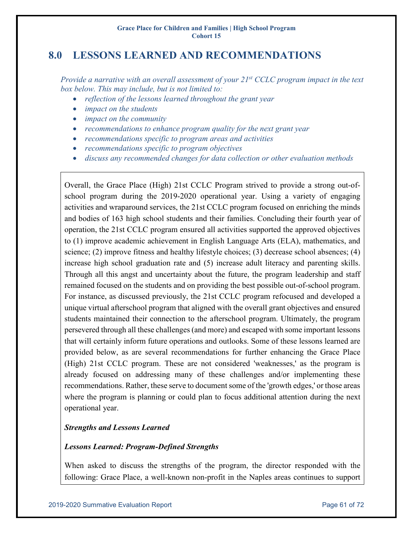# **8.0 LESSONS LEARNED AND RECOMMENDATIONS**

*Provide a narrative with an overall assessment of your 21st CCLC program impact in the text box below. This may include, but is not limited to:*

- *reflection of the lessons learned throughout the grant year*
- *impact on the students*
- *impact on the community*
- *recommendations to enhance program quality for the next grant year*
- *recommendations specific to program areas and activities*
- *recommendations specific to program objectives*
- *discuss any recommended changes for data collection or other evaluation methods*

Overall, the Grace Place (High) 21st CCLC Program strived to provide a strong out-ofschool program during the 2019-2020 operational year. Using a variety of engaging activities and wraparound services, the 21st CCLC program focused on enriching the minds and bodies of 163 high school students and their families. Concluding their fourth year of operation, the 21st CCLC program ensured all activities supported the approved objectives to (1) improve academic achievement in English Language Arts (ELA), mathematics, and science; (2) improve fitness and healthy lifestyle choices; (3) decrease school absences; (4) increase high school graduation rate and (5) increase adult literacy and parenting skills. Through all this angst and uncertainty about the future, the program leadership and staff remained focused on the students and on providing the best possible out-of-school program. For instance, as discussed previously, the 21st CCLC program refocused and developed a unique virtual afterschool program that aligned with the overall grant objectives and ensured students maintained their connection to the afterschool program. Ultimately, the program persevered through all these challenges (and more) and escaped with some important lessons that will certainly inform future operations and outlooks. Some of these lessons learned are provided below, as are several recommendations for further enhancing the Grace Place (High) 21st CCLC program. These are not considered 'weaknesses,' as the program is already focused on addressing many of these challenges and/or implementing these recommendations. Rather, these serve to document some of the 'growth edges,' or those areas where the program is planning or could plan to focus additional attention during the next operational year.

# *Strengths and Lessons Learned*

#### *Lessons Learned: Program-Defined Strengths*

When asked to discuss the strengths of the program, the director responded with the following: Grace Place, a well-known non-profit in the Naples areas continues to support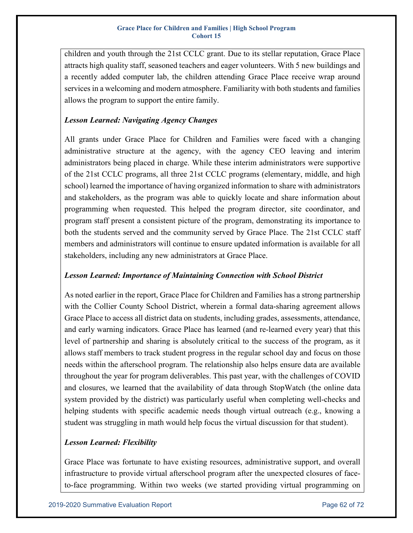children and youth through the 21st CCLC grant. Due to its stellar reputation, Grace Place attracts high quality staff, seasoned teachers and eager volunteers. With 5 new buildings and a recently added computer lab, the children attending Grace Place receive wrap around services in a welcoming and modern atmosphere. Familiarity with both students and families allows the program to support the entire family.

# *Lesson Learned: Navigating Agency Changes*

All grants under Grace Place for Children and Families were faced with a changing administrative structure at the agency, with the agency CEO leaving and interim administrators being placed in charge. While these interim administrators were supportive of the 21st CCLC programs, all three 21st CCLC programs (elementary, middle, and high school) learned the importance of having organized information to share with administrators and stakeholders, as the program was able to quickly locate and share information about programming when requested. This helped the program director, site coordinator, and program staff present a consistent picture of the program, demonstrating its importance to both the students served and the community served by Grace Place. The 21st CCLC staff members and administrators will continue to ensure updated information is available for all stakeholders, including any new administrators at Grace Place.

# *Lesson Learned: Importance of Maintaining Connection with School District*

As noted earlier in the report, Grace Place for Children and Families has a strong partnership with the Collier County School District, wherein a formal data-sharing agreement allows Grace Place to access all district data on students, including grades, assessments, attendance, and early warning indicators. Grace Place has learned (and re-learned every year) that this level of partnership and sharing is absolutely critical to the success of the program, as it allows staff members to track student progress in the regular school day and focus on those needs within the afterschool program. The relationship also helps ensure data are available throughout the year for program deliverables. This past year, with the challenges of COVID and closures, we learned that the availability of data through StopWatch (the online data system provided by the district) was particularly useful when completing well-checks and helping students with specific academic needs though virtual outreach (e.g., knowing a student was struggling in math would help focus the virtual discussion for that student).

# *Lesson Learned: Flexibility*

Grace Place was fortunate to have existing resources, administrative support, and overall infrastructure to provide virtual afterschool program after the unexpected closures of faceto-face programming. Within two weeks (we started providing virtual programming on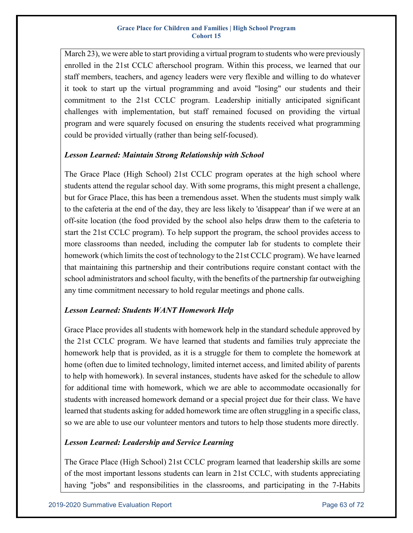March 23), we were able to start providing a virtual program to students who were previously enrolled in the 21st CCLC afterschool program. Within this process, we learned that our staff members, teachers, and agency leaders were very flexible and willing to do whatever it took to start up the virtual programming and avoid "losing" our students and their commitment to the 21st CCLC program. Leadership initially anticipated significant challenges with implementation, but staff remained focused on providing the virtual program and were squarely focused on ensuring the students received what programming could be provided virtually (rather than being self-focused).

# *Lesson Learned: Maintain Strong Relationship with School*

The Grace Place (High School) 21st CCLC program operates at the high school where students attend the regular school day. With some programs, this might present a challenge, but for Grace Place, this has been a tremendous asset. When the students must simply walk to the cafeteria at the end of the day, they are less likely to 'disappear' than if we were at an off-site location (the food provided by the school also helps draw them to the cafeteria to start the 21st CCLC program). To help support the program, the school provides access to more classrooms than needed, including the computer lab for students to complete their homework (which limits the cost of technology to the 21st CCLC program). We have learned that maintaining this partnership and their contributions require constant contact with the school administrators and school faculty, with the benefits of the partnership far outweighing any time commitment necessary to hold regular meetings and phone calls.

# *Lesson Learned: Students WANT Homework Help*

Grace Place provides all students with homework help in the standard schedule approved by the 21st CCLC program. We have learned that students and families truly appreciate the homework help that is provided, as it is a struggle for them to complete the homework at home (often due to limited technology, limited internet access, and limited ability of parents to help with homework). In several instances, students have asked for the schedule to allow for additional time with homework, which we are able to accommodate occasionally for students with increased homework demand or a special project due for their class. We have learned that students asking for added homework time are often struggling in a specific class, so we are able to use our volunteer mentors and tutors to help those students more directly.

# *Lesson Learned: Leadership and Service Learning*

The Grace Place (High School) 21st CCLC program learned that leadership skills are some of the most important lessons students can learn in 21st CCLC, with students appreciating having "jobs" and responsibilities in the classrooms, and participating in the 7-Habits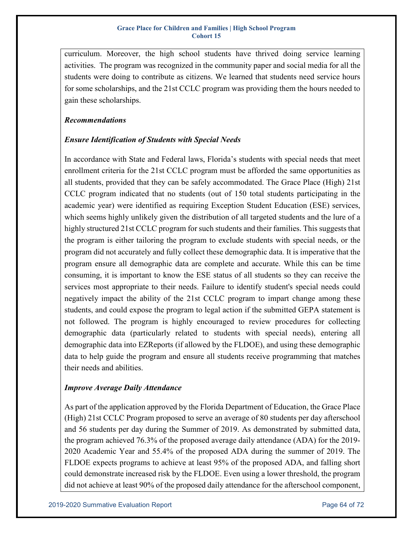curriculum. Moreover, the high school students have thrived doing service learning activities. The program was recognized in the community paper and social media for all the students were doing to contribute as citizens. We learned that students need service hours for some scholarships, and the 21st CCLC program was providing them the hours needed to gain these scholarships.

# *Recommendations*

# *Ensure Identification of Students with Special Needs*

In accordance with State and Federal laws, Florida's students with special needs that meet enrollment criteria for the 21st CCLC program must be afforded the same opportunities as all students, provided that they can be safely accommodated. The Grace Place (High) 21st CCLC program indicated that no students (out of 150 total students participating in the academic year) were identified as requiring Exception Student Education (ESE) services, which seems highly unlikely given the distribution of all targeted students and the lure of a highly structured 21st CCLC program for such students and their families. This suggests that the program is either tailoring the program to exclude students with special needs, or the program did not accurately and fully collect these demographic data. It is imperative that the program ensure all demographic data are complete and accurate. While this can be time consuming, it is important to know the ESE status of all students so they can receive the services most appropriate to their needs. Failure to identify student's special needs could negatively impact the ability of the 21st CCLC program to impart change among these students, and could expose the program to legal action if the submitted GEPA statement is not followed. The program is highly encouraged to review procedures for collecting demographic data (particularly related to students with special needs), entering all demographic data into EZReports (if allowed by the FLDOE), and using these demographic data to help guide the program and ensure all students receive programming that matches their needs and abilities.

# *Improve Average Daily Attendance*

As part of the application approved by the Florida Department of Education, the Grace Place (High) 21st CCLC Program proposed to serve an average of 80 students per day afterschool and 56 students per day during the Summer of 2019. As demonstrated by submitted data, the program achieved 76.3% of the proposed average daily attendance (ADA) for the 2019- 2020 Academic Year and 55.4% of the proposed ADA during the summer of 2019. The FLDOE expects programs to achieve at least 95% of the proposed ADA, and falling short could demonstrate increased risk by the FLDOE. Even using a lower threshold, the program did not achieve at least 90% of the proposed daily attendance for the afterschool component,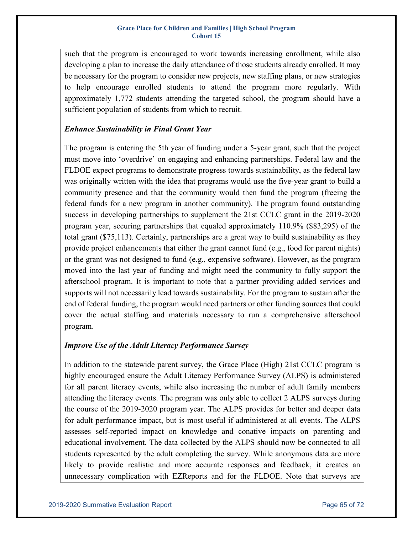such that the program is encouraged to work towards increasing enrollment, while also developing a plan to increase the daily attendance of those students already enrolled. It may be necessary for the program to consider new projects, new staffing plans, or new strategies to help encourage enrolled students to attend the program more regularly. With approximately 1,772 students attending the targeted school, the program should have a sufficient population of students from which to recruit.

# *Enhance Sustainability in Final Grant Year*

The program is entering the 5th year of funding under a 5-year grant, such that the project must move into 'overdrive' on engaging and enhancing partnerships. Federal law and the FLDOE expect programs to demonstrate progress towards sustainability, as the federal law was originally written with the idea that programs would use the five-year grant to build a community presence and that the community would then fund the program (freeing the federal funds for a new program in another community). The program found outstanding success in developing partnerships to supplement the 21st CCLC grant in the 2019-2020 program year, securing partnerships that equaled approximately 110.9% (\$83,295) of the total grant (\$75,113). Certainly, partnerships are a great way to build sustainability as they provide project enhancements that either the grant cannot fund (e.g., food for parent nights) or the grant was not designed to fund (e.g., expensive software). However, as the program moved into the last year of funding and might need the community to fully support the afterschool program. It is important to note that a partner providing added services and supports will not necessarily lead towards sustainability. For the program to sustain after the end of federal funding, the program would need partners or other funding sources that could cover the actual staffing and materials necessary to run a comprehensive afterschool program.

# *Improve Use of the Adult Literacy Performance Survey*

In addition to the statewide parent survey, the Grace Place (High) 21st CCLC program is highly encouraged ensure the Adult Literacy Performance Survey (ALPS) is administered for all parent literacy events, while also increasing the number of adult family members attending the literacy events. The program was only able to collect 2 ALPS surveys during the course of the 2019-2020 program year. The ALPS provides for better and deeper data for adult performance impact, but is most useful if administered at all events. The ALPS assesses self-reported impact on knowledge and conative impacts on parenting and educational involvement. The data collected by the ALPS should now be connected to all students represented by the adult completing the survey. While anonymous data are more likely to provide realistic and more accurate responses and feedback, it creates an unnecessary complication with EZReports and for the FLDOE. Note that surveys are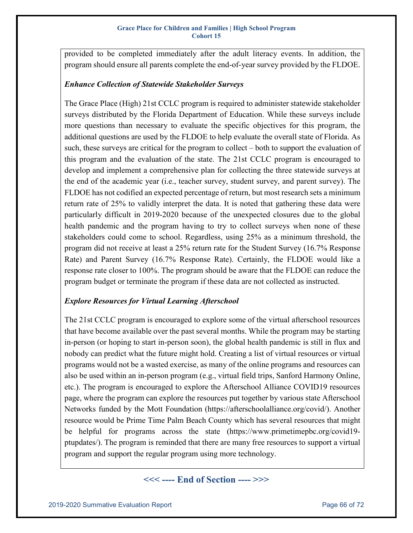provided to be completed immediately after the adult literacy events. In addition, the program should ensure all parents complete the end-of-year survey provided by the FLDOE.

### *Enhance Collection of Statewide Stakeholder Surveys*

The Grace Place (High) 21st CCLC program is required to administer statewide stakeholder surveys distributed by the Florida Department of Education. While these surveys include more questions than necessary to evaluate the specific objectives for this program, the additional questions are used by the FLDOE to help evaluate the overall state of Florida. As such, these surveys are critical for the program to collect – both to support the evaluation of this program and the evaluation of the state. The 21st CCLC program is encouraged to develop and implement a comprehensive plan for collecting the three statewide surveys at the end of the academic year (i.e., teacher survey, student survey, and parent survey). The FLDOE has not codified an expected percentage of return, but most research sets a minimum return rate of 25% to validly interpret the data. It is noted that gathering these data were particularly difficult in 2019-2020 because of the unexpected closures due to the global health pandemic and the program having to try to collect surveys when none of these stakeholders could come to school. Regardless, using 25% as a minimum threshold, the program did not receive at least a 25% return rate for the Student Survey (16.7% Response Rate) and Parent Survey (16.7% Response Rate). Certainly, the FLDOE would like a response rate closer to 100%. The program should be aware that the FLDOE can reduce the program budget or terminate the program if these data are not collected as instructed.

# *Explore Resources for Virtual Learning Afterschool*

The 21st CCLC program is encouraged to explore some of the virtual afterschool resources that have become available over the past several months. While the program may be starting in-person (or hoping to start in-person soon), the global health pandemic is still in flux and nobody can predict what the future might hold. Creating a list of virtual resources or virtual programs would not be a wasted exercise, as many of the online programs and resources can also be used within an in-person program (e.g., virtual field trips, Sanford Harmony Online, etc.). The program is encouraged to explore the Afterschool Alliance COVID19 resources page, where the program can explore the resources put together by various state Afterschool Networks funded by the Mott Foundation (https://afterschoolalliance.org/covid/). Another resource would be Prime Time Palm Beach County which has several resources that might be helpful for programs across the state (https://www.primetimepbc.org/covid19 ptupdates/). The program is reminded that there are many free resources to support a virtual program and support the regular program using more technology.

**<<< ---- End of Section ---- >>>**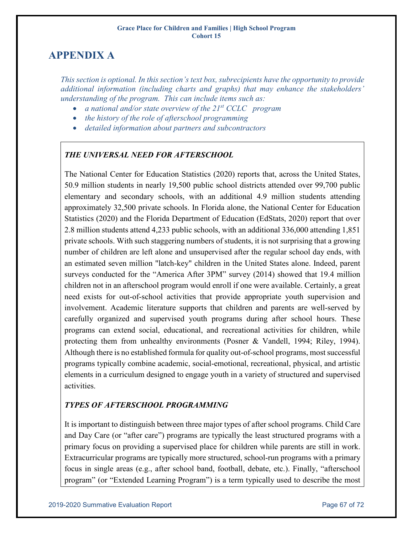# **APPENDIX A**

*This section is optional. In this section's text box, subrecipients have the opportunity to provide additional information (including charts and graphs) that may enhance the stakeholders' understanding of the program. This can include items such as:*

- *a national and/or state overview of the 21st CCLC program*
- *the history of the role of afterschool programming*
- *detailed information about partners and subcontractors*

# *THE UNIVERSAL NEED FOR AFTERSCHOOL*

The National Center for Education Statistics (2020) reports that, across the United States, 50.9 million students in nearly 19,500 public school districts attended over 99,700 public elementary and secondary schools, with an additional 4.9 million students attending approximately 32,500 private schools. In Florida alone, the National Center for Education Statistics (2020) and the Florida Department of Education (EdStats, 2020) report that over 2.8 million students attend 4,233 public schools, with an additional 336,000 attending 1,851 private schools. With such staggering numbers of students, it is not surprising that a growing number of children are left alone and unsupervised after the regular school day ends, with an estimated seven million "latch-key" children in the United States alone. Indeed, parent surveys conducted for the "America After 3PM" survey (2014) showed that 19.4 million children not in an afterschool program would enroll if one were available. Certainly, a great need exists for out-of-school activities that provide appropriate youth supervision and involvement. Academic literature supports that children and parents are well-served by carefully organized and supervised youth programs during after school hours. These programs can extend social, educational, and recreational activities for children, while protecting them from unhealthy environments (Posner & Vandell, 1994; Riley, 1994). Although there is no established formula for quality out-of-school programs, most successful programs typically combine academic, social-emotional, recreational, physical, and artistic elements in a curriculum designed to engage youth in a variety of structured and supervised activities.

# *TYPES OF AFTERSCHOOL PROGRAMMING*

It is important to distinguish between three major types of after school programs. Child Care and Day Care (or "after care") programs are typically the least structured programs with a primary focus on providing a supervised place for children while parents are still in work. Extracurricular programs are typically more structured, school-run programs with a primary focus in single areas (e.g., after school band, football, debate, etc.). Finally, "afterschool program" (or "Extended Learning Program") is a term typically used to describe the most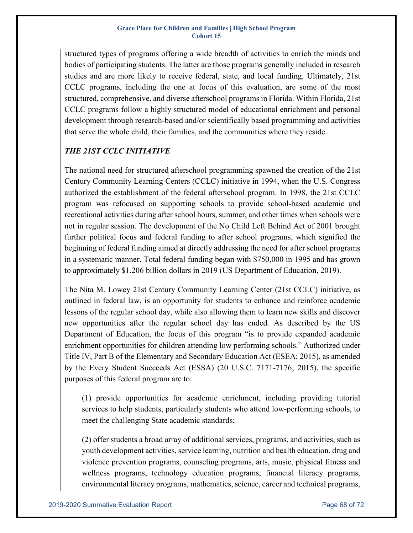structured types of programs offering a wide breadth of activities to enrich the minds and bodies of participating students. The latter are those programs generally included in research studies and are more likely to receive federal, state, and local funding. Ultimately, 21st CCLC programs, including the one at focus of this evaluation, are some of the most structured, comprehensive, and diverse afterschool programs in Florida. Within Florida, 21st CCLC programs follow a highly structured model of educational enrichment and personal development through research-based and/or scientifically based programming and activities that serve the whole child, their families, and the communities where they reside.

# *THE 21ST CCLC INITIATIVE*

The national need for structured afterschool programming spawned the creation of the 21st Century Community Learning Centers (CCLC) initiative in 1994, when the U.S. Congress authorized the establishment of the federal afterschool program. In 1998, the 21st CCLC program was refocused on supporting schools to provide school-based academic and recreational activities during after school hours, summer, and other times when schools were not in regular session. The development of the No Child Left Behind Act of 2001 brought further political focus and federal funding to after school programs, which signified the beginning of federal funding aimed at directly addressing the need for after school programs in a systematic manner. Total federal funding began with \$750,000 in 1995 and has grown to approximately \$1.206 billion dollars in 2019 (US Department of Education, 2019).

The Nita M. Lowey 21st Century Community Learning Center (21st CCLC) initiative, as outlined in federal law, is an opportunity for students to enhance and reinforce academic lessons of the regular school day, while also allowing them to learn new skills and discover new opportunities after the regular school day has ended. As described by the US Department of Education, the focus of this program "is to provide expanded academic enrichment opportunities for children attending low performing schools." Authorized under Title IV, Part B of the Elementary and Secondary Education Act (ESEA; 2015), as amended by the Every Student Succeeds Act (ESSA) (20 U.S.C. 7171-7176; 2015), the specific purposes of this federal program are to:

(1) provide opportunities for academic enrichment, including providing tutorial services to help students, particularly students who attend low-performing schools, to meet the challenging State academic standards;

(2) offer students a broad array of additional services, programs, and activities, such as youth development activities, service learning, nutrition and health education, drug and violence prevention programs, counseling programs, arts, music, physical fitness and wellness programs, technology education programs, financial literacy programs, environmental literacy programs, mathematics, science, career and technical programs,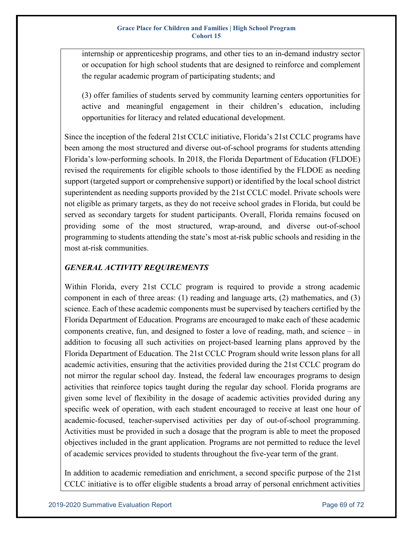internship or apprenticeship programs, and other ties to an in-demand industry sector or occupation for high school students that are designed to reinforce and complement the regular academic program of participating students; and

(3) offer families of students served by community learning centers opportunities for active and meaningful engagement in their children's education, including opportunities for literacy and related educational development.

Since the inception of the federal 21st CCLC initiative, Florida's 21st CCLC programs have been among the most structured and diverse out-of-school programs for students attending Florida's low-performing schools. In 2018, the Florida Department of Education (FLDOE) revised the requirements for eligible schools to those identified by the FLDOE as needing support (targeted support or comprehensive support) or identified by the local school district superintendent as needing supports provided by the 21st CCLC model. Private schools were not eligible as primary targets, as they do not receive school grades in Florida, but could be served as secondary targets for student participants. Overall, Florida remains focused on providing some of the most structured, wrap-around, and diverse out-of-school programming to students attending the state's most at-risk public schools and residing in the most at-risk communities.

# *GENERAL ACTIVITY REQUIREMENTS*

Within Florida, every 21st CCLC program is required to provide a strong academic component in each of three areas:  $(1)$  reading and language arts,  $(2)$  mathematics, and  $(3)$ science. Each of these academic components must be supervised by teachers certified by the Florida Department of Education. Programs are encouraged to make each of these academic components creative, fun, and designed to foster a love of reading, math, and science – in addition to focusing all such activities on project-based learning plans approved by the Florida Department of Education. The 21st CCLC Program should write lesson plans for all academic activities, ensuring that the activities provided during the 21st CCLC program do not mirror the regular school day. Instead, the federal law encourages programs to design activities that reinforce topics taught during the regular day school. Florida programs are given some level of flexibility in the dosage of academic activities provided during any specific week of operation, with each student encouraged to receive at least one hour of academic-focused, teacher-supervised activities per day of out-of-school programming. Activities must be provided in such a dosage that the program is able to meet the proposed objectives included in the grant application. Programs are not permitted to reduce the level of academic services provided to students throughout the five-year term of the grant.

In addition to academic remediation and enrichment, a second specific purpose of the 21st CCLC initiative is to offer eligible students a broad array of personal enrichment activities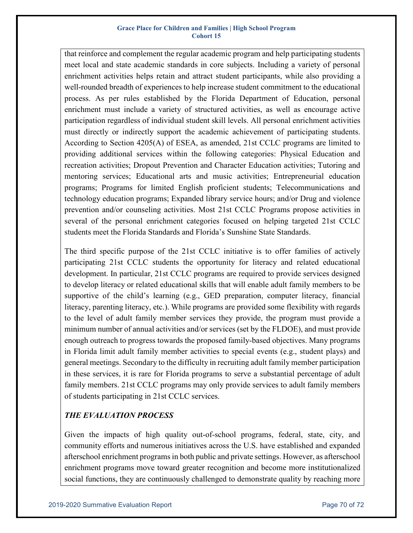that reinforce and complement the regular academic program and help participating students meet local and state academic standards in core subjects. Including a variety of personal enrichment activities helps retain and attract student participants, while also providing a well-rounded breadth of experiences to help increase student commitment to the educational process. As per rules established by the Florida Department of Education, personal enrichment must include a variety of structured activities, as well as encourage active participation regardless of individual student skill levels. All personal enrichment activities must directly or indirectly support the academic achievement of participating students. According to Section 4205(A) of ESEA, as amended, 21st CCLC programs are limited to providing additional services within the following categories: Physical Education and recreation activities; Dropout Prevention and Character Education activities; Tutoring and mentoring services; Educational arts and music activities; Entrepreneurial education programs; Programs for limited English proficient students; Telecommunications and technology education programs; Expanded library service hours; and/or Drug and violence prevention and/or counseling activities. Most 21st CCLC Programs propose activities in several of the personal enrichment categories focused on helping targeted 21st CCLC students meet the Florida Standards and Florida's Sunshine State Standards.

The third specific purpose of the 21st CCLC initiative is to offer families of actively participating 21st CCLC students the opportunity for literacy and related educational development. In particular, 21st CCLC programs are required to provide services designed to develop literacy or related educational skills that will enable adult family members to be supportive of the child's learning (e.g., GED preparation, computer literacy, financial literacy, parenting literacy, etc.). While programs are provided some flexibility with regards to the level of adult family member services they provide, the program must provide a minimum number of annual activities and/or services (set by the FLDOE), and must provide enough outreach to progress towards the proposed family-based objectives. Many programs in Florida limit adult family member activities to special events (e.g., student plays) and general meetings. Secondary to the difficulty in recruiting adult family member participation in these services, it is rare for Florida programs to serve a substantial percentage of adult family members. 21st CCLC programs may only provide services to adult family members of students participating in 21st CCLC services.

# *THE EVALUATION PROCESS*

Given the impacts of high quality out-of-school programs, federal, state, city, and community efforts and numerous initiatives across the U.S. have established and expanded afterschool enrichment programs in both public and private settings. However, as afterschool enrichment programs move toward greater recognition and become more institutionalized social functions, they are continuously challenged to demonstrate quality by reaching more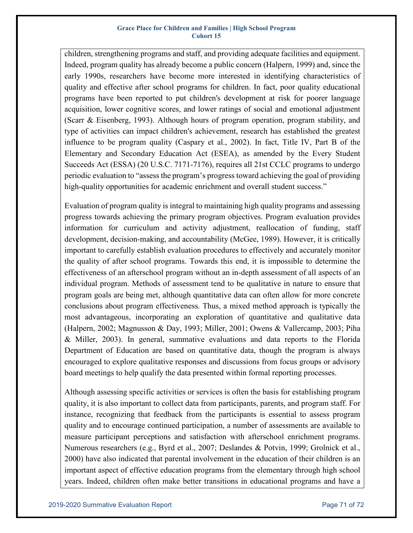children, strengthening programs and staff, and providing adequate facilities and equipment. Indeed, program quality has already become a public concern (Halpern, 1999) and, since the early 1990s, researchers have become more interested in identifying characteristics of quality and effective after school programs for children. In fact, poor quality educational programs have been reported to put children's development at risk for poorer language acquisition, lower cognitive scores, and lower ratings of social and emotional adjustment (Scarr & Eisenberg, 1993). Although hours of program operation, program stability, and type of activities can impact children's achievement, research has established the greatest influence to be program quality (Caspary et al., 2002). In fact, Title IV, Part B of the Elementary and Secondary Education Act (ESEA), as amended by the Every Student Succeeds Act (ESSA) (20 U.S.C. 7171-7176), requires all 21st CCLC programs to undergo periodic evaluation to "assess the program's progress toward achieving the goal of providing high-quality opportunities for academic enrichment and overall student success."

Evaluation of program quality is integral to maintaining high quality programs and assessing progress towards achieving the primary program objectives. Program evaluation provides information for curriculum and activity adjustment, reallocation of funding, staff development, decision-making, and accountability (McGee, 1989). However, it is critically important to carefully establish evaluation procedures to effectively and accurately monitor the quality of after school programs. Towards this end, it is impossible to determine the effectiveness of an afterschool program without an in-depth assessment of all aspects of an individual program. Methods of assessment tend to be qualitative in nature to ensure that program goals are being met, although quantitative data can often allow for more concrete conclusions about program effectiveness. Thus, a mixed method approach is typically the most advantageous, incorporating an exploration of quantitative and qualitative data (Halpern, 2002; Magnusson & Day, 1993; Miller, 2001; Owens & Vallercamp, 2003; Piha & Miller, 2003). In general, summative evaluations and data reports to the Florida Department of Education are based on quantitative data, though the program is always encouraged to explore qualitative responses and discussions from focus groups or advisory board meetings to help qualify the data presented within formal reporting processes.

Although assessing specific activities or services is often the basis for establishing program quality, it is also important to collect data from participants, parents, and program staff. For instance, recognizing that feedback from the participants is essential to assess program quality and to encourage continued participation, a number of assessments are available to measure participant perceptions and satisfaction with afterschool enrichment programs. Numerous researchers (e.g., Byrd et al., 2007; Deslandes & Potvin, 1999; Grolnick et al., 2000) have also indicated that parental involvement in the education of their children is an important aspect of effective education programs from the elementary through high school years. Indeed, children often make better transitions in educational programs and have a